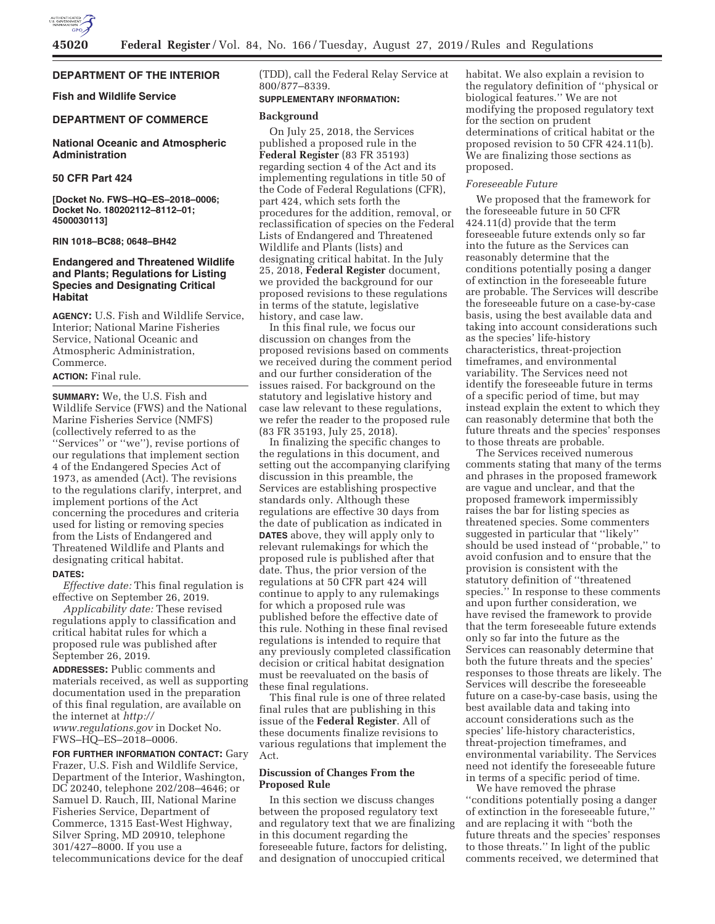

# **DEPARTMENT OF THE INTERIOR**

**Fish and Wildlife Service** 

### **DEPARTMENT OF COMMERCE**

# **National Oceanic and Atmospheric Administration**

# **50 CFR Part 424**

**[Docket No. FWS–HQ–ES–2018–0006; Docket No. 180202112–8112–01; 4500030113]** 

### **RIN 1018–BC88; 0648–BH42**

# **Endangered and Threatened Wildlife and Plants; Regulations for Listing Species and Designating Critical Habitat**

**AGENCY:** U.S. Fish and Wildlife Service, Interior; National Marine Fisheries Service, National Oceanic and Atmospheric Administration, Commerce.

# **ACTION:** Final rule.

**SUMMARY:** We, the U.S. Fish and Wildlife Service (FWS) and the National Marine Fisheries Service (NMFS) (collectively referred to as the ''Services'' or ''we''), revise portions of our regulations that implement section 4 of the Endangered Species Act of 1973, as amended (Act). The revisions to the regulations clarify, interpret, and implement portions of the Act concerning the procedures and criteria used for listing or removing species from the Lists of Endangered and Threatened Wildlife and Plants and designating critical habitat.

### **DATES:**

*Effective date:* This final regulation is effective on September 26, 2019.

*Applicability date:* These revised regulations apply to classification and critical habitat rules for which a proposed rule was published after September 26, 2019.

**ADDRESSES:** Public comments and materials received, as well as supporting documentation used in the preparation of this final regulation, are available on the internet at *http:// www.regulations.gov* in Docket No. FWS–HQ–ES–2018–0006.

**FOR FURTHER INFORMATION CONTACT: Gary** Frazer, U.S. Fish and Wildlife Service, Department of the Interior, Washington, DC 20240, telephone 202/208–4646; or Samuel D. Rauch, III, National Marine Fisheries Service, Department of Commerce, 1315 East-West Highway, Silver Spring, MD 20910, telephone 301/427–8000. If you use a telecommunications device for the deaf

(TDD), call the Federal Relay Service at 800/877–8339.

#### **SUPPLEMENTARY INFORMATION:**

#### **Background**

On July 25, 2018, the Services published a proposed rule in the **Federal Register** (83 FR 35193) regarding section 4 of the Act and its implementing regulations in title 50 of the Code of Federal Regulations (CFR), part 424, which sets forth the procedures for the addition, removal, or reclassification of species on the Federal Lists of Endangered and Threatened Wildlife and Plants (lists) and designating critical habitat. In the July 25, 2018, **Federal Register** document, we provided the background for our proposed revisions to these regulations in terms of the statute, legislative history, and case law.

In this final rule, we focus our discussion on changes from the proposed revisions based on comments we received during the comment period and our further consideration of the issues raised. For background on the statutory and legislative history and case law relevant to these regulations, we refer the reader to the proposed rule (83 FR 35193, July 25, 2018).

In finalizing the specific changes to the regulations in this document, and setting out the accompanying clarifying discussion in this preamble, the Services are establishing prospective standards only. Although these regulations are effective 30 days from the date of publication as indicated in **DATES** above, they will apply only to relevant rulemakings for which the proposed rule is published after that date. Thus, the prior version of the regulations at 50 CFR part 424 will continue to apply to any rulemakings for which a proposed rule was published before the effective date of this rule. Nothing in these final revised regulations is intended to require that any previously completed classification decision or critical habitat designation must be reevaluated on the basis of these final regulations.

This final rule is one of three related final rules that are publishing in this issue of the **Federal Register**. All of these documents finalize revisions to various regulations that implement the Act.

### **Discussion of Changes From the Proposed Rule**

In this section we discuss changes between the proposed regulatory text and regulatory text that we are finalizing in this document regarding the foreseeable future, factors for delisting, and designation of unoccupied critical

habitat. We also explain a revision to the regulatory definition of ''physical or biological features.'' We are not modifying the proposed regulatory text for the section on prudent determinations of critical habitat or the proposed revision to 50 CFR 424.11(b). We are finalizing those sections as proposed.

### *Foreseeable Future*

We proposed that the framework for the foreseeable future in 50 CFR 424.11(d) provide that the term foreseeable future extends only so far into the future as the Services can reasonably determine that the conditions potentially posing a danger of extinction in the foreseeable future are probable. The Services will describe the foreseeable future on a case-by-case basis, using the best available data and taking into account considerations such as the species' life-history characteristics, threat-projection timeframes, and environmental variability. The Services need not identify the foreseeable future in terms of a specific period of time, but may instead explain the extent to which they can reasonably determine that both the future threats and the species' responses to those threats are probable.

The Services received numerous comments stating that many of the terms and phrases in the proposed framework are vague and unclear, and that the proposed framework impermissibly raises the bar for listing species as threatened species. Some commenters suggested in particular that ''likely'' should be used instead of ''probable,'' to avoid confusion and to ensure that the provision is consistent with the statutory definition of ''threatened species.'' In response to these comments and upon further consideration, we have revised the framework to provide that the term foreseeable future extends only so far into the future as the Services can reasonably determine that both the future threats and the species' responses to those threats are likely. The Services will describe the foreseeable future on a case-by-case basis, using the best available data and taking into account considerations such as the species' life-history characteristics, threat-projection timeframes, and environmental variability. The Services need not identify the foreseeable future in terms of a specific period of time.

We have removed the phrase ''conditions potentially posing a danger of extinction in the foreseeable future,'' and are replacing it with ''both the future threats and the species' responses to those threats.'' In light of the public comments received, we determined that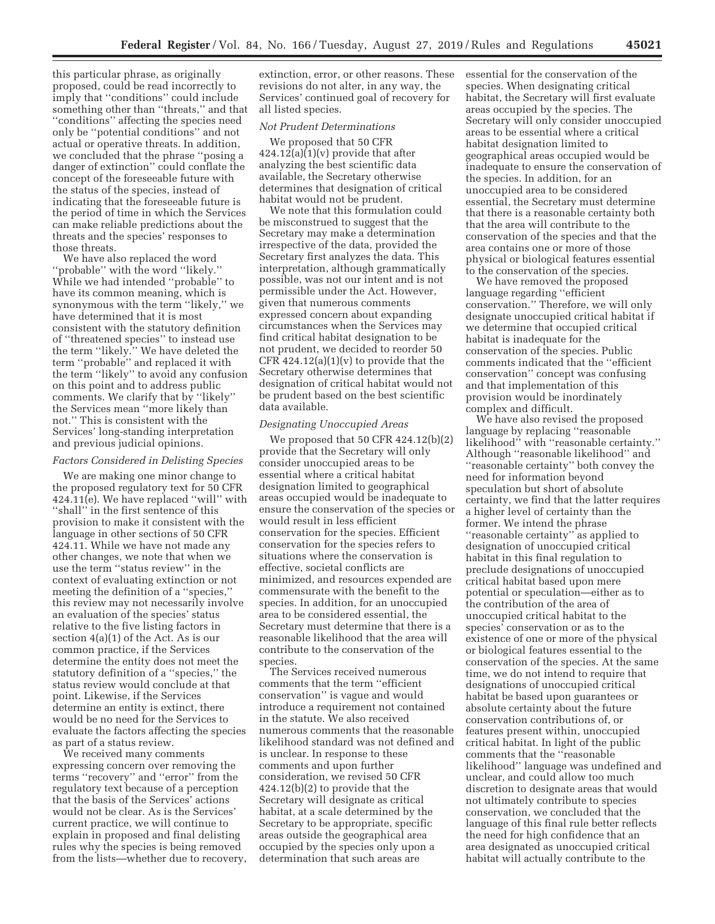this particular phrase, as originally proposed, could be read incorrectly to imply that ''conditions'' could include something other than ''threats,'' and that ''conditions'' affecting the species need only be ''potential conditions'' and not actual or operative threats. In addition, we concluded that the phrase ''posing a danger of extinction'' could conflate the concept of the foreseeable future with the status of the species, instead of indicating that the foreseeable future is the period of time in which the Services can make reliable predictions about the threats and the species' responses to those threats.

We have also replaced the word ''probable'' with the word ''likely.'' While we had intended ''probable'' to have its common meaning, which is synonymous with the term ''likely,'' we have determined that it is most consistent with the statutory definition of ''threatened species'' to instead use the term ''likely.'' We have deleted the term ''probable'' and replaced it with the term ''likely'' to avoid any confusion on this point and to address public comments. We clarify that by ''likely'' the Services mean ''more likely than not.'' This is consistent with the Services' long-standing interpretation and previous judicial opinions.

### *Factors Considered in Delisting Species*

We are making one minor change to the proposed regulatory text for 50 CFR 424.11(e). We have replaced ''will'' with ''shall'' in the first sentence of this provision to make it consistent with the language in other sections of 50 CFR 424.11. While we have not made any other changes, we note that when we use the term ''status review'' in the context of evaluating extinction or not meeting the definition of a ''species,'' this review may not necessarily involve an evaluation of the species' status relative to the five listing factors in section 4(a)(1) of the Act. As is our common practice, if the Services determine the entity does not meet the statutory definition of a ''species,'' the status review would conclude at that point. Likewise, if the Services determine an entity is extinct, there would be no need for the Services to evaluate the factors affecting the species as part of a status review.

We received many comments expressing concern over removing the terms ''recovery'' and ''error'' from the regulatory text because of a perception that the basis of the Services' actions would not be clear. As is the Services' current practice, we will continue to explain in proposed and final delisting rules why the species is being removed from the lists—whether due to recovery,

extinction, error, or other reasons. These revisions do not alter, in any way, the Services' continued goal of recovery for all listed species.

# *Not Prudent Determinations*

We proposed that 50 CFR  $424.12(a)(1)(v)$  provide that after analyzing the best scientific data available, the Secretary otherwise determines that designation of critical habitat would not be prudent.

We note that this formulation could be misconstrued to suggest that the Secretary may make a determination irrespective of the data, provided the Secretary first analyzes the data. This interpretation, although grammatically possible, was not our intent and is not permissible under the Act. However, given that numerous comments expressed concern about expanding circumstances when the Services may find critical habitat designation to be not prudent, we decided to reorder 50 CFR  $424.12(a)(1)(v)$  to provide that the Secretary otherwise determines that designation of critical habitat would not be prudent based on the best scientific data available.

### *Designating Unoccupied Areas*

We proposed that 50 CFR 424.12(b)(2) provide that the Secretary will only consider unoccupied areas to be essential where a critical habitat designation limited to geographical areas occupied would be inadequate to ensure the conservation of the species or would result in less efficient conservation for the species. Efficient conservation for the species refers to situations where the conservation is effective, societal conflicts are minimized, and resources expended are commensurate with the benefit to the species. In addition, for an unoccupied area to be considered essential, the Secretary must determine that there is a reasonable likelihood that the area will contribute to the conservation of the species.

The Services received numerous comments that the term ''efficient conservation'' is vague and would introduce a requirement not contained in the statute. We also received numerous comments that the reasonable likelihood standard was not defined and is unclear. In response to these comments and upon further consideration, we revised 50 CFR 424.12(b)(2) to provide that the Secretary will designate as critical habitat, at a scale determined by the Secretary to be appropriate, specific areas outside the geographical area occupied by the species only upon a determination that such areas are

essential for the conservation of the species. When designating critical habitat, the Secretary will first evaluate areas occupied by the species. The Secretary will only consider unoccupied areas to be essential where a critical habitat designation limited to geographical areas occupied would be inadequate to ensure the conservation of the species. In addition, for an unoccupied area to be considered essential, the Secretary must determine that there is a reasonable certainty both that the area will contribute to the conservation of the species and that the area contains one or more of those physical or biological features essential to the conservation of the species.

We have removed the proposed language regarding ''efficient conservation.'' Therefore, we will only designate unoccupied critical habitat if we determine that occupied critical habitat is inadequate for the conservation of the species. Public comments indicated that the ''efficient conservation'' concept was confusing and that implementation of this provision would be inordinately complex and difficult.

We have also revised the proposed language by replacing ''reasonable likelihood'' with ''reasonable certainty.'' Although ''reasonable likelihood'' and ''reasonable certainty'' both convey the need for information beyond speculation but short of absolute certainty, we find that the latter requires a higher level of certainty than the former. We intend the phrase ''reasonable certainty'' as applied to designation of unoccupied critical habitat in this final regulation to preclude designations of unoccupied critical habitat based upon mere potential or speculation—either as to the contribution of the area of unoccupied critical habitat to the species' conservation or as to the existence of one or more of the physical or biological features essential to the conservation of the species. At the same time, we do not intend to require that designations of unoccupied critical habitat be based upon guarantees or absolute certainty about the future conservation contributions of, or features present within, unoccupied critical habitat. In light of the public comments that the ''reasonable likelihood'' language was undefined and unclear, and could allow too much discretion to designate areas that would not ultimately contribute to species conservation, we concluded that the language of this final rule better reflects the need for high confidence that an area designated as unoccupied critical habitat will actually contribute to the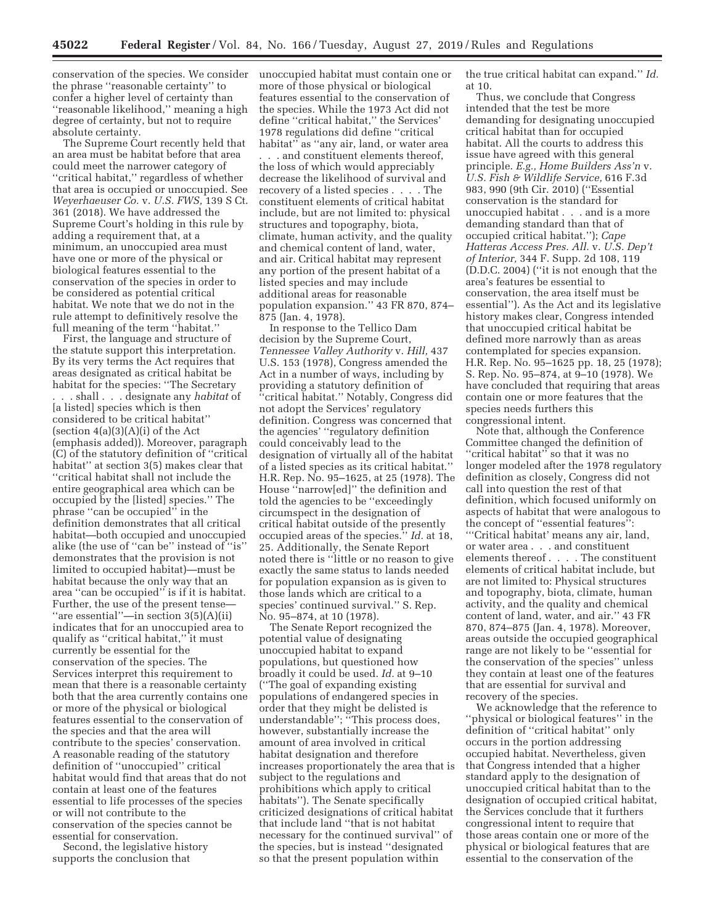conservation of the species. We consider unoccupied habitat must contain one or the phrase ''reasonable certainty'' to confer a higher level of certainty than ''reasonable likelihood,'' meaning a high degree of certainty, but not to require absolute certainty.

The Supreme Court recently held that an area must be habitat before that area could meet the narrower category of "critical habitat," regardless of whether that area is occupied or unoccupied. See *Weyerhaeuser Co.* v. *U.S. FWS,* 139 S Ct. 361 (2018). We have addressed the Supreme Court's holding in this rule by adding a requirement that, at a minimum, an unoccupied area must have one or more of the physical or biological features essential to the conservation of the species in order to be considered as potential critical habitat. We note that we do not in the rule attempt to definitively resolve the full meaning of the term ''habitat.''

First, the language and structure of the statute support this interpretation. By its very terms the Act requires that areas designated as critical habitat be habitat for the species: ''The Secretary . . . shall . . . designate any *habitat* of [a listed] species which is then considered to be critical habitat'' (section  $4(a)(3)(A)(i)$  of the Act (emphasis added)). Moreover, paragraph (C) of the statutory definition of ''critical habitat'' at section 3(5) makes clear that ''critical habitat shall not include the entire geographical area which can be occupied by the [listed] species.'' The phrase ''can be occupied'' in the definition demonstrates that all critical habitat—both occupied and unoccupied alike (the use of ''can be'' instead of ''is'' demonstrates that the provision is not limited to occupied habitat)—must be habitat because the only way that an area ''can be occupied'' is if it is habitat. Further, the use of the present tense— ''are essential''—in section 3(5)(A)(ii) indicates that for an unoccupied area to qualify as ''critical habitat,'' it must currently be essential for the conservation of the species. The Services interpret this requirement to mean that there is a reasonable certainty both that the area currently contains one or more of the physical or biological features essential to the conservation of the species and that the area will contribute to the species' conservation. A reasonable reading of the statutory definition of ''unoccupied'' critical habitat would find that areas that do not contain at least one of the features essential to life processes of the species or will not contribute to the conservation of the species cannot be essential for conservation.

Second, the legislative history supports the conclusion that

more of those physical or biological features essential to the conservation of the species. While the 1973 Act did not define ''critical habitat,'' the Services' 1978 regulations did define ''critical habitat'' as ''any air, land, or water area . . . and constituent elements thereof, the loss of which would appreciably decrease the likelihood of survival and recovery of a listed species . . . . The constituent elements of critical habitat include, but are not limited to: physical structures and topography, biota, climate, human activity, and the quality and chemical content of land, water, and air. Critical habitat may represent any portion of the present habitat of a listed species and may include additional areas for reasonable population expansion.'' 43 FR 870, 874– 875 (Jan. 4, 1978).

In response to the Tellico Dam decision by the Supreme Court, *Tennessee Valley Authority* v. *Hill,* 437 U.S. 153 (1978), Congress amended the Act in a number of ways, including by providing a statutory definition of ''critical habitat.'' Notably, Congress did not adopt the Services' regulatory definition. Congress was concerned that the agencies' ''regulatory definition could conceivably lead to the designation of virtually all of the habitat of a listed species as its critical habitat.'' H.R. Rep. No. 95–1625, at 25 (1978). The House ''narrow[ed]'' the definition and told the agencies to be ''exceedingly circumspect in the designation of critical habitat outside of the presently occupied areas of the species.'' *Id.* at 18, 25. Additionally, the Senate Report noted there is ''little or no reason to give exactly the same status to lands needed for population expansion as is given to those lands which are critical to a species' continued survival.'' S. Rep. No. 95–874, at 10 (1978).

The Senate Report recognized the potential value of designating unoccupied habitat to expand populations, but questioned how broadly it could be used. *Id.* at 9–10 (''The goal of expanding existing populations of endangered species in order that they might be delisted is understandable''; ''This process does, however, substantially increase the amount of area involved in critical habitat designation and therefore increases proportionately the area that is subject to the regulations and prohibitions which apply to critical habitats''). The Senate specifically criticized designations of critical habitat that include land ''that is not habitat necessary for the continued survival'' of the species, but is instead ''designated so that the present population within

the true critical habitat can expand.'' *Id.*  at 10.

Thus, we conclude that Congress intended that the test be more demanding for designating unoccupied critical habitat than for occupied habitat. All the courts to address this issue have agreed with this general principle. *E.g., Home Builders Ass'n* v. *U.S. Fish & Wildlife Service,* 616 F.3d 983, 990 (9th Cir. 2010) (''Essential conservation is the standard for unoccupied habitat . . . and is a more demanding standard than that of occupied critical habitat.''); *Cape Hatteras Access Pres. All.* v. *U.S. Dep't of Interior,* 344 F. Supp. 2d 108, 119 (D.D.C. 2004) (''it is not enough that the area's features be essential to conservation, the area itself must be essential''). As the Act and its legislative history makes clear, Congress intended that unoccupied critical habitat be defined more narrowly than as areas contemplated for species expansion. H.R. Rep. No. 95–1625 pp. 18, 25 (1978); S. Rep. No. 95–874, at 9–10 (1978). We have concluded that requiring that areas contain one or more features that the species needs furthers this congressional intent.

Note that, although the Conference Committee changed the definition of "critical habitat" so that it was no longer modeled after the 1978 regulatory definition as closely, Congress did not call into question the rest of that definition, which focused uniformly on aspects of habitat that were analogous to the concept of ''essential features'': '''Critical habitat' means any air, land, or water area . . . and constituent elements thereof . . . . The constituent elements of critical habitat include, but are not limited to: Physical structures and topography, biota, climate, human activity, and the quality and chemical content of land, water, and air.'' 43 FR 870, 874–875 (Jan. 4, 1978). Moreover, areas outside the occupied geographical range are not likely to be ''essential for the conservation of the species'' unless they contain at least one of the features that are essential for survival and recovery of the species.

We acknowledge that the reference to ''physical or biological features'' in the definition of ''critical habitat'' only occurs in the portion addressing occupied habitat. Nevertheless, given that Congress intended that a higher standard apply to the designation of unoccupied critical habitat than to the designation of occupied critical habitat, the Services conclude that it furthers congressional intent to require that those areas contain one or more of the physical or biological features that are essential to the conservation of the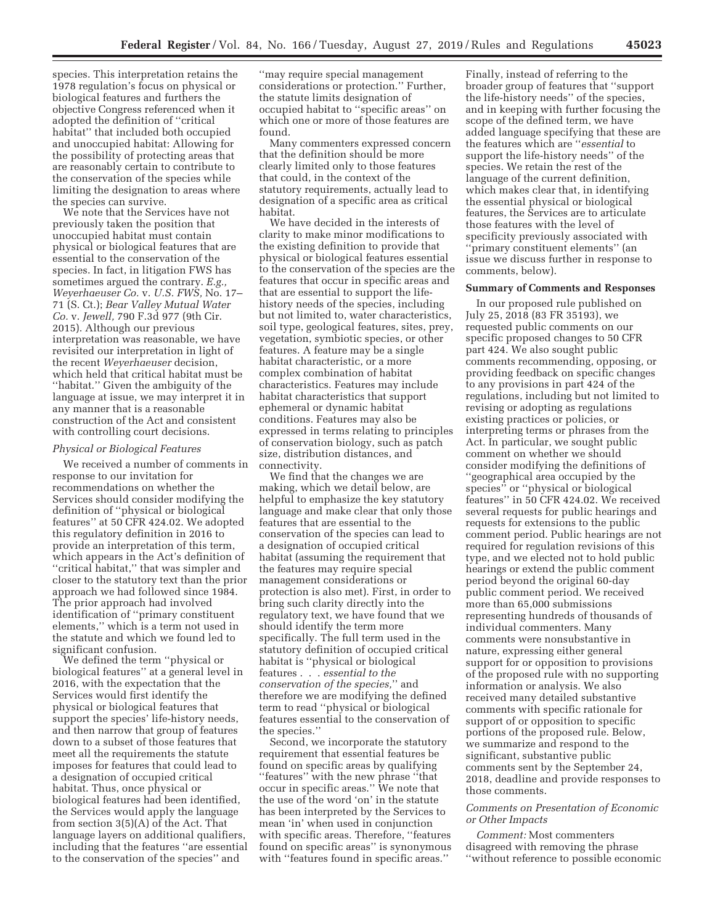species. This interpretation retains the 1978 regulation's focus on physical or biological features and furthers the objective Congress referenced when it adopted the definition of ''critical habitat'' that included both occupied and unoccupied habitat: Allowing for the possibility of protecting areas that are reasonably certain to contribute to the conservation of the species while limiting the designation to areas where the species can survive.

We note that the Services have not previously taken the position that unoccupied habitat must contain physical or biological features that are essential to the conservation of the species. In fact, in litigation FWS has sometimes argued the contrary. *E.g., Weyerhaeuser Co.* v. *U.S. FWS,* No. 17– 71 (S. Ct.); *Bear Valley Mutual Water Co.* v. *Jewell,* 790 F.3d 977 (9th Cir. 2015). Although our previous interpretation was reasonable, we have revisited our interpretation in light of the recent *Weyerhaeuser* decision, which held that critical habitat must be ''habitat.'' Given the ambiguity of the language at issue, we may interpret it in any manner that is a reasonable construction of the Act and consistent with controlling court decisions.

#### *Physical or Biological Features*

We received a number of comments in response to our invitation for recommendations on whether the Services should consider modifying the definition of ''physical or biological features'' at 50 CFR 424.02. We adopted this regulatory definition in 2016 to provide an interpretation of this term, which appears in the Act's definition of ''critical habitat,'' that was simpler and closer to the statutory text than the prior approach we had followed since 1984. The prior approach had involved identification of ''primary constituent elements,'' which is a term not used in the statute and which we found led to significant confusion.

We defined the term ''physical or biological features'' at a general level in 2016, with the expectation that the Services would first identify the physical or biological features that support the species' life-history needs, and then narrow that group of features down to a subset of those features that meet all the requirements the statute imposes for features that could lead to a designation of occupied critical habitat. Thus, once physical or biological features had been identified, the Services would apply the language from section 3(5)(A) of the Act. That language layers on additional qualifiers, including that the features ''are essential to the conservation of the species'' and

''may require special management considerations or protection.'' Further, the statute limits designation of occupied habitat to ''specific areas'' on which one or more of those features are found.

Many commenters expressed concern that the definition should be more clearly limited only to those features that could, in the context of the statutory requirements, actually lead to designation of a specific area as critical habitat.

We have decided in the interests of clarity to make minor modifications to the existing definition to provide that physical or biological features essential to the conservation of the species are the features that occur in specific areas and that are essential to support the lifehistory needs of the species, including but not limited to, water characteristics, soil type, geological features, sites, prey, vegetation, symbiotic species, or other features. A feature may be a single habitat characteristic, or a more complex combination of habitat characteristics. Features may include habitat characteristics that support ephemeral or dynamic habitat conditions. Features may also be expressed in terms relating to principles of conservation biology, such as patch size, distribution distances, and connectivity.

We find that the changes we are making, which we detail below, are helpful to emphasize the key statutory language and make clear that only those features that are essential to the conservation of the species can lead to a designation of occupied critical habitat (assuming the requirement that the features may require special management considerations or protection is also met). First, in order to bring such clarity directly into the regulatory text, we have found that we should identify the term more specifically. The full term used in the statutory definition of occupied critical habitat is ''physical or biological features . . . *essential to the conservation of the species,*'' and therefore we are modifying the defined term to read ''physical or biological features essential to the conservation of the species.''

Second, we incorporate the statutory requirement that essential features be found on specific areas by qualifying ''features'' with the new phrase ''that occur in specific areas.'' We note that the use of the word 'on' in the statute has been interpreted by the Services to mean 'in' when used in conjunction with specific areas. Therefore, ''features found on specific areas'' is synonymous with ''features found in specific areas.''

Finally, instead of referring to the broader group of features that ''support the life-history needs'' of the species, and in keeping with further focusing the scope of the defined term, we have added language specifying that these are the features which are ''*essential* to support the life-history needs'' of the species. We retain the rest of the language of the current definition, which makes clear that, in identifying the essential physical or biological features, the Services are to articulate those features with the level of specificity previously associated with ''primary constituent elements'' (an issue we discuss further in response to comments, below).

#### **Summary of Comments and Responses**

In our proposed rule published on July 25, 2018 (83 FR 35193), we requested public comments on our specific proposed changes to 50 CFR part 424. We also sought public comments recommending, opposing, or providing feedback on specific changes to any provisions in part 424 of the regulations, including but not limited to revising or adopting as regulations existing practices or policies, or interpreting terms or phrases from the Act. In particular, we sought public comment on whether we should consider modifying the definitions of ''geographical area occupied by the species'' or ''physical or biological features'' in 50 CFR 424.02. We received several requests for public hearings and requests for extensions to the public comment period. Public hearings are not required for regulation revisions of this type, and we elected not to hold public hearings or extend the public comment period beyond the original 60-day public comment period. We received more than 65,000 submissions representing hundreds of thousands of individual commenters. Many comments were nonsubstantive in nature, expressing either general support for or opposition to provisions of the proposed rule with no supporting information or analysis. We also received many detailed substantive comments with specific rationale for support of or opposition to specific portions of the proposed rule. Below, we summarize and respond to the significant, substantive public comments sent by the September 24, 2018, deadline and provide responses to those comments.

## *Comments on Presentation of Economic or Other Impacts*

*Comment:* Most commenters disagreed with removing the phrase ''without reference to possible economic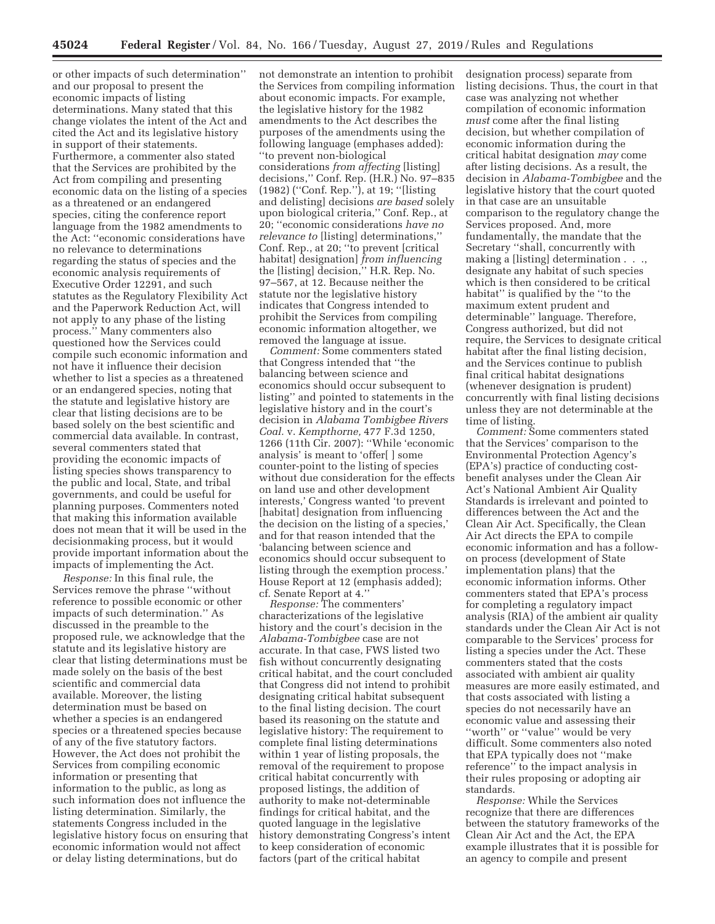or other impacts of such determination'' and our proposal to present the economic impacts of listing determinations. Many stated that this change violates the intent of the Act and cited the Act and its legislative history in support of their statements. Furthermore, a commenter also stated that the Services are prohibited by the Act from compiling and presenting economic data on the listing of a species as a threatened or an endangered species, citing the conference report language from the 1982 amendments to the Act: ''economic considerations have no relevance to determinations regarding the status of species and the economic analysis requirements of Executive Order 12291, and such statutes as the Regulatory Flexibility Act and the Paperwork Reduction Act, will not apply to any phase of the listing process.'' Many commenters also questioned how the Services could compile such economic information and not have it influence their decision whether to list a species as a threatened or an endangered species, noting that the statute and legislative history are clear that listing decisions are to be based solely on the best scientific and commercial data available. In contrast, several commenters stated that providing the economic impacts of listing species shows transparency to the public and local, State, and tribal governments, and could be useful for planning purposes. Commenters noted that making this information available does not mean that it will be used in the decisionmaking process, but it would provide important information about the impacts of implementing the Act.

*Response:* In this final rule, the Services remove the phrase ''without reference to possible economic or other impacts of such determination.'' As discussed in the preamble to the proposed rule, we acknowledge that the statute and its legislative history are clear that listing determinations must be made solely on the basis of the best scientific and commercial data available. Moreover, the listing determination must be based on whether a species is an endangered species or a threatened species because of any of the five statutory factors. However, the Act does not prohibit the Services from compiling economic information or presenting that information to the public, as long as such information does not influence the listing determination. Similarly, the statements Congress included in the legislative history focus on ensuring that economic information would not affect or delay listing determinations, but do

not demonstrate an intention to prohibit the Services from compiling information about economic impacts. For example, the legislative history for the 1982 amendments to the Act describes the purposes of the amendments using the following language (emphases added): ''to prevent non-biological considerations *from affecting* [listing] decisions,'' Conf. Rep. (H.R.) No. 97–835 (1982) (''Conf. Rep.''), at 19; ''[listing and delisting] decisions *are based* solely upon biological criteria,'' Conf. Rep., at 20; ''economic considerations *have no relevance to* [listing] determinations,'' Conf. Rep., at 20; ''to prevent [critical habitat] designation] *from influencing*  the [listing] decision,'' H.R. Rep. No. 97–567, at 12. Because neither the statute nor the legislative history indicates that Congress intended to prohibit the Services from compiling economic information altogether, we removed the language at issue.

*Comment:* Some commenters stated that Congress intended that ''the balancing between science and economics should occur subsequent to listing'' and pointed to statements in the legislative history and in the court's decision in *Alabama Tombigbee Rivers Coal.* v. *Kempthorne,* 477 F.3d 1250, 1266 (11th Cir. 2007): ''While 'economic analysis' is meant to 'offer[ ] some counter-point to the listing of species without due consideration for the effects on land use and other development interests,' Congress wanted 'to prevent [habitat] designation from influencing the decision on the listing of a species,' and for that reason intended that the 'balancing between science and economics should occur subsequent to listing through the exemption process.' House Report at 12 (emphasis added); cf. Senate Report at 4.''

*Response:* The commenters' characterizations of the legislative history and the court's decision in the *Alabama-Tombigbee* case are not accurate. In that case, FWS listed two fish without concurrently designating critical habitat, and the court concluded that Congress did not intend to prohibit designating critical habitat subsequent to the final listing decision. The court based its reasoning on the statute and legislative history: The requirement to complete final listing determinations within 1 year of listing proposals, the removal of the requirement to propose critical habitat concurrently with proposed listings, the addition of authority to make not-determinable findings for critical habitat, and the quoted language in the legislative history demonstrating Congress's intent to keep consideration of economic factors (part of the critical habitat

designation process) separate from listing decisions. Thus, the court in that case was analyzing not whether compilation of economic information *must* come after the final listing decision, but whether compilation of economic information during the critical habitat designation *may* come after listing decisions. As a result, the decision in *Alabama-Tombigbee* and the legislative history that the court quoted in that case are an unsuitable comparison to the regulatory change the Services proposed. And, more fundamentally, the mandate that the Secretary ''shall, concurrently with making a [listing] determination . . ., designate any habitat of such species which is then considered to be critical habitat'' is qualified by the ''to the maximum extent prudent and determinable'' language. Therefore, Congress authorized, but did not require, the Services to designate critical habitat after the final listing decision, and the Services continue to publish final critical habitat designations (whenever designation is prudent) concurrently with final listing decisions unless they are not determinable at the time of listing.

*Comment:* Some commenters stated that the Services' comparison to the Environmental Protection Agency's (EPA's) practice of conducting costbenefit analyses under the Clean Air Act's National Ambient Air Quality Standards is irrelevant and pointed to differences between the Act and the Clean Air Act. Specifically, the Clean Air Act directs the EPA to compile economic information and has a followon process (development of State implementation plans) that the economic information informs. Other commenters stated that EPA's process for completing a regulatory impact analysis (RIA) of the ambient air quality standards under the Clean Air Act is not comparable to the Services' process for listing a species under the Act. These commenters stated that the costs associated with ambient air quality measures are more easily estimated, and that costs associated with listing a species do not necessarily have an economic value and assessing their ''worth'' or ''value'' would be very difficult. Some commenters also noted that EPA typically does not ''make reference'' to the impact analysis in their rules proposing or adopting air standards.

*Response:* While the Services recognize that there are differences between the statutory frameworks of the Clean Air Act and the Act, the EPA example illustrates that it is possible for an agency to compile and present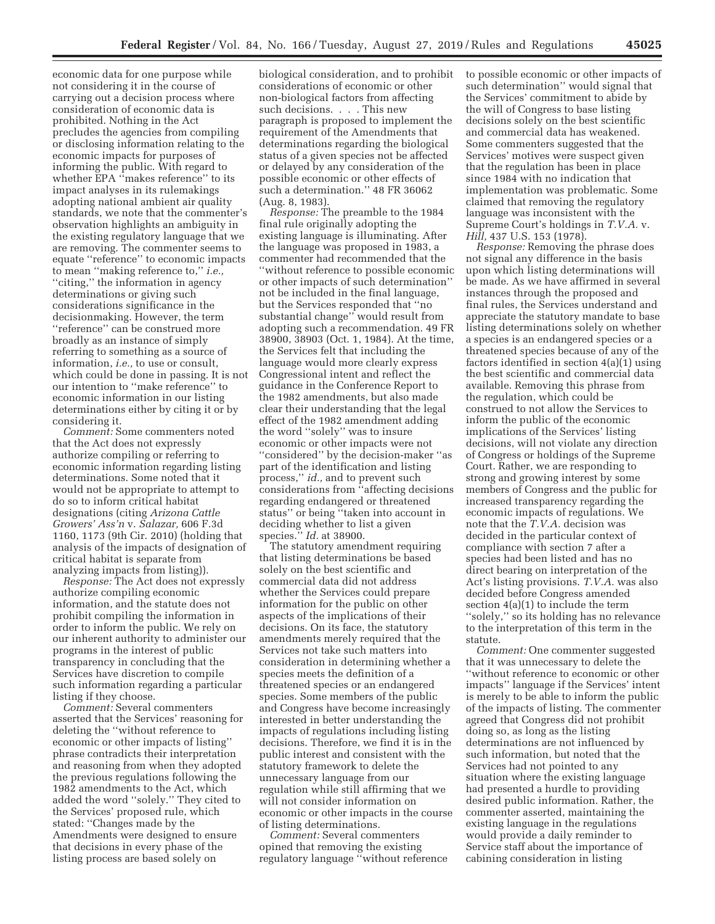economic data for one purpose while not considering it in the course of carrying out a decision process where consideration of economic data is prohibited. Nothing in the Act precludes the agencies from compiling or disclosing information relating to the economic impacts for purposes of informing the public. With regard to whether EPA ''makes reference'' to its impact analyses in its rulemakings adopting national ambient air quality standards, we note that the commenter's observation highlights an ambiguity in the existing regulatory language that we are removing. The commenter seems to equate ''reference'' to economic impacts to mean ''making reference to,'' *i.e.,*  ''citing,'' the information in agency determinations or giving such considerations significance in the decisionmaking. However, the term ''reference'' can be construed more broadly as an instance of simply referring to something as a source of information, *i.e.,* to use or consult, which could be done in passing. It is not our intention to ''make reference'' to economic information in our listing determinations either by citing it or by considering it.

*Comment:* Some commenters noted that the Act does not expressly authorize compiling or referring to economic information regarding listing determinations. Some noted that it would not be appropriate to attempt to do so to inform critical habitat designations (citing *Arizona Cattle Growers' Ass'n* v. *Salazar,* 606 F.3d 1160, 1173 (9th Cir. 2010) (holding that analysis of the impacts of designation of critical habitat is separate from analyzing impacts from listing)).

*Response:* The Act does not expressly authorize compiling economic information, and the statute does not prohibit compiling the information in order to inform the public. We rely on our inherent authority to administer our programs in the interest of public transparency in concluding that the Services have discretion to compile such information regarding a particular listing if they choose.

*Comment:* Several commenters asserted that the Services' reasoning for deleting the ''without reference to economic or other impacts of listing'' phrase contradicts their interpretation and reasoning from when they adopted the previous regulations following the 1982 amendments to the Act, which added the word ''solely.'' They cited to the Services' proposed rule, which stated: ''Changes made by the Amendments were designed to ensure that decisions in every phase of the listing process are based solely on

biological consideration, and to prohibit considerations of economic or other non-biological factors from affecting such decisions. . . . This new paragraph is proposed to implement the requirement of the Amendments that determinations regarding the biological status of a given species not be affected or delayed by any consideration of the possible economic or other effects of such a determination.'' 48 FR 36062 (Aug. 8, 1983).

*Response:* The preamble to the 1984 final rule originally adopting the existing language is illuminating. After the language was proposed in 1983, a commenter had recommended that the ''without reference to possible economic or other impacts of such determination'' not be included in the final language, but the Services responded that ''no substantial change'' would result from adopting such a recommendation. 49 FR 38900, 38903 (Oct. 1, 1984). At the time, the Services felt that including the language would more clearly express Congressional intent and reflect the guidance in the Conference Report to the 1982 amendments, but also made clear their understanding that the legal effect of the 1982 amendment adding the word ''solely'' was to insure economic or other impacts were not ''considered'' by the decision-maker ''as part of the identification and listing process,'' *id.,* and to prevent such considerations from ''affecting decisions regarding endangered or threatened status'' or being ''taken into account in deciding whether to list a given species.'' *Id.* at 38900.

The statutory amendment requiring that listing determinations be based solely on the best scientific and commercial data did not address whether the Services could prepare information for the public on other aspects of the implications of their decisions. On its face, the statutory amendments merely required that the Services not take such matters into consideration in determining whether a species meets the definition of a threatened species or an endangered species. Some members of the public and Congress have become increasingly interested in better understanding the impacts of regulations including listing decisions. Therefore, we find it is in the public interest and consistent with the statutory framework to delete the unnecessary language from our regulation while still affirming that we will not consider information on economic or other impacts in the course of listing determinations.

*Comment:* Several commenters opined that removing the existing regulatory language ''without reference to possible economic or other impacts of such determination'' would signal that the Services' commitment to abide by the will of Congress to base listing decisions solely on the best scientific and commercial data has weakened. Some commenters suggested that the Services' motives were suspect given that the regulation has been in place since 1984 with no indication that implementation was problematic. Some claimed that removing the regulatory language was inconsistent with the Supreme Court's holdings in *T.V.A.* v. *Hill,* 437 U.S. 153 (1978).

*Response:* Removing the phrase does not signal any difference in the basis upon which listing determinations will be made. As we have affirmed in several instances through the proposed and final rules, the Services understand and appreciate the statutory mandate to base listing determinations solely on whether a species is an endangered species or a threatened species because of any of the factors identified in section 4(a)(1) using the best scientific and commercial data available. Removing this phrase from the regulation, which could be construed to not allow the Services to inform the public of the economic implications of the Services' listing decisions, will not violate any direction of Congress or holdings of the Supreme Court. Rather, we are responding to strong and growing interest by some members of Congress and the public for increased transparency regarding the economic impacts of regulations. We note that the *T.V.A.* decision was decided in the particular context of compliance with section 7 after a species had been listed and has no direct bearing on interpretation of the Act's listing provisions. *T.V.A.* was also decided before Congress amended section 4(a)(1) to include the term ''solely,'' so its holding has no relevance to the interpretation of this term in the statute.

*Comment:* One commenter suggested that it was unnecessary to delete the ''without reference to economic or other impacts'' language if the Services' intent is merely to be able to inform the public of the impacts of listing. The commenter agreed that Congress did not prohibit doing so, as long as the listing determinations are not influenced by such information, but noted that the Services had not pointed to any situation where the existing language had presented a hurdle to providing desired public information. Rather, the commenter asserted, maintaining the existing language in the regulations would provide a daily reminder to Service staff about the importance of cabining consideration in listing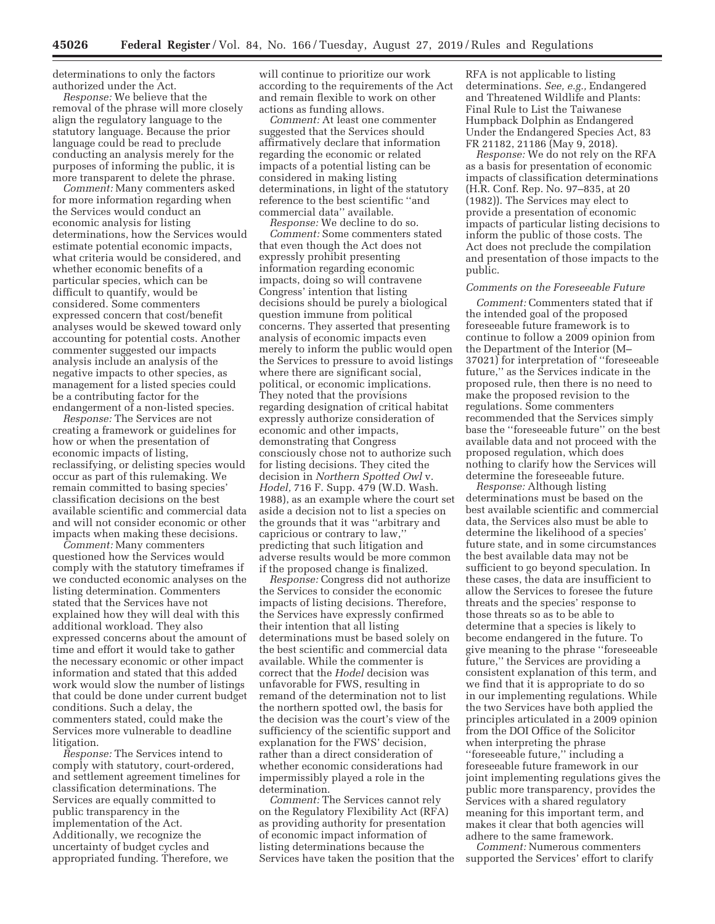determinations to only the factors authorized under the Act.

*Response:* We believe that the removal of the phrase will more closely align the regulatory language to the statutory language. Because the prior language could be read to preclude conducting an analysis merely for the purposes of informing the public, it is more transparent to delete the phrase.

*Comment:* Many commenters asked for more information regarding when the Services would conduct an economic analysis for listing determinations, how the Services would estimate potential economic impacts, what criteria would be considered, and whether economic benefits of a particular species, which can be difficult to quantify, would be considered. Some commenters expressed concern that cost/benefit analyses would be skewed toward only accounting for potential costs. Another commenter suggested our impacts analysis include an analysis of the negative impacts to other species, as management for a listed species could be a contributing factor for the endangerment of a non-listed species.

*Response:* The Services are not creating a framework or guidelines for how or when the presentation of economic impacts of listing, reclassifying, or delisting species would occur as part of this rulemaking. We remain committed to basing species' classification decisions on the best available scientific and commercial data and will not consider economic or other impacts when making these decisions.

*Comment:* Many commenters questioned how the Services would comply with the statutory timeframes if we conducted economic analyses on the listing determination. Commenters stated that the Services have not explained how they will deal with this additional workload. They also expressed concerns about the amount of time and effort it would take to gather the necessary economic or other impact information and stated that this added work would slow the number of listings that could be done under current budget conditions. Such a delay, the commenters stated, could make the Services more vulnerable to deadline litigation.

*Response:* The Services intend to comply with statutory, court-ordered, and settlement agreement timelines for classification determinations. The Services are equally committed to public transparency in the implementation of the Act. Additionally, we recognize the uncertainty of budget cycles and appropriated funding. Therefore, we

will continue to prioritize our work according to the requirements of the Act and remain flexible to work on other actions as funding allows.

*Comment:* At least one commenter suggested that the Services should affirmatively declare that information regarding the economic or related impacts of a potential listing can be considered in making listing determinations, in light of the statutory reference to the best scientific ''and commercial data'' available.

*Response:* We decline to do so. *Comment:* Some commenters stated that even though the Act does not expressly prohibit presenting information regarding economic impacts, doing so will contravene Congress' intention that listing decisions should be purely a biological question immune from political concerns. They asserted that presenting analysis of economic impacts even merely to inform the public would open the Services to pressure to avoid listings where there are significant social, political, or economic implications. They noted that the provisions regarding designation of critical habitat expressly authorize consideration of economic and other impacts, demonstrating that Congress consciously chose not to authorize such for listing decisions. They cited the decision in *Northern Spotted Owl* v. *Hodel,* 716 F. Supp. 479 (W.D. Wash. 1988), as an example where the court set aside a decision not to list a species on the grounds that it was ''arbitrary and capricious or contrary to law,'' predicting that such litigation and adverse results would be more common if the proposed change is finalized.

*Response:* Congress did not authorize the Services to consider the economic impacts of listing decisions. Therefore, the Services have expressly confirmed their intention that all listing determinations must be based solely on the best scientific and commercial data available. While the commenter is correct that the *Hodel* decision was unfavorable for FWS, resulting in remand of the determination not to list the northern spotted owl, the basis for the decision was the court's view of the sufficiency of the scientific support and explanation for the FWS' decision, rather than a direct consideration of whether economic considerations had impermissibly played a role in the determination.

*Comment:* The Services cannot rely on the Regulatory Flexibility Act (RFA) as providing authority for presentation of economic impact information of listing determinations because the Services have taken the position that the

RFA is not applicable to listing determinations. *See, e.g.,* Endangered and Threatened Wildlife and Plants: Final Rule to List the Taiwanese Humpback Dolphin as Endangered Under the Endangered Species Act, 83 FR 21182, 21186 (May 9, 2018).

*Response:* We do not rely on the RFA as a basis for presentation of economic impacts of classification determinations (H.R. Conf. Rep. No. 97–835, at 20 (1982)). The Services may elect to provide a presentation of economic impacts of particular listing decisions to inform the public of those costs. The Act does not preclude the compilation and presentation of those impacts to the public.

# *Comments on the Foreseeable Future*

*Comment:* Commenters stated that if the intended goal of the proposed foreseeable future framework is to continue to follow a 2009 opinion from the Department of the Interior (M– 37021) for interpretation of ''foreseeable future,'' as the Services indicate in the proposed rule, then there is no need to make the proposed revision to the regulations. Some commenters recommended that the Services simply base the ''foreseeable future'' on the best available data and not proceed with the proposed regulation, which does nothing to clarify how the Services will determine the foreseeable future.

*Response:* Although listing determinations must be based on the best available scientific and commercial data, the Services also must be able to determine the likelihood of a species' future state, and in some circumstances the best available data may not be sufficient to go beyond speculation. In these cases, the data are insufficient to allow the Services to foresee the future threats and the species' response to those threats so as to be able to determine that a species is likely to become endangered in the future. To give meaning to the phrase ''foreseeable future,'' the Services are providing a consistent explanation of this term, and we find that it is appropriate to do so in our implementing regulations. While the two Services have both applied the principles articulated in a 2009 opinion from the DOI Office of the Solicitor when interpreting the phrase ''foreseeable future,'' including a foreseeable future framework in our joint implementing regulations gives the public more transparency, provides the Services with a shared regulatory meaning for this important term, and makes it clear that both agencies will adhere to the same framework.

*Comment:* Numerous commenters supported the Services' effort to clarify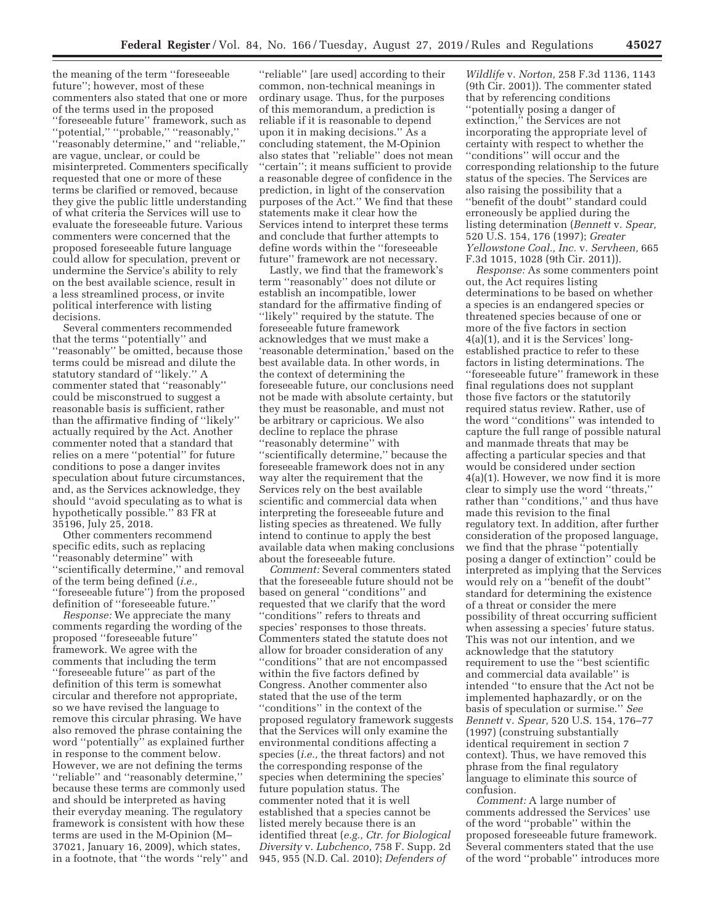the meaning of the term ''foreseeable future''; however, most of these commenters also stated that one or more of the terms used in the proposed ''foreseeable future'' framework, such as ''potential,'' ''probable,'' ''reasonably,'' ''reasonably determine,'' and ''reliable,'' are vague, unclear, or could be misinterpreted. Commenters specifically requested that one or more of these terms be clarified or removed, because they give the public little understanding of what criteria the Services will use to evaluate the foreseeable future. Various commenters were concerned that the proposed foreseeable future language could allow for speculation, prevent or undermine the Service's ability to rely on the best available science, result in a less streamlined process, or invite political interference with listing decisions.

Several commenters recommended that the terms ''potentially'' and ''reasonably'' be omitted, because those terms could be misread and dilute the statutory standard of ''likely.'' A commenter stated that ''reasonably'' could be misconstrued to suggest a reasonable basis is sufficient, rather than the affirmative finding of ''likely'' actually required by the Act. Another commenter noted that a standard that relies on a mere ''potential'' for future conditions to pose a danger invites speculation about future circumstances, and, as the Services acknowledge, they should ''avoid speculating as to what is hypothetically possible.'' 83 FR at 35196, July 25, 2018.

Other commenters recommend specific edits, such as replacing ''reasonably determine'' with ''scientifically determine,'' and removal of the term being defined (*i.e.,*  ''foreseeable future'') from the proposed definition of ''foreseeable future.''

*Response:* We appreciate the many comments regarding the wording of the proposed ''foreseeable future'' framework. We agree with the comments that including the term ''foreseeable future'' as part of the definition of this term is somewhat circular and therefore not appropriate, so we have revised the language to remove this circular phrasing. We have also removed the phrase containing the word ''potentially'' as explained further in response to the comment below. However, we are not defining the terms ''reliable'' and ''reasonably determine,'' because these terms are commonly used and should be interpreted as having their everyday meaning. The regulatory framework is consistent with how these terms are used in the M-Opinion (M– 37021, January 16, 2009), which states, in a footnote, that ''the words ''rely'' and

''reliable'' [are used] according to their common, non-technical meanings in ordinary usage. Thus, for the purposes of this memorandum, a prediction is reliable if it is reasonable to depend upon it in making decisions.'' As a concluding statement, the M-Opinion also states that ''reliable'' does not mean ''certain''; it means sufficient to provide a reasonable degree of confidence in the prediction, in light of the conservation purposes of the Act.'' We find that these statements make it clear how the Services intend to interpret these terms and conclude that further attempts to define words within the ''foreseeable future'' framework are not necessary.

Lastly, we find that the framework's term ''reasonably'' does not dilute or establish an incompatible, lower standard for the affirmative finding of ''likely'' required by the statute. The foreseeable future framework acknowledges that we must make a 'reasonable determination,' based on the best available data. In other words, in the context of determining the foreseeable future, our conclusions need not be made with absolute certainty, but they must be reasonable, and must not be arbitrary or capricious. We also decline to replace the phrase ''reasonably determine'' with ''scientifically determine,'' because the foreseeable framework does not in any way alter the requirement that the Services rely on the best available scientific and commercial data when interpreting the foreseeable future and listing species as threatened. We fully intend to continue to apply the best available data when making conclusions about the foreseeable future.

*Comment:* Several commenters stated that the foreseeable future should not be based on general ''conditions'' and requested that we clarify that the word ''conditions'' refers to threats and species' responses to those threats. Commenters stated the statute does not allow for broader consideration of any ''conditions'' that are not encompassed within the five factors defined by Congress. Another commenter also stated that the use of the term ''conditions'' in the context of the proposed regulatory framework suggests that the Services will only examine the environmental conditions affecting a species (*i.e.,* the threat factors) and not the corresponding response of the species when determining the species' future population status. The commenter noted that it is well established that a species cannot be listed merely because there is an identified threat (*e.g., Ctr. for Biological Diversity* v. *Lubchenco,* 758 F. Supp. 2d 945, 955 (N.D. Cal. 2010); *Defenders of* 

*Wildlife* v. *Norton,* 258 F.3d 1136, 1143 (9th Cir. 2001)). The commenter stated that by referencing conditions ''potentially posing a danger of extinction,'' the Services are not incorporating the appropriate level of certainty with respect to whether the ''conditions'' will occur and the corresponding relationship to the future status of the species. The Services are also raising the possibility that a ''benefit of the doubt'' standard could erroneously be applied during the listing determination (*Bennett* v. *Spear,*  520 U.S. 154, 176 (1997); *Greater Yellowstone Coal., Inc.* v. *Servheen,* 665 F.3d 1015, 1028 (9th Cir. 2011)).

*Response:* As some commenters point out, the Act requires listing determinations to be based on whether a species is an endangered species or threatened species because of one or more of the five factors in section 4(a)(1), and it is the Services' longestablished practice to refer to these factors in listing determinations. The ''foreseeable future'' framework in these final regulations does not supplant those five factors or the statutorily required status review. Rather, use of the word ''conditions'' was intended to capture the full range of possible natural and manmade threats that may be affecting a particular species and that would be considered under section 4(a)(1). However, we now find it is more clear to simply use the word ''threats,'' rather than ''conditions,'' and thus have made this revision to the final regulatory text. In addition, after further consideration of the proposed language, we find that the phrase ''potentially posing a danger of extinction'' could be interpreted as implying that the Services would rely on a ''benefit of the doubt'' standard for determining the existence of a threat or consider the mere possibility of threat occurring sufficient when assessing a species' future status. This was not our intention, and we acknowledge that the statutory requirement to use the ''best scientific and commercial data available'' is intended ''to ensure that the Act not be implemented haphazardly, or on the basis of speculation or surmise.'' *See Bennett* v. *Spear,* 520 U.S. 154, 176–77 (1997) (construing substantially identical requirement in section 7 context). Thus, we have removed this phrase from the final regulatory language to eliminate this source of confusion.

*Comment:* A large number of comments addressed the Services' use of the word ''probable'' within the proposed foreseeable future framework. Several commenters stated that the use of the word ''probable'' introduces more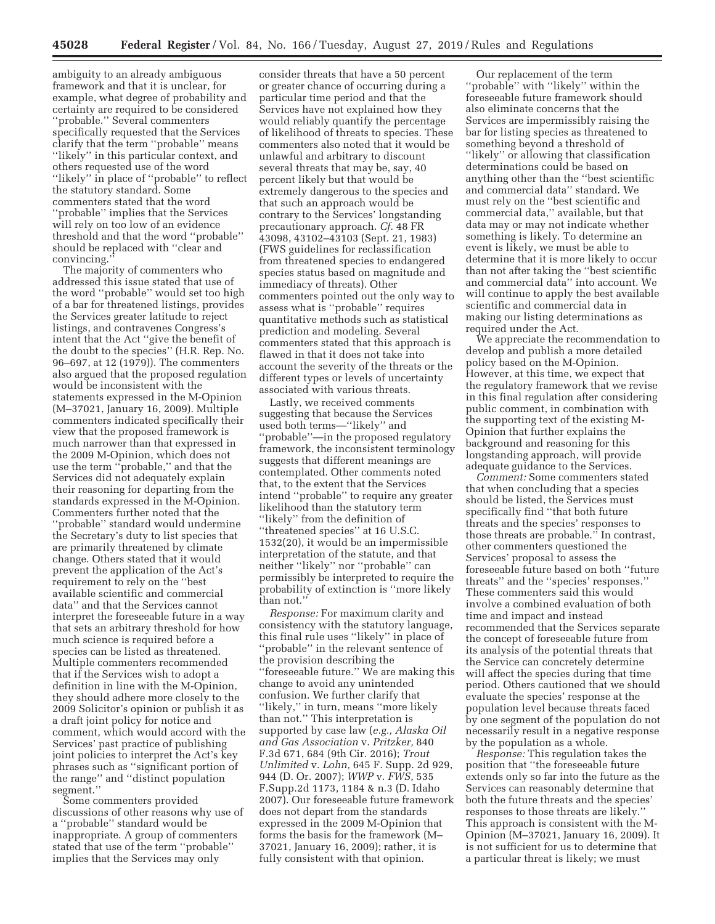ambiguity to an already ambiguous framework and that it is unclear, for example, what degree of probability and certainty are required to be considered ''probable.'' Several commenters specifically requested that the Services clarify that the term ''probable'' means ''likely'' in this particular context, and others requested use of the word ''likely'' in place of ''probable'' to reflect the statutory standard. Some commenters stated that the word ''probable'' implies that the Services will rely on too low of an evidence threshold and that the word ''probable'' should be replaced with ''clear and convincing.''

The majority of commenters who addressed this issue stated that use of the word ''probable'' would set too high of a bar for threatened listings, provides the Services greater latitude to reject listings, and contravenes Congress's intent that the Act ''give the benefit of the doubt to the species'' (H.R. Rep. No. 96–697, at 12 (1979)). The commenters also argued that the proposed regulation would be inconsistent with the statements expressed in the M-Opinion (M–37021, January 16, 2009). Multiple commenters indicated specifically their view that the proposed framework is much narrower than that expressed in the 2009 M-Opinion, which does not use the term ''probable,'' and that the Services did not adequately explain their reasoning for departing from the standards expressed in the M-Opinion. Commenters further noted that the ''probable'' standard would undermine the Secretary's duty to list species that are primarily threatened by climate change. Others stated that it would prevent the application of the Act's requirement to rely on the ''best available scientific and commercial data'' and that the Services cannot interpret the foreseeable future in a way that sets an arbitrary threshold for how much science is required before a species can be listed as threatened. Multiple commenters recommended that if the Services wish to adopt a definition in line with the M-Opinion, they should adhere more closely to the 2009 Solicitor's opinion or publish it as a draft joint policy for notice and comment, which would accord with the Services' past practice of publishing joint policies to interpret the Act's key phrases such as ''significant portion of the range'' and ''distinct population segment.''

Some commenters provided discussions of other reasons why use of a ''probable'' standard would be inappropriate. A group of commenters stated that use of the term ''probable'' implies that the Services may only

consider threats that have a 50 percent or greater chance of occurring during a particular time period and that the Services have not explained how they would reliably quantify the percentage of likelihood of threats to species. These commenters also noted that it would be unlawful and arbitrary to discount several threats that may be, say, 40 percent likely but that would be extremely dangerous to the species and that such an approach would be contrary to the Services' longstanding precautionary approach. *Cf.* 48 FR 43098, 43102–43103 (Sept. 21, 1983) (FWS guidelines for reclassification from threatened species to endangered species status based on magnitude and immediacy of threats). Other commenters pointed out the only way to assess what is ''probable'' requires quantitative methods such as statistical prediction and modeling. Several commenters stated that this approach is flawed in that it does not take into account the severity of the threats or the different types or levels of uncertainty associated with various threats.

Lastly, we received comments suggesting that because the Services used both terms—''likely'' and ''probable''—in the proposed regulatory framework, the inconsistent terminology suggests that different meanings are contemplated. Other comments noted that, to the extent that the Services intend ''probable'' to require any greater likelihood than the statutory term ''likely'' from the definition of ''threatened species'' at 16 U.S.C. 1532(20), it would be an impermissible interpretation of the statute, and that neither ''likely'' nor ''probable'' can permissibly be interpreted to require the probability of extinction is ''more likely than not.''

*Response:* For maximum clarity and consistency with the statutory language, this final rule uses ''likely'' in place of ''probable'' in the relevant sentence of the provision describing the ''foreseeable future.'' We are making this change to avoid any unintended confusion. We further clarify that "likely," in turn, means "more likely than not.'' This interpretation is supported by case law (*e.g., Alaska Oil and Gas Association* v. *Pritzker,* 840 F.3d 671, 684 (9th Cir. 2016); *Trout Unlimited* v. *Lohn,* 645 F. Supp. 2d 929, 944 (D. Or. 2007); *WWP* v. *FWS,* 535 F.Supp.2d 1173, 1184 & n.3 (D. Idaho 2007). Our foreseeable future framework does not depart from the standards expressed in the 2009 M-Opinion that forms the basis for the framework (M– 37021, January 16, 2009); rather, it is fully consistent with that opinion.

Our replacement of the term ''probable'' with ''likely'' within the foreseeable future framework should also eliminate concerns that the Services are impermissibly raising the bar for listing species as threatened to something beyond a threshold of ''likely'' or allowing that classification determinations could be based on anything other than the ''best scientific and commercial data'' standard. We must rely on the ''best scientific and commercial data,'' available, but that data may or may not indicate whether something is likely. To determine an event is likely, we must be able to determine that it is more likely to occur than not after taking the ''best scientific and commercial data'' into account. We will continue to apply the best available scientific and commercial data in making our listing determinations as required under the Act.

We appreciate the recommendation to develop and publish a more detailed policy based on the M-Opinion. However, at this time, we expect that the regulatory framework that we revise in this final regulation after considering public comment, in combination with the supporting text of the existing M-Opinion that further explains the background and reasoning for this longstanding approach, will provide adequate guidance to the Services.

*Comment:* Some commenters stated that when concluding that a species should be listed, the Services must specifically find ''that both future threats and the species' responses to those threats are probable.'' In contrast, other commenters questioned the Services' proposal to assess the foreseeable future based on both ''future threats'' and the ''species' responses.'' These commenters said this would involve a combined evaluation of both time and impact and instead recommended that the Services separate the concept of foreseeable future from its analysis of the potential threats that the Service can concretely determine will affect the species during that time period. Others cautioned that we should evaluate the species' response at the population level because threats faced by one segment of the population do not necessarily result in a negative response by the population as a whole.

*Response:* This regulation takes the position that ''the foreseeable future extends only so far into the future as the Services can reasonably determine that both the future threats and the species' responses to those threats are likely.'' This approach is consistent with the M-Opinion (M–37021, January 16, 2009). It is not sufficient for us to determine that a particular threat is likely; we must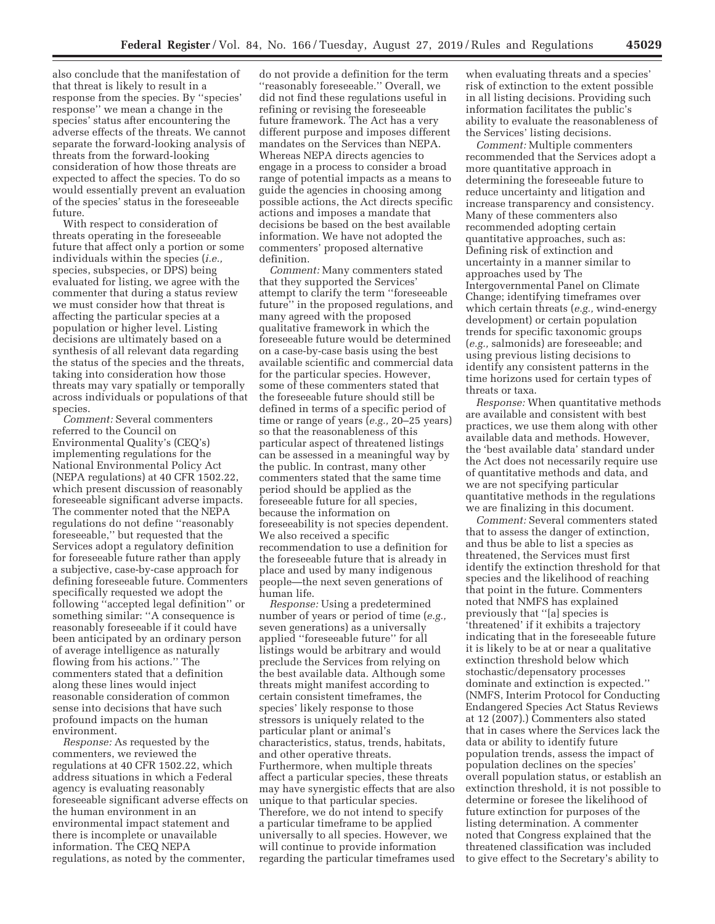also conclude that the manifestation of that threat is likely to result in a response from the species. By ''species' response'' we mean a change in the species' status after encountering the adverse effects of the threats. We cannot separate the forward-looking analysis of threats from the forward-looking consideration of how those threats are expected to affect the species. To do so would essentially prevent an evaluation of the species' status in the foreseeable future.

With respect to consideration of threats operating in the foreseeable future that affect only a portion or some individuals within the species (*i.e.,*  species, subspecies, or DPS) being evaluated for listing, we agree with the commenter that during a status review we must consider how that threat is affecting the particular species at a population or higher level. Listing decisions are ultimately based on a synthesis of all relevant data regarding the status of the species and the threats, taking into consideration how those threats may vary spatially or temporally across individuals or populations of that species.

*Comment:* Several commenters referred to the Council on Environmental Quality's (CEQ's) implementing regulations for the National Environmental Policy Act (NEPA regulations) at 40 CFR 1502.22, which present discussion of reasonably foreseeable significant adverse impacts. The commenter noted that the NEPA regulations do not define ''reasonably foreseeable,'' but requested that the Services adopt a regulatory definition for foreseeable future rather than apply a subjective, case-by-case approach for defining foreseeable future. Commenters specifically requested we adopt the following ''accepted legal definition'' or something similar: ''A consequence is reasonably foreseeable if it could have been anticipated by an ordinary person of average intelligence as naturally flowing from his actions.'' The commenters stated that a definition along these lines would inject reasonable consideration of common sense into decisions that have such profound impacts on the human environment.

*Response:* As requested by the commenters, we reviewed the regulations at 40 CFR 1502.22, which address situations in which a Federal agency is evaluating reasonably foreseeable significant adverse effects on the human environment in an environmental impact statement and there is incomplete or unavailable information. The CEQ NEPA regulations, as noted by the commenter,

do not provide a definition for the term ''reasonably foreseeable.'' Overall, we did not find these regulations useful in refining or revising the foreseeable future framework. The Act has a very different purpose and imposes different mandates on the Services than NEPA. Whereas NEPA directs agencies to engage in a process to consider a broad range of potential impacts as a means to guide the agencies in choosing among possible actions, the Act directs specific actions and imposes a mandate that decisions be based on the best available information. We have not adopted the commenters' proposed alternative definition.

*Comment:* Many commenters stated that they supported the Services' attempt to clarify the term ''foreseeable future'' in the proposed regulations, and many agreed with the proposed qualitative framework in which the foreseeable future would be determined on a case-by-case basis using the best available scientific and commercial data for the particular species. However, some of these commenters stated that the foreseeable future should still be defined in terms of a specific period of time or range of years (*e.g.,* 20–25 years) so that the reasonableness of this particular aspect of threatened listings can be assessed in a meaningful way by the public. In contrast, many other commenters stated that the same time period should be applied as the foreseeable future for all species, because the information on foreseeability is not species dependent. We also received a specific recommendation to use a definition for the foreseeable future that is already in place and used by many indigenous people—the next seven generations of human life.

*Response:* Using a predetermined number of years or period of time (*e.g.,*  seven generations) as a universally applied ''foreseeable future'' for all listings would be arbitrary and would preclude the Services from relying on the best available data. Although some threats might manifest according to certain consistent timeframes, the species' likely response to those stressors is uniquely related to the particular plant or animal's characteristics, status, trends, habitats, and other operative threats. Furthermore, when multiple threats affect a particular species, these threats may have synergistic effects that are also unique to that particular species. Therefore, we do not intend to specify a particular timeframe to be applied universally to all species. However, we will continue to provide information regarding the particular timeframes used

when evaluating threats and a species' risk of extinction to the extent possible in all listing decisions. Providing such information facilitates the public's ability to evaluate the reasonableness of the Services' listing decisions.

*Comment:* Multiple commenters recommended that the Services adopt a more quantitative approach in determining the foreseeable future to reduce uncertainty and litigation and increase transparency and consistency. Many of these commenters also recommended adopting certain quantitative approaches, such as: Defining risk of extinction and uncertainty in a manner similar to approaches used by The Intergovernmental Panel on Climate Change; identifying timeframes over which certain threats (*e.g.,* wind-energy development) or certain population trends for specific taxonomic groups (*e.g.,* salmonids) are foreseeable; and using previous listing decisions to identify any consistent patterns in the time horizons used for certain types of threats or taxa.

*Response:* When quantitative methods are available and consistent with best practices, we use them along with other available data and methods. However, the 'best available data' standard under the Act does not necessarily require use of quantitative methods and data, and we are not specifying particular quantitative methods in the regulations we are finalizing in this document.

*Comment:* Several commenters stated that to assess the danger of extinction, and thus be able to list a species as threatened, the Services must first identify the extinction threshold for that species and the likelihood of reaching that point in the future. Commenters noted that NMFS has explained previously that ''[a] species is 'threatened' if it exhibits a trajectory indicating that in the foreseeable future it is likely to be at or near a qualitative extinction threshold below which stochastic/depensatory processes dominate and extinction is expected.'' (NMFS, Interim Protocol for Conducting Endangered Species Act Status Reviews at 12 (2007).) Commenters also stated that in cases where the Services lack the data or ability to identify future population trends, assess the impact of population declines on the species' overall population status, or establish an extinction threshold, it is not possible to determine or foresee the likelihood of future extinction for purposes of the listing determination. A commenter noted that Congress explained that the threatened classification was included to give effect to the Secretary's ability to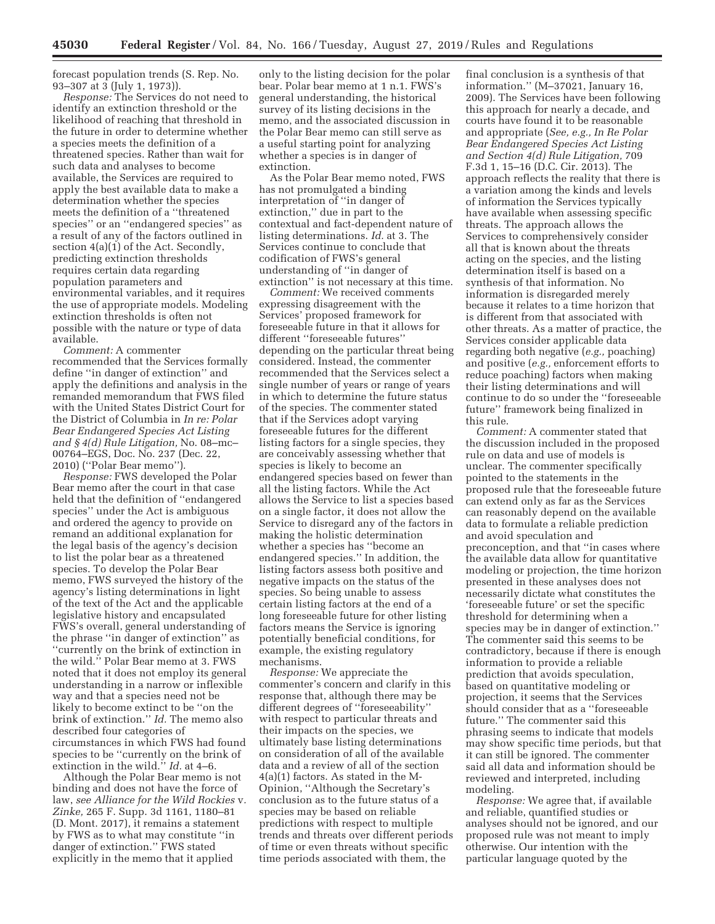forecast population trends (S. Rep. No. 93–307 at 3 (July 1, 1973)).

*Response:* The Services do not need to identify an extinction threshold or the likelihood of reaching that threshold in the future in order to determine whether a species meets the definition of a threatened species. Rather than wait for such data and analyses to become available, the Services are required to apply the best available data to make a determination whether the species meets the definition of a ''threatened species'' or an ''endangered species'' as a result of any of the factors outlined in section 4(a)(1) of the Act. Secondly, predicting extinction thresholds requires certain data regarding population parameters and environmental variables, and it requires the use of appropriate models. Modeling extinction thresholds is often not possible with the nature or type of data available.

*Comment:* A commenter recommended that the Services formally define ''in danger of extinction'' and apply the definitions and analysis in the remanded memorandum that FWS filed with the United States District Court for the District of Columbia in *In re: Polar Bear Endangered Species Act Listing and § 4(d) Rule Litigation,* No. 08–mc– 00764–EGS, Doc. No. 237 (Dec. 22, 2010) (''Polar Bear memo'').

*Response:* FWS developed the Polar Bear memo after the court in that case held that the definition of ''endangered species'' under the Act is ambiguous and ordered the agency to provide on remand an additional explanation for the legal basis of the agency's decision to list the polar bear as a threatened species. To develop the Polar Bear memo, FWS surveyed the history of the agency's listing determinations in light of the text of the Act and the applicable legislative history and encapsulated FWS's overall, general understanding of the phrase ''in danger of extinction'' as ''currently on the brink of extinction in the wild.'' Polar Bear memo at 3. FWS noted that it does not employ its general understanding in a narrow or inflexible way and that a species need not be likely to become extinct to be ''on the brink of extinction.'' *Id.* The memo also described four categories of circumstances in which FWS had found species to be ''currently on the brink of extinction in the wild.'' *Id.* at 4–6.

Although the Polar Bear memo is not binding and does not have the force of law, *see Alliance for the Wild Rockies* v*. Zinke,* 265 F. Supp. 3d 1161, 1180–81 (D. Mont. 2017), it remains a statement by FWS as to what may constitute ''in danger of extinction.'' FWS stated explicitly in the memo that it applied

only to the listing decision for the polar bear. Polar bear memo at 1 n.1. FWS's general understanding, the historical survey of its listing decisions in the memo, and the associated discussion in the Polar Bear memo can still serve as a useful starting point for analyzing whether a species is in danger of extinction.

As the Polar Bear memo noted, FWS has not promulgated a binding interpretation of ''in danger of extinction,'' due in part to the contextual and fact-dependent nature of listing determinations. *Id.* at 3. The Services continue to conclude that codification of FWS's general understanding of ''in danger of extinction'' is not necessary at this time.

*Comment:* We received comments expressing disagreement with the Services' proposed framework for foreseeable future in that it allows for different ''foreseeable futures'' depending on the particular threat being considered. Instead, the commenter recommended that the Services select a single number of years or range of years in which to determine the future status of the species. The commenter stated that if the Services adopt varying foreseeable futures for the different listing factors for a single species, they are conceivably assessing whether that species is likely to become an endangered species based on fewer than all the listing factors. While the Act allows the Service to list a species based on a single factor, it does not allow the Service to disregard any of the factors in making the holistic determination whether a species has ''become an endangered species.'' In addition, the listing factors assess both positive and negative impacts on the status of the species. So being unable to assess certain listing factors at the end of a long foreseeable future for other listing factors means the Service is ignoring potentially beneficial conditions, for example, the existing regulatory mechanisms.

*Response:* We appreciate the commenter's concern and clarify in this response that, although there may be different degrees of ''foreseeability'' with respect to particular threats and their impacts on the species, we ultimately base listing determinations on consideration of all of the available data and a review of all of the section 4(a)(1) factors. As stated in the M-Opinion, ''Although the Secretary's conclusion as to the future status of a species may be based on reliable predictions with respect to multiple trends and threats over different periods of time or even threats without specific time periods associated with them, the

final conclusion is a synthesis of that information.'' (M–37021, January 16, 2009). The Services have been following this approach for nearly a decade, and courts have found it to be reasonable and appropriate (*See, e.g., In Re Polar Bear Endangered Species Act Listing and Section 4(d) Rule Litigation,* 709 F.3d 1, 15–16 (D.C. Cir. 2013). The approach reflects the reality that there is a variation among the kinds and levels of information the Services typically have available when assessing specific threats. The approach allows the Services to comprehensively consider all that is known about the threats acting on the species, and the listing determination itself is based on a synthesis of that information. No information is disregarded merely because it relates to a time horizon that is different from that associated with other threats. As a matter of practice, the Services consider applicable data regarding both negative (*e.g.,* poaching) and positive (*e.g.,* enforcement efforts to reduce poaching) factors when making their listing determinations and will continue to do so under the ''foreseeable future'' framework being finalized in this rule.

*Comment:* A commenter stated that the discussion included in the proposed rule on data and use of models is unclear. The commenter specifically pointed to the statements in the proposed rule that the foreseeable future can extend only as far as the Services can reasonably depend on the available data to formulate a reliable prediction and avoid speculation and preconception, and that ''in cases where the available data allow for quantitative modeling or projection, the time horizon presented in these analyses does not necessarily dictate what constitutes the 'foreseeable future' or set the specific threshold for determining when a species may be in danger of extinction.'' The commenter said this seems to be contradictory, because if there is enough information to provide a reliable prediction that avoids speculation, based on quantitative modeling or projection, it seems that the Services should consider that as a ''foreseeable future.'' The commenter said this phrasing seems to indicate that models may show specific time periods, but that it can still be ignored. The commenter said all data and information should be reviewed and interpreted, including modeling.

*Response:* We agree that, if available and reliable, quantified studies or analyses should not be ignored, and our proposed rule was not meant to imply otherwise. Our intention with the particular language quoted by the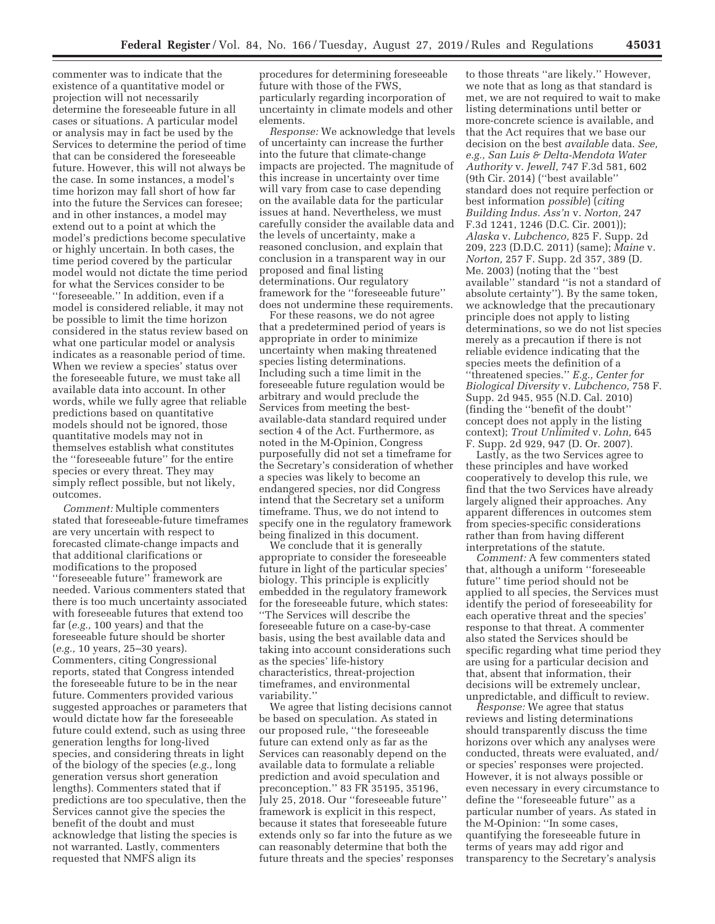commenter was to indicate that the existence of a quantitative model or projection will not necessarily determine the foreseeable future in all cases or situations. A particular model or analysis may in fact be used by the Services to determine the period of time that can be considered the foreseeable future. However, this will not always be the case. In some instances, a model's time horizon may fall short of how far into the future the Services can foresee; and in other instances, a model may extend out to a point at which the model's predictions become speculative or highly uncertain. In both cases, the time period covered by the particular model would not dictate the time period for what the Services consider to be ''foreseeable.'' In addition, even if a model is considered reliable, it may not be possible to limit the time horizon considered in the status review based on what one particular model or analysis indicates as a reasonable period of time. When we review a species' status over the foreseeable future, we must take all available data into account. In other words, while we fully agree that reliable predictions based on quantitative models should not be ignored, those quantitative models may not in themselves establish what constitutes the ''foreseeable future'' for the entire species or every threat. They may simply reflect possible, but not likely, outcomes.

*Comment:* Multiple commenters stated that foreseeable-future timeframes are very uncertain with respect to forecasted climate-change impacts and that additional clarifications or modifications to the proposed ''foreseeable future'' framework are needed. Various commenters stated that there is too much uncertainty associated with foreseeable futures that extend too far (*e.g.,* 100 years) and that the foreseeable future should be shorter (*e.g.,* 10 years, 25–30 years). Commenters, citing Congressional reports, stated that Congress intended the foreseeable future to be in the near future. Commenters provided various suggested approaches or parameters that would dictate how far the foreseeable future could extend, such as using three generation lengths for long-lived species, and considering threats in light of the biology of the species (*e.g.,* long generation versus short generation lengths). Commenters stated that if predictions are too speculative, then the Services cannot give the species the benefit of the doubt and must acknowledge that listing the species is not warranted. Lastly, commenters requested that NMFS align its

procedures for determining foreseeable future with those of the FWS, particularly regarding incorporation of uncertainty in climate models and other elements.

*Response:* We acknowledge that levels of uncertainty can increase the further into the future that climate-change impacts are projected. The magnitude of this increase in uncertainty over time will vary from case to case depending on the available data for the particular issues at hand. Nevertheless, we must carefully consider the available data and the levels of uncertainty, make a reasoned conclusion, and explain that conclusion in a transparent way in our proposed and final listing determinations. Our regulatory framework for the ''foreseeable future'' does not undermine these requirements.

For these reasons, we do not agree that a predetermined period of years is appropriate in order to minimize uncertainty when making threatened species listing determinations. Including such a time limit in the foreseeable future regulation would be arbitrary and would preclude the Services from meeting the bestavailable-data standard required under section 4 of the Act. Furthermore, as noted in the M-Opinion, Congress purposefully did not set a timeframe for the Secretary's consideration of whether a species was likely to become an endangered species, nor did Congress intend that the Secretary set a uniform timeframe. Thus, we do not intend to specify one in the regulatory framework being finalized in this document.

We conclude that it is generally appropriate to consider the foreseeable future in light of the particular species' biology. This principle is explicitly embedded in the regulatory framework for the foreseeable future, which states: ''The Services will describe the foreseeable future on a case-by-case basis, using the best available data and taking into account considerations such as the species' life-history characteristics, threat-projection timeframes, and environmental variability.''

We agree that listing decisions cannot be based on speculation. As stated in our proposed rule, ''the foreseeable future can extend only as far as the Services can reasonably depend on the available data to formulate a reliable prediction and avoid speculation and preconception.'' 83 FR 35195, 35196, July 25, 2018. Our ''foreseeable future'' framework is explicit in this respect, because it states that foreseeable future extends only so far into the future as we can reasonably determine that both the future threats and the species' responses

to those threats ''are likely.'' However, we note that as long as that standard is met, we are not required to wait to make listing determinations until better or more-concrete science is available, and that the Act requires that we base our decision on the best *available* data. *See, e.g., San Luis & Delta-Mendota Water Authority* v. *Jewell,* 747 F.3d 581, 602 (9th Cir. 2014) (''best available'' standard does not require perfection or best information *possible*) (*citing Building Indus. Ass'n* v. *Norton,* 247 F.3d 1241, 1246 (D.C. Cir. 2001)); *Alaska* v. *Lubchenco,* 825 F. Supp. 2d 209, 223 (D.D.C. 2011) (same); *Maine* v. *Norton,* 257 F. Supp. 2d 357, 389 (D. Me. 2003) (noting that the ''best available'' standard ''is not a standard of absolute certainty''). By the same token, we acknowledge that the precautionary principle does not apply to listing determinations, so we do not list species merely as a precaution if there is not reliable evidence indicating that the species meets the definition of a ''threatened species.'' *E.g., Center for Biological Diversity* v. *Lubchenco,* 758 F. Supp. 2d 945, 955 (N.D. Cal. 2010) (finding the ''benefit of the doubt'' concept does not apply in the listing context); *Trout Unlimited* v. *Lohn,* 645 F. Supp. 2d 929, 947 (D. Or. 2007).

Lastly, as the two Services agree to these principles and have worked cooperatively to develop this rule, we find that the two Services have already largely aligned their approaches. Any apparent differences in outcomes stem from species-specific considerations rather than from having different interpretations of the statute.

*Comment:* A few commenters stated that, although a uniform ''foreseeable future'' time period should not be applied to all species, the Services must identify the period of foreseeability for each operative threat and the species' response to that threat. A commenter also stated the Services should be specific regarding what time period they are using for a particular decision and that, absent that information, their decisions will be extremely unclear, unpredictable, and difficult to review.

*Response:* We agree that status reviews and listing determinations should transparently discuss the time horizons over which any analyses were conducted, threats were evaluated, and/ or species' responses were projected. However, it is not always possible or even necessary in every circumstance to define the ''foreseeable future'' as a particular number of years. As stated in the M-Opinion: ''In some cases, quantifying the foreseeable future in terms of years may add rigor and transparency to the Secretary's analysis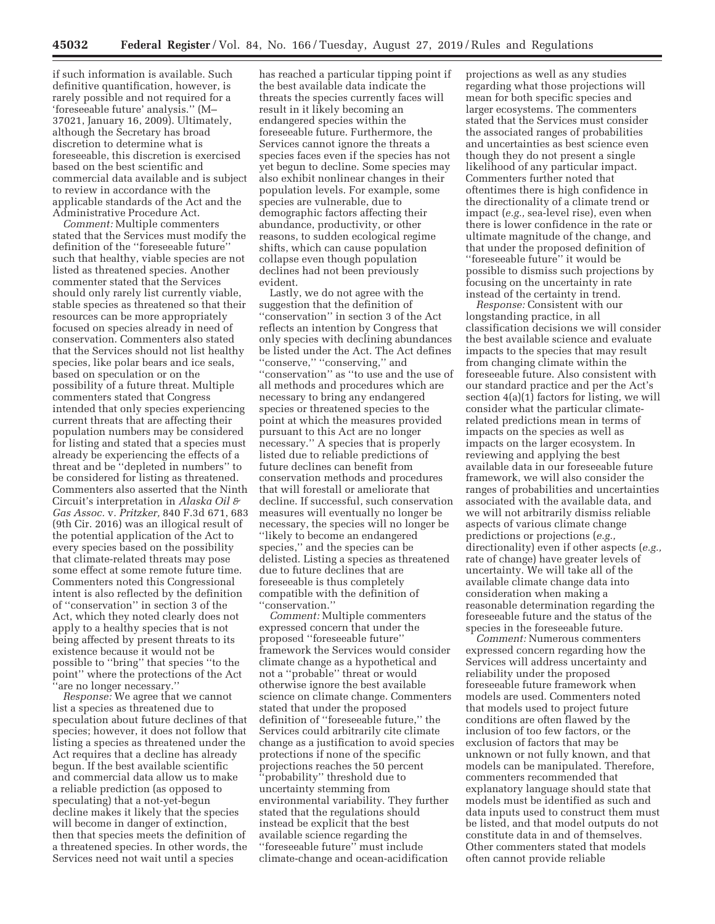if such information is available. Such definitive quantification, however, is rarely possible and not required for a 'foreseeable future' analysis.'' (M– 37021, January 16, 2009). Ultimately, although the Secretary has broad discretion to determine what is foreseeable, this discretion is exercised based on the best scientific and commercial data available and is subject to review in accordance with the applicable standards of the Act and the Administrative Procedure Act.

*Comment:* Multiple commenters stated that the Services must modify the definition of the ''foreseeable future'' such that healthy, viable species are not listed as threatened species. Another commenter stated that the Services should only rarely list currently viable, stable species as threatened so that their resources can be more appropriately focused on species already in need of conservation. Commenters also stated that the Services should not list healthy species, like polar bears and ice seals, based on speculation or on the possibility of a future threat. Multiple commenters stated that Congress intended that only species experiencing current threats that are affecting their population numbers may be considered for listing and stated that a species must already be experiencing the effects of a threat and be ''depleted in numbers'' to be considered for listing as threatened. Commenters also asserted that the Ninth Circuit's interpretation in *Alaska Oil & Gas Assoc.* v*. Pritzker,* 840 F.3d 671, 683 (9th Cir. 2016) was an illogical result of the potential application of the Act to every species based on the possibility that climate-related threats may pose some effect at some remote future time. Commenters noted this Congressional intent is also reflected by the definition of ''conservation'' in section 3 of the Act, which they noted clearly does not apply to a healthy species that is not being affected by present threats to its existence because it would not be possible to ''bring'' that species ''to the point'' where the protections of the Act 'are no longer necessary."

*Response:* We agree that we cannot list a species as threatened due to speculation about future declines of that species; however, it does not follow that listing a species as threatened under the Act requires that a decline has already begun. If the best available scientific and commercial data allow us to make a reliable prediction (as opposed to speculating) that a not-yet-begun decline makes it likely that the species will become in danger of extinction, then that species meets the definition of a threatened species. In other words, the Services need not wait until a species

has reached a particular tipping point if the best available data indicate the threats the species currently faces will result in it likely becoming an endangered species within the foreseeable future. Furthermore, the Services cannot ignore the threats a species faces even if the species has not yet begun to decline. Some species may also exhibit nonlinear changes in their population levels. For example, some species are vulnerable, due to demographic factors affecting their abundance, productivity, or other reasons, to sudden ecological regime shifts, which can cause population collapse even though population declines had not been previously evident.

Lastly, we do not agree with the suggestion that the definition of ''conservation'' in section 3 of the Act reflects an intention by Congress that only species with declining abundances be listed under the Act. The Act defines "conserve," "conserving," and ''conservation'' as ''to use and the use of all methods and procedures which are necessary to bring any endangered species or threatened species to the point at which the measures provided pursuant to this Act are no longer necessary.'' A species that is properly listed due to reliable predictions of future declines can benefit from conservation methods and procedures that will forestall or ameliorate that decline. If successful, such conservation measures will eventually no longer be necessary, the species will no longer be ''likely to become an endangered species,'' and the species can be delisted. Listing a species as threatened due to future declines that are foreseeable is thus completely compatible with the definition of ''conservation.''

*Comment:* Multiple commenters expressed concern that under the proposed ''foreseeable future'' framework the Services would consider climate change as a hypothetical and not a ''probable'' threat or would otherwise ignore the best available science on climate change. Commenters stated that under the proposed definition of ''foreseeable future,'' the Services could arbitrarily cite climate change as a justification to avoid species protections if none of the specific projections reaches the 50 percent ''probability'' threshold due to uncertainty stemming from environmental variability. They further stated that the regulations should instead be explicit that the best available science regarding the ''foreseeable future'' must include climate-change and ocean-acidification

projections as well as any studies regarding what those projections will mean for both specific species and larger ecosystems. The commenters stated that the Services must consider the associated ranges of probabilities and uncertainties as best science even though they do not present a single likelihood of any particular impact. Commenters further noted that oftentimes there is high confidence in the directionality of a climate trend or impact (*e.g.,* sea-level rise), even when there is lower confidence in the rate or ultimate magnitude of the change, and that under the proposed definition of ''foreseeable future'' it would be possible to dismiss such projections by focusing on the uncertainty in rate instead of the certainty in trend.

*Response:* Consistent with our longstanding practice, in all classification decisions we will consider the best available science and evaluate impacts to the species that may result from changing climate within the foreseeable future. Also consistent with our standard practice and per the Act's section 4(a)(1) factors for listing, we will consider what the particular climaterelated predictions mean in terms of impacts on the species as well as impacts on the larger ecosystem. In reviewing and applying the best available data in our foreseeable future framework, we will also consider the ranges of probabilities and uncertainties associated with the available data, and we will not arbitrarily dismiss reliable aspects of various climate change predictions or projections (*e.g.,*  directionality) even if other aspects (*e.g.,*  rate of change) have greater levels of uncertainty. We will take all of the available climate change data into consideration when making a reasonable determination regarding the foreseeable future and the status of the species in the foreseeable future.

*Comment:* Numerous commenters expressed concern regarding how the Services will address uncertainty and reliability under the proposed foreseeable future framework when models are used. Commenters noted that models used to project future conditions are often flawed by the inclusion of too few factors, or the exclusion of factors that may be unknown or not fully known, and that models can be manipulated. Therefore, commenters recommended that explanatory language should state that models must be identified as such and data inputs used to construct them must be listed, and that model outputs do not constitute data in and of themselves. Other commenters stated that models often cannot provide reliable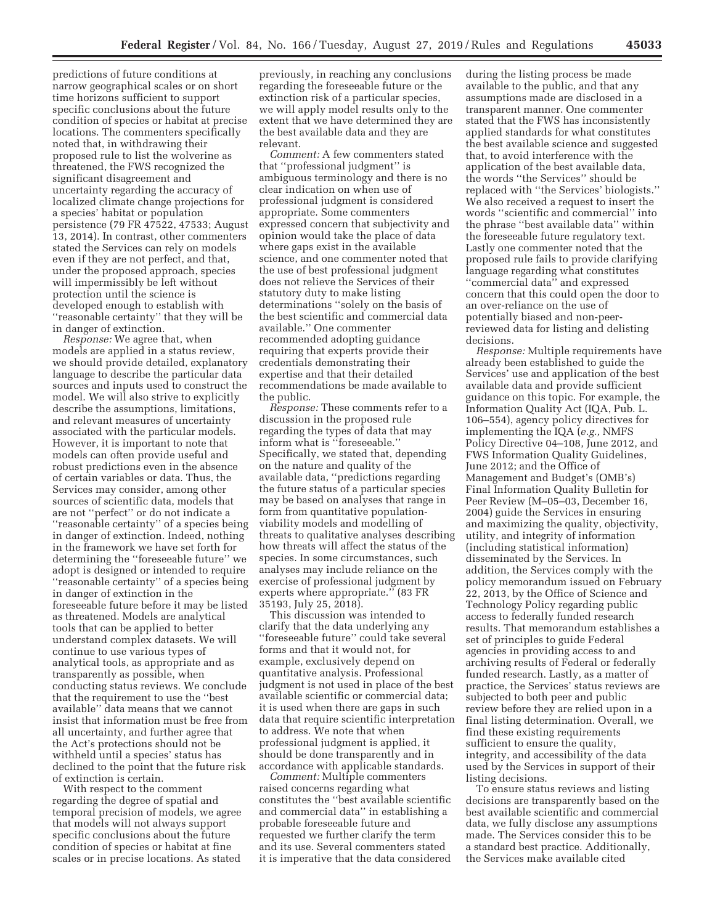predictions of future conditions at narrow geographical scales or on short time horizons sufficient to support specific conclusions about the future condition of species or habitat at precise locations. The commenters specifically noted that, in withdrawing their proposed rule to list the wolverine as threatened, the FWS recognized the significant disagreement and uncertainty regarding the accuracy of localized climate change projections for a species' habitat or population persistence (79 FR 47522, 47533; August 13, 2014). In contrast, other commenters stated the Services can rely on models even if they are not perfect, and that, under the proposed approach, species will impermissibly be left without protection until the science is developed enough to establish with ''reasonable certainty'' that they will be in danger of extinction.

*Response:* We agree that, when models are applied in a status review, we should provide detailed, explanatory language to describe the particular data sources and inputs used to construct the model. We will also strive to explicitly describe the assumptions, limitations, and relevant measures of uncertainty associated with the particular models. However, it is important to note that models can often provide useful and robust predictions even in the absence of certain variables or data. Thus, the Services may consider, among other sources of scientific data, models that are not ''perfect'' or do not indicate a ''reasonable certainty'' of a species being in danger of extinction. Indeed, nothing in the framework we have set forth for determining the ''foreseeable future'' we adopt is designed or intended to require ''reasonable certainty'' of a species being in danger of extinction in the foreseeable future before it may be listed as threatened. Models are analytical tools that can be applied to better understand complex datasets. We will continue to use various types of analytical tools, as appropriate and as transparently as possible, when conducting status reviews. We conclude that the requirement to use the ''best available'' data means that we cannot insist that information must be free from all uncertainty, and further agree that the Act's protections should not be withheld until a species' status has declined to the point that the future risk of extinction is certain.

With respect to the comment regarding the degree of spatial and temporal precision of models, we agree that models will not always support specific conclusions about the future condition of species or habitat at fine scales or in precise locations. As stated

previously, in reaching any conclusions regarding the foreseeable future or the extinction risk of a particular species, we will apply model results only to the extent that we have determined they are the best available data and they are relevant.

*Comment:* A few commenters stated that ''professional judgment'' is ambiguous terminology and there is no clear indication on when use of professional judgment is considered appropriate. Some commenters expressed concern that subjectivity and opinion would take the place of data where gaps exist in the available science, and one commenter noted that the use of best professional judgment does not relieve the Services of their statutory duty to make listing determinations ''solely on the basis of the best scientific and commercial data available.'' One commenter recommended adopting guidance requiring that experts provide their credentials demonstrating their expertise and that their detailed recommendations be made available to the public.

*Response:* These comments refer to a discussion in the proposed rule regarding the types of data that may inform what is ''foreseeable.'' Specifically, we stated that, depending on the nature and quality of the available data, ''predictions regarding the future status of a particular species may be based on analyses that range in form from quantitative populationviability models and modelling of threats to qualitative analyses describing how threats will affect the status of the species. In some circumstances, such analyses may include reliance on the exercise of professional judgment by experts where appropriate.'' (83 FR 35193, July 25, 2018).

This discussion was intended to clarify that the data underlying any ''foreseeable future'' could take several forms and that it would not, for example, exclusively depend on quantitative analysis. Professional judgment is not used in place of the best available scientific or commercial data; it is used when there are gaps in such data that require scientific interpretation to address. We note that when professional judgment is applied, it should be done transparently and in accordance with applicable standards.

*Comment:* Multiple commenters raised concerns regarding what constitutes the ''best available scientific and commercial data'' in establishing a probable foreseeable future and requested we further clarify the term and its use. Several commenters stated it is imperative that the data considered

during the listing process be made available to the public, and that any assumptions made are disclosed in a transparent manner. One commenter stated that the FWS has inconsistently applied standards for what constitutes the best available science and suggested that, to avoid interference with the application of the best available data, the words ''the Services'' should be replaced with ''the Services' biologists.'' We also received a request to insert the words ''scientific and commercial'' into the phrase ''best available data'' within the foreseeable future regulatory text. Lastly one commenter noted that the proposed rule fails to provide clarifying language regarding what constitutes ''commercial data'' and expressed concern that this could open the door to an over-reliance on the use of potentially biased and non-peerreviewed data for listing and delisting decisions.

*Response:* Multiple requirements have already been established to guide the Services' use and application of the best available data and provide sufficient guidance on this topic. For example, the Information Quality Act (IQA, Pub. L. 106–554), agency policy directives for implementing the IQA (*e.g.,* NMFS Policy Directive 04–108, June 2012, and FWS Information Quality Guidelines, June 2012; and the Office of Management and Budget's (OMB's) Final Information Quality Bulletin for Peer Review (M–05–03, December 16, 2004) guide the Services in ensuring and maximizing the quality, objectivity, utility, and integrity of information (including statistical information) disseminated by the Services. In addition, the Services comply with the policy memorandum issued on February 22, 2013, by the Office of Science and Technology Policy regarding public access to federally funded research results. That memorandum establishes a set of principles to guide Federal agencies in providing access to and archiving results of Federal or federally funded research. Lastly, as a matter of practice, the Services' status reviews are subjected to both peer and public review before they are relied upon in a final listing determination. Overall, we find these existing requirements sufficient to ensure the quality, integrity, and accessibility of the data used by the Services in support of their listing decisions.

To ensure status reviews and listing decisions are transparently based on the best available scientific and commercial data, we fully disclose any assumptions made. The Services consider this to be a standard best practice. Additionally, the Services make available cited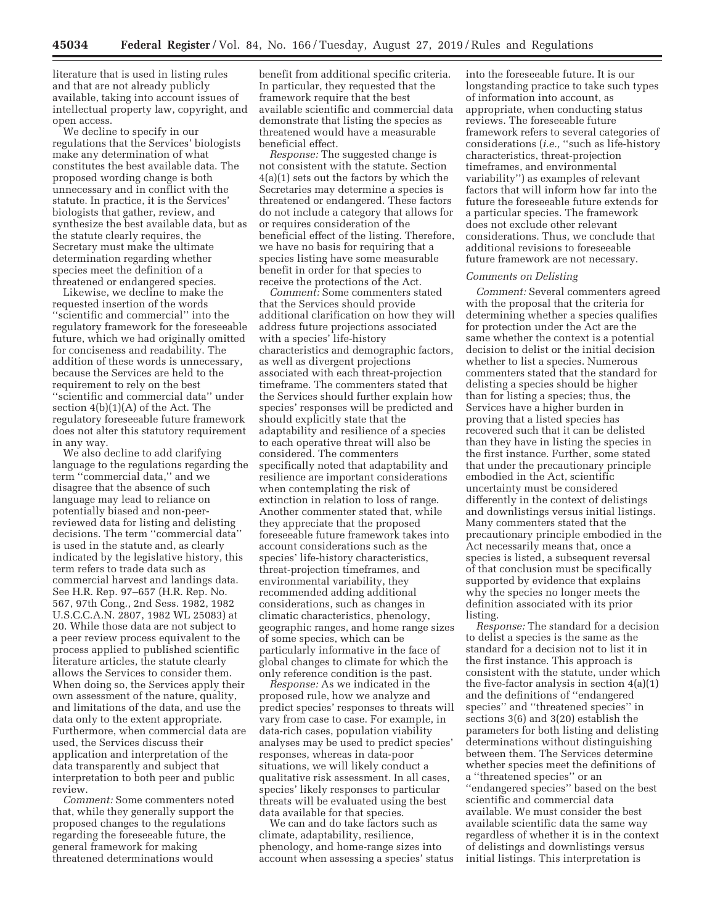literature that is used in listing rules and that are not already publicly available, taking into account issues of intellectual property law, copyright, and open access.

We decline to specify in our regulations that the Services' biologists make any determination of what constitutes the best available data. The proposed wording change is both unnecessary and in conflict with the statute. In practice, it is the Services' biologists that gather, review, and synthesize the best available data, but as the statute clearly requires, the Secretary must make the ultimate determination regarding whether species meet the definition of a threatened or endangered species.

Likewise, we decline to make the requested insertion of the words ''scientific and commercial'' into the regulatory framework for the foreseeable future, which we had originally omitted for conciseness and readability. The addition of these words is unnecessary, because the Services are held to the requirement to rely on the best ''scientific and commercial data'' under section 4(b)(1)(A) of the Act. The regulatory foreseeable future framework does not alter this statutory requirement in any way.

We also decline to add clarifying language to the regulations regarding the term ''commercial data,'' and we disagree that the absence of such language may lead to reliance on potentially biased and non-peerreviewed data for listing and delisting decisions. The term ''commercial data'' is used in the statute and, as clearly indicated by the legislative history, this term refers to trade data such as commercial harvest and landings data. See H.R. Rep. 97–657 (H.R. Rep. No. 567, 97th Cong., 2nd Sess. 1982, 1982 U.S.C.C.A.N. 2807, 1982 WL 25083) at 20. While those data are not subject to a peer review process equivalent to the process applied to published scientific literature articles, the statute clearly allows the Services to consider them. When doing so, the Services apply their own assessment of the nature, quality, and limitations of the data, and use the data only to the extent appropriate. Furthermore, when commercial data are used, the Services discuss their application and interpretation of the data transparently and subject that interpretation to both peer and public review.

*Comment:* Some commenters noted that, while they generally support the proposed changes to the regulations regarding the foreseeable future, the general framework for making threatened determinations would

benefit from additional specific criteria. In particular, they requested that the framework require that the best available scientific and commercial data demonstrate that listing the species as threatened would have a measurable beneficial effect.

*Response:* The suggested change is not consistent with the statute. Section 4(a)(1) sets out the factors by which the Secretaries may determine a species is threatened or endangered. These factors do not include a category that allows for or requires consideration of the beneficial effect of the listing. Therefore, we have no basis for requiring that a species listing have some measurable benefit in order for that species to receive the protections of the Act.

*Comment:* Some commenters stated that the Services should provide additional clarification on how they will address future projections associated with a species' life-history characteristics and demographic factors, as well as divergent projections associated with each threat-projection timeframe. The commenters stated that the Services should further explain how species' responses will be predicted and should explicitly state that the adaptability and resilience of a species to each operative threat will also be considered. The commenters specifically noted that adaptability and resilience are important considerations when contemplating the risk of extinction in relation to loss of range. Another commenter stated that, while they appreciate that the proposed foreseeable future framework takes into account considerations such as the species' life-history characteristics, threat-projection timeframes, and environmental variability, they recommended adding additional considerations, such as changes in climatic characteristics, phenology, geographic ranges, and home range sizes of some species, which can be particularly informative in the face of global changes to climate for which the only reference condition is the past.

*Response:* As we indicated in the proposed rule, how we analyze and predict species' responses to threats will vary from case to case. For example, in data-rich cases, population viability analyses may be used to predict species' responses, whereas in data-poor situations, we will likely conduct a qualitative risk assessment. In all cases, species' likely responses to particular threats will be evaluated using the best data available for that species.

We can and do take factors such as climate, adaptability, resilience, phenology, and home-range sizes into account when assessing a species' status

into the foreseeable future. It is our longstanding practice to take such types of information into account, as appropriate, when conducting status reviews. The foreseeable future framework refers to several categories of considerations (*i.e.,* ''such as life-history characteristics, threat-projection timeframes, and environmental variability'') as examples of relevant factors that will inform how far into the future the foreseeable future extends for a particular species. The framework does not exclude other relevant considerations. Thus, we conclude that additional revisions to foreseeable future framework are not necessary.

#### *Comments on Delisting*

*Comment:* Several commenters agreed with the proposal that the criteria for determining whether a species qualifies for protection under the Act are the same whether the context is a potential decision to delist or the initial decision whether to list a species. Numerous commenters stated that the standard for delisting a species should be higher than for listing a species; thus, the Services have a higher burden in proving that a listed species has recovered such that it can be delisted than they have in listing the species in the first instance. Further, some stated that under the precautionary principle embodied in the Act, scientific uncertainty must be considered differently in the context of delistings and downlistings versus initial listings. Many commenters stated that the precautionary principle embodied in the Act necessarily means that, once a species is listed, a subsequent reversal of that conclusion must be specifically supported by evidence that explains why the species no longer meets the definition associated with its prior listing.

*Response:* The standard for a decision to delist a species is the same as the standard for a decision not to list it in the first instance. This approach is consistent with the statute, under which the five-factor analysis in section 4(a)(1) and the definitions of ''endangered species'' and ''threatened species'' in sections 3(6) and 3(20) establish the parameters for both listing and delisting determinations without distinguishing between them. The Services determine whether species meet the definitions of a ''threatened species'' or an ''endangered species'' based on the best scientific and commercial data available. We must consider the best available scientific data the same way regardless of whether it is in the context of delistings and downlistings versus initial listings. This interpretation is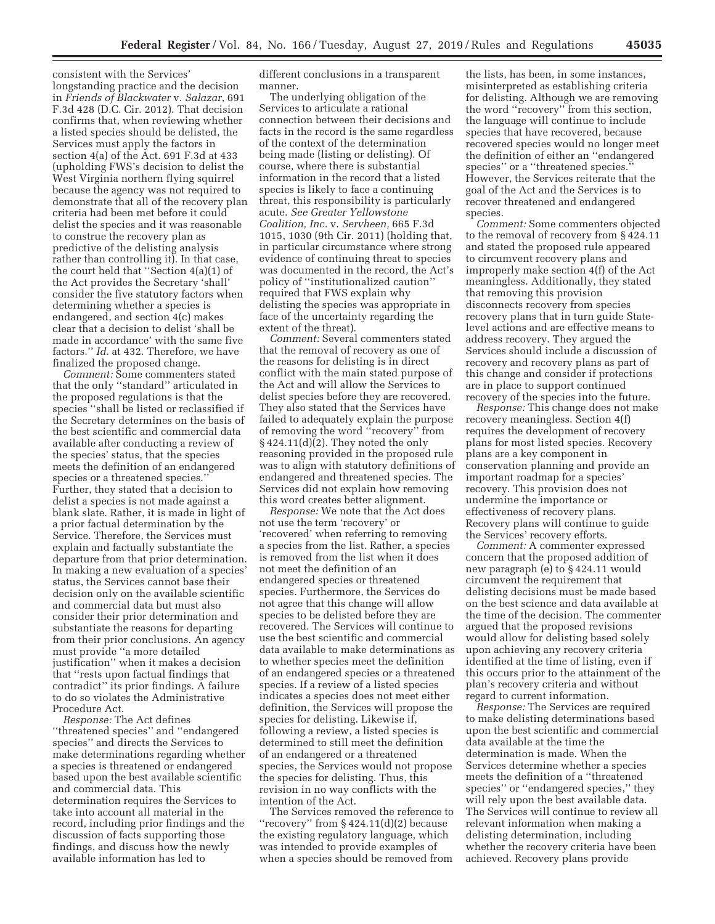consistent with the Services' longstanding practice and the decision in *Friends of Blackwater* v. *Salazar,* 691 F.3d 428 (D.C. Cir. 2012). That decision confirms that, when reviewing whether a listed species should be delisted, the Services must apply the factors in section 4(a) of the Act. 691 F.3d at 433 (upholding FWS's decision to delist the West Virginia northern flying squirrel because the agency was not required to demonstrate that all of the recovery plan criteria had been met before it could delist the species and it was reasonable to construe the recovery plan as predictive of the delisting analysis rather than controlling it). In that case, the court held that ''Section 4(a)(1) of the Act provides the Secretary 'shall' consider the five statutory factors when determining whether a species is endangered, and section 4(c) makes clear that a decision to delist 'shall be made in accordance' with the same five factors.'' *Id.* at 432. Therefore, we have finalized the proposed change.

*Comment:* Some commenters stated that the only ''standard'' articulated in the proposed regulations is that the species ''shall be listed or reclassified if the Secretary determines on the basis of the best scientific and commercial data available after conducting a review of the species' status, that the species meets the definition of an endangered species or a threatened species.'' Further, they stated that a decision to delist a species is not made against a blank slate. Rather, it is made in light of a prior factual determination by the Service. Therefore, the Services must explain and factually substantiate the departure from that prior determination. In making a new evaluation of a species' status, the Services cannot base their decision only on the available scientific and commercial data but must also consider their prior determination and substantiate the reasons for departing from their prior conclusions. An agency must provide ''a more detailed justification'' when it makes a decision that ''rests upon factual findings that contradict'' its prior findings. A failure to do so violates the Administrative Procedure Act.

*Response:* The Act defines ''threatened species'' and ''endangered species'' and directs the Services to make determinations regarding whether a species is threatened or endangered based upon the best available scientific and commercial data. This determination requires the Services to take into account all material in the record, including prior findings and the discussion of facts supporting those findings, and discuss how the newly available information has led to

different conclusions in a transparent manner.

The underlying obligation of the Services to articulate a rational connection between their decisions and facts in the record is the same regardless of the context of the determination being made (listing or delisting). Of course, where there is substantial information in the record that a listed species is likely to face a continuing threat, this responsibility is particularly acute. *See Greater Yellowstone Coalition, Inc.* v. *Servheen,* 665 F.3d 1015, 1030 (9th Cir. 2011) (holding that, in particular circumstance where strong evidence of continuing threat to species was documented in the record, the Act's policy of ''institutionalized caution'' required that FWS explain why delisting the species was appropriate in face of the uncertainty regarding the extent of the threat).

*Comment:* Several commenters stated that the removal of recovery as one of the reasons for delisting is in direct conflict with the main stated purpose of the Act and will allow the Services to delist species before they are recovered. They also stated that the Services have failed to adequately explain the purpose of removing the word ''recovery'' from  $§ 424.11(d)(2).$  They noted the only reasoning provided in the proposed rule was to align with statutory definitions of endangered and threatened species. The Services did not explain how removing this word creates better alignment.

*Response:* We note that the Act does not use the term 'recovery' or 'recovered' when referring to removing a species from the list. Rather, a species is removed from the list when it does not meet the definition of an endangered species or threatened species. Furthermore, the Services do not agree that this change will allow species to be delisted before they are recovered. The Services will continue to use the best scientific and commercial data available to make determinations as to whether species meet the definition of an endangered species or a threatened species. If a review of a listed species indicates a species does not meet either definition, the Services will propose the species for delisting. Likewise if, following a review, a listed species is determined to still meet the definition of an endangered or a threatened species, the Services would not propose the species for delisting. Thus, this revision in no way conflicts with the intention of the Act.

The Services removed the reference to "recovery" from  $§$  424.11(d)(2) because the existing regulatory language, which was intended to provide examples of when a species should be removed from

the lists, has been, in some instances, misinterpreted as establishing criteria for delisting. Although we are removing the word ''recovery'' from this section, the language will continue to include species that have recovered, because recovered species would no longer meet the definition of either an ''endangered species'' or a ''threatened species.'' However, the Services reiterate that the goal of the Act and the Services is to recover threatened and endangered species.

*Comment:* Some commenters objected to the removal of recovery from § 424.11 and stated the proposed rule appeared to circumvent recovery plans and improperly make section 4(f) of the Act meaningless. Additionally, they stated that removing this provision disconnects recovery from species recovery plans that in turn guide Statelevel actions and are effective means to address recovery. They argued the Services should include a discussion of recovery and recovery plans as part of this change and consider if protections are in place to support continued recovery of the species into the future.

*Response:* This change does not make recovery meaningless. Section 4(f) requires the development of recovery plans for most listed species. Recovery plans are a key component in conservation planning and provide an important roadmap for a species' recovery. This provision does not undermine the importance or effectiveness of recovery plans. Recovery plans will continue to guide the Services' recovery efforts.

*Comment:* A commenter expressed concern that the proposed addition of new paragraph (e) to § 424.11 would circumvent the requirement that delisting decisions must be made based on the best science and data available at the time of the decision. The commenter argued that the proposed revisions would allow for delisting based solely upon achieving any recovery criteria identified at the time of listing, even if this occurs prior to the attainment of the plan's recovery criteria and without regard to current information.

*Response:* The Services are required to make delisting determinations based upon the best scientific and commercial data available at the time the determination is made. When the Services determine whether a species meets the definition of a ''threatened species'' or ''endangered species,'' they will rely upon the best available data. The Services will continue to review all relevant information when making a delisting determination, including whether the recovery criteria have been achieved. Recovery plans provide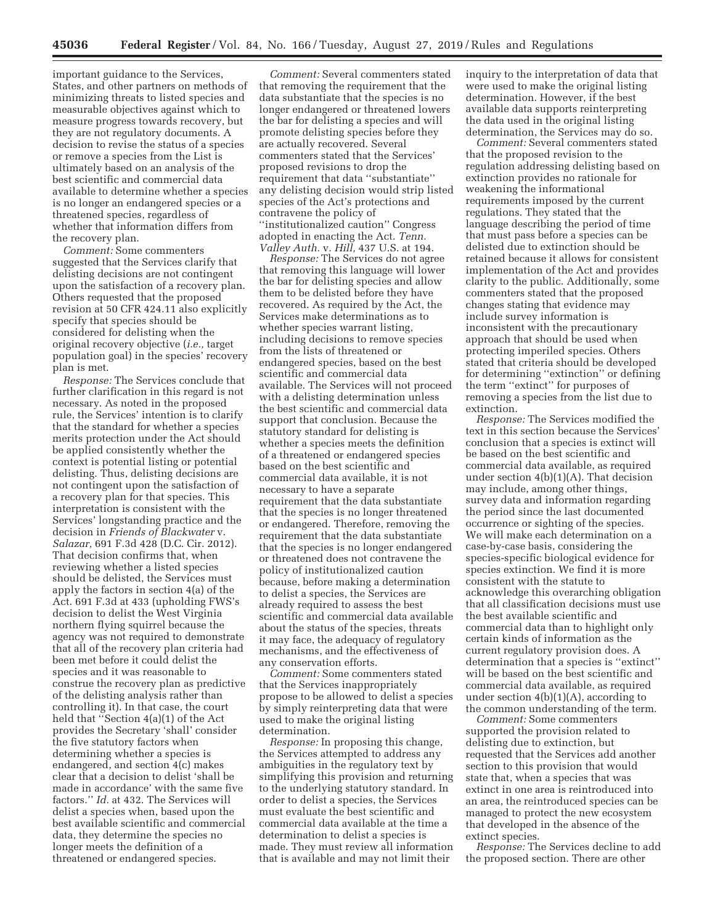important guidance to the Services, States, and other partners on methods of minimizing threats to listed species and measurable objectives against which to measure progress towards recovery, but they are not regulatory documents. A decision to revise the status of a species or remove a species from the List is ultimately based on an analysis of the best scientific and commercial data available to determine whether a species is no longer an endangered species or a threatened species, regardless of whether that information differs from the recovery plan.

*Comment:* Some commenters suggested that the Services clarify that delisting decisions are not contingent upon the satisfaction of a recovery plan. Others requested that the proposed revision at 50 CFR 424.11 also explicitly specify that species should be considered for delisting when the original recovery objective (*i.e.,* target population goal) in the species' recovery plan is met.

*Response:* The Services conclude that further clarification in this regard is not necessary. As noted in the proposed rule, the Services' intention is to clarify that the standard for whether a species merits protection under the Act should be applied consistently whether the context is potential listing or potential delisting. Thus, delisting decisions are not contingent upon the satisfaction of a recovery plan for that species. This interpretation is consistent with the Services' longstanding practice and the decision in *Friends of Blackwater* v. *Salazar,* 691 F.3d 428 (D.C. Cir. 2012). That decision confirms that, when reviewing whether a listed species should be delisted, the Services must apply the factors in section 4(a) of the Act. 691 F.3d at 433 (upholding FWS's decision to delist the West Virginia northern flying squirrel because the agency was not required to demonstrate that all of the recovery plan criteria had been met before it could delist the species and it was reasonable to construe the recovery plan as predictive of the delisting analysis rather than controlling it). In that case, the court held that ''Section 4(a)(1) of the Act provides the Secretary 'shall' consider the five statutory factors when determining whether a species is endangered, and section 4(c) makes clear that a decision to delist 'shall be made in accordance' with the same five factors.'' *Id.* at 432. The Services will delist a species when, based upon the best available scientific and commercial data, they determine the species no longer meets the definition of a threatened or endangered species.

*Comment:* Several commenters stated that removing the requirement that the data substantiate that the species is no longer endangered or threatened lowers the bar for delisting a species and will promote delisting species before they are actually recovered. Several commenters stated that the Services' proposed revisions to drop the requirement that data ''substantiate'' any delisting decision would strip listed species of the Act's protections and contravene the policy of ''institutionalized caution'' Congress adopted in enacting the Act. *Tenn. Valley Auth.* v. *Hill,* 437 U.S. at 194.

*Response:* The Services do not agree that removing this language will lower the bar for delisting species and allow them to be delisted before they have recovered. As required by the Act, the Services make determinations as to whether species warrant listing, including decisions to remove species from the lists of threatened or endangered species, based on the best scientific and commercial data available. The Services will not proceed with a delisting determination unless the best scientific and commercial data support that conclusion. Because the statutory standard for delisting is whether a species meets the definition of a threatened or endangered species based on the best scientific and commercial data available, it is not necessary to have a separate requirement that the data substantiate that the species is no longer threatened or endangered. Therefore, removing the requirement that the data substantiate that the species is no longer endangered or threatened does not contravene the policy of institutionalized caution because, before making a determination to delist a species, the Services are already required to assess the best scientific and commercial data available about the status of the species, threats it may face, the adequacy of regulatory mechanisms, and the effectiveness of any conservation efforts.

*Comment:* Some commenters stated that the Services inappropriately propose to be allowed to delist a species by simply reinterpreting data that were used to make the original listing determination.

*Response:* In proposing this change, the Services attempted to address any ambiguities in the regulatory text by simplifying this provision and returning to the underlying statutory standard. In order to delist a species, the Services must evaluate the best scientific and commercial data available at the time a determination to delist a species is made. They must review all information that is available and may not limit their

inquiry to the interpretation of data that were used to make the original listing determination. However, if the best available data supports reinterpreting the data used in the original listing determination, the Services may do so.

*Comment:* Several commenters stated that the proposed revision to the regulation addressing delisting based on extinction provides no rationale for weakening the informational requirements imposed by the current regulations. They stated that the language describing the period of time that must pass before a species can be delisted due to extinction should be retained because it allows for consistent implementation of the Act and provides clarity to the public. Additionally, some commenters stated that the proposed changes stating that evidence may include survey information is inconsistent with the precautionary approach that should be used when protecting imperiled species. Others stated that criteria should be developed for determining ''extinction'' or defining the term ''extinct'' for purposes of removing a species from the list due to extinction.

*Response:* The Services modified the text in this section because the Services' conclusion that a species is extinct will be based on the best scientific and commercial data available, as required under section 4(b)(1)(A). That decision may include, among other things, survey data and information regarding the period since the last documented occurrence or sighting of the species. We will make each determination on a case-by-case basis, considering the species-specific biological evidence for species extinction. We find it is more consistent with the statute to acknowledge this overarching obligation that all classification decisions must use the best available scientific and commercial data than to highlight only certain kinds of information as the current regulatory provision does. A determination that a species is ''extinct'' will be based on the best scientific and commercial data available, as required under section  $4(b)(1)(A)$ , according to the common understanding of the term.

*Comment:* Some commenters supported the provision related to delisting due to extinction, but requested that the Services add another section to this provision that would state that, when a species that was extinct in one area is reintroduced into an area, the reintroduced species can be managed to protect the new ecosystem that developed in the absence of the extinct species.

*Response:* The Services decline to add the proposed section. There are other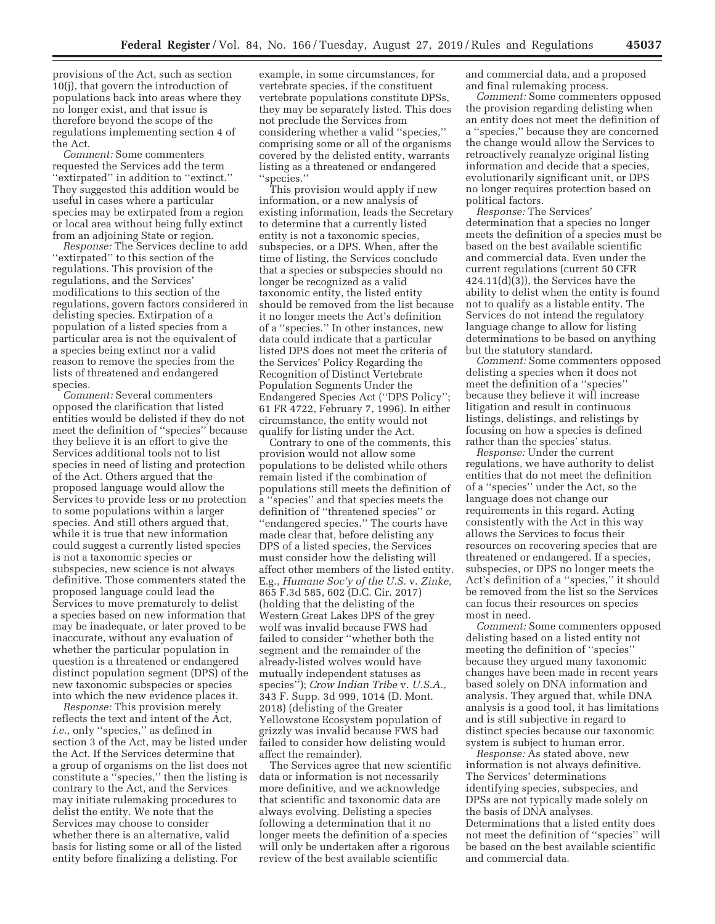provisions of the Act, such as section 10(j), that govern the introduction of populations back into areas where they no longer exist, and that issue is therefore beyond the scope of the regulations implementing section 4 of the Act.

*Comment:* Some commenters requested the Services add the term ''extirpated'' in addition to ''extinct.'' They suggested this addition would be useful in cases where a particular species may be extirpated from a region or local area without being fully extinct from an adjoining State or region.

*Response:* The Services decline to add "extirpated" to this section of the regulations. This provision of the regulations, and the Services' modifications to this section of the regulations, govern factors considered in delisting species. Extirpation of a population of a listed species from a particular area is not the equivalent of a species being extinct nor a valid reason to remove the species from the lists of threatened and endangered species.

*Comment:* Several commenters opposed the clarification that listed entities would be delisted if they do not meet the definition of ''species'' because they believe it is an effort to give the Services additional tools not to list species in need of listing and protection of the Act. Others argued that the proposed language would allow the Services to provide less or no protection to some populations within a larger species. And still others argued that, while it is true that new information could suggest a currently listed species is not a taxonomic species or subspecies, new science is not always definitive. Those commenters stated the proposed language could lead the Services to move prematurely to delist a species based on new information that may be inadequate, or later proved to be inaccurate, without any evaluation of whether the particular population in question is a threatened or endangered distinct population segment (DPS) of the new taxonomic subspecies or species into which the new evidence places it.

*Response:* This provision merely reflects the text and intent of the Act, *i.e.,* only ''species,'' as defined in section 3 of the Act, may be listed under the Act. If the Services determine that a group of organisms on the list does not constitute a ''species,'' then the listing is contrary to the Act, and the Services may initiate rulemaking procedures to delist the entity. We note that the Services may choose to consider whether there is an alternative, valid basis for listing some or all of the listed entity before finalizing a delisting. For

example, in some circumstances, for vertebrate species, if the constituent vertebrate populations constitute DPSs, they may be separately listed. This does not preclude the Services from considering whether a valid ''species,'' comprising some or all of the organisms covered by the delisted entity, warrants listing as a threatened or endangered ''species.''

This provision would apply if new information, or a new analysis of existing information, leads the Secretary to determine that a currently listed entity is not a taxonomic species, subspecies, or a DPS. When, after the time of listing, the Services conclude that a species or subspecies should no longer be recognized as a valid taxonomic entity, the listed entity should be removed from the list because it no longer meets the Act's definition of a ''species.'' In other instances, new data could indicate that a particular listed DPS does not meet the criteria of the Services' Policy Regarding the Recognition of Distinct Vertebrate Population Segments Under the Endangered Species Act (''DPS Policy''; 61 FR 4722, February 7, 1996). In either circumstance, the entity would not qualify for listing under the Act.

Contrary to one of the comments, this provision would not allow some populations to be delisted while others remain listed if the combination of populations still meets the definition of a ''species'' and that species meets the definition of ''threatened species'' or ''endangered species.'' The courts have made clear that, before delisting any DPS of a listed species, the Services must consider how the delisting will affect other members of the listed entity. E.g., *Humane Soc'y of the U.S.* v. *Zinke,*  865 F.3d 585, 602 (D.C. Cir. 2017) (holding that the delisting of the Western Great Lakes DPS of the grey wolf was invalid because FWS had failed to consider ''whether both the segment and the remainder of the already-listed wolves would have mutually independent statuses as species''); *Crow Indian Tribe* v. *U.S.A.,*  343 F. Supp. 3d 999, 1014 (D. Mont. 2018) (delisting of the Greater Yellowstone Ecosystem population of grizzly was invalid because FWS had failed to consider how delisting would affect the remainder).

The Services agree that new scientific data or information is not necessarily more definitive, and we acknowledge that scientific and taxonomic data are always evolving. Delisting a species following a determination that it no longer meets the definition of a species will only be undertaken after a rigorous review of the best available scientific

and commercial data, and a proposed and final rulemaking process.

*Comment:* Some commenters opposed the provision regarding delisting when an entity does not meet the definition of a ''species,'' because they are concerned the change would allow the Services to retroactively reanalyze original listing information and decide that a species, evolutionarily significant unit, or DPS no longer requires protection based on political factors.

*Response:* The Services' determination that a species no longer meets the definition of a species must be based on the best available scientific and commercial data. Even under the current regulations (current 50 CFR  $424.11(d)(3)$ , the Services have the ability to delist when the entity is found not to qualify as a listable entity. The Services do not intend the regulatory language change to allow for listing determinations to be based on anything but the statutory standard.

*Comment:* Some commenters opposed delisting a species when it does not meet the definition of a ''species'' because they believe it will increase litigation and result in continuous listings, delistings, and relistings by focusing on how a species is defined rather than the species' status.

*Response:* Under the current regulations, we have authority to delist entities that do not meet the definition of a ''species'' under the Act, so the language does not change our requirements in this regard. Acting consistently with the Act in this way allows the Services to focus their resources on recovering species that are threatened or endangered. If a species, subspecies, or DPS no longer meets the Act's definition of a ''species,'' it should be removed from the list so the Services can focus their resources on species most in need.

*Comment:* Some commenters opposed delisting based on a listed entity not meeting the definition of ''species'' because they argued many taxonomic changes have been made in recent years based solely on DNA information and analysis. They argued that, while DNA analysis is a good tool, it has limitations and is still subjective in regard to distinct species because our taxonomic system is subject to human error.

*Response:* As stated above, new information is not always definitive. The Services' determinations identifying species, subspecies, and DPSs are not typically made solely on the basis of DNA analyses. Determinations that a listed entity does not meet the definition of ''species'' will be based on the best available scientific and commercial data.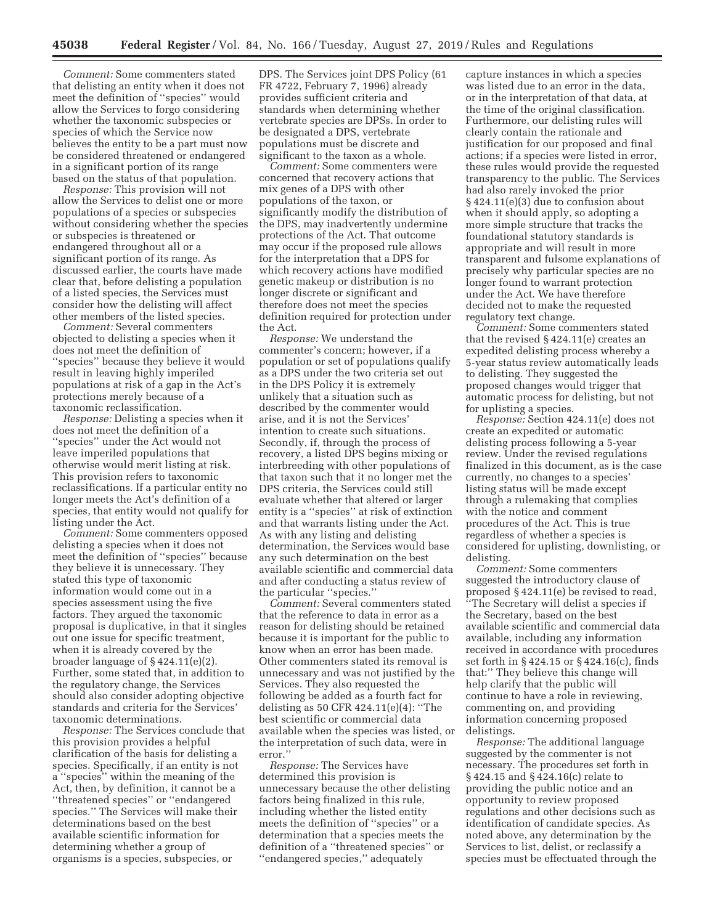*Comment:* Some commenters stated that delisting an entity when it does not meet the definition of ''species'' would allow the Services to forgo considering whether the taxonomic subspecies or species of which the Service now believes the entity to be a part must now be considered threatened or endangered in a significant portion of its range based on the status of that population.

*Response:* This provision will not allow the Services to delist one or more populations of a species or subspecies without considering whether the species or subspecies is threatened or endangered throughout all or a significant portion of its range. As discussed earlier, the courts have made clear that, before delisting a population of a listed species, the Services must consider how the delisting will affect other members of the listed species.

*Comment:* Several commenters objected to delisting a species when it does not meet the definition of ''species'' because they believe it would result in leaving highly imperiled populations at risk of a gap in the Act's protections merely because of a taxonomic reclassification.

*Response:* Delisting a species when it does not meet the definition of a ''species'' under the Act would not leave imperiled populations that otherwise would merit listing at risk. This provision refers to taxonomic reclassifications. If a particular entity no longer meets the Act's definition of a species, that entity would not qualify for listing under the Act.

*Comment:* Some commenters opposed delisting a species when it does not meet the definition of ''species'' because they believe it is unnecessary. They stated this type of taxonomic information would come out in a species assessment using the five factors. They argued the taxonomic proposal is duplicative, in that it singles out one issue for specific treatment, when it is already covered by the broader language of § 424.11(e)(2). Further, some stated that, in addition to the regulatory change, the Services should also consider adopting objective standards and criteria for the Services' taxonomic determinations.

*Response:* The Services conclude that this provision provides a helpful clarification of the basis for delisting a species. Specifically, if an entity is not a ''species'' within the meaning of the Act, then, by definition, it cannot be a ''threatened species'' or ''endangered species.'' The Services will make their determinations based on the best available scientific information for determining whether a group of organisms is a species, subspecies, or

DPS. The Services joint DPS Policy (61 FR 4722, February 7, 1996) already provides sufficient criteria and standards when determining whether vertebrate species are DPSs. In order to be designated a DPS, vertebrate populations must be discrete and significant to the taxon as a whole.

*Comment:* Some commenters were concerned that recovery actions that mix genes of a DPS with other populations of the taxon, or significantly modify the distribution of the DPS, may inadvertently undermine protections of the Act. That outcome may occur if the proposed rule allows for the interpretation that a DPS for which recovery actions have modified genetic makeup or distribution is no longer discrete or significant and therefore does not meet the species definition required for protection under the Act.

*Response:* We understand the commenter's concern; however, if a population or set of populations qualify as a DPS under the two criteria set out in the DPS Policy it is extremely unlikely that a situation such as described by the commenter would arise, and it is not the Services' intention to create such situations. Secondly, if, through the process of recovery, a listed DPS begins mixing or interbreeding with other populations of that taxon such that it no longer met the DPS criteria, the Services could still evaluate whether that altered or larger entity is a ''species'' at risk of extinction and that warrants listing under the Act. As with any listing and delisting determination, the Services would base any such determination on the best available scientific and commercial data and after conducting a status review of the particular ''species.''

*Comment:* Several commenters stated that the reference to data in error as a reason for delisting should be retained because it is important for the public to know when an error has been made. Other commenters stated its removal is unnecessary and was not justified by the Services. They also requested the following be added as a fourth fact for delisting as 50 CFR 424.11(e)(4): ''The best scientific or commercial data available when the species was listed, or the interpretation of such data, were in error.''

*Response:* The Services have determined this provision is unnecessary because the other delisting factors being finalized in this rule, including whether the listed entity meets the definition of ''species'' or a determination that a species meets the definition of a ''threatened species'' or ''endangered species,'' adequately

capture instances in which a species was listed due to an error in the data, or in the interpretation of that data, at the time of the original classification. Furthermore, our delisting rules will clearly contain the rationale and justification for our proposed and final actions; if a species were listed in error, these rules would provide the requested transparency to the public. The Services had also rarely invoked the prior § 424.11(e)(3) due to confusion about when it should apply, so adopting a more simple structure that tracks the foundational statutory standards is appropriate and will result in more transparent and fulsome explanations of precisely why particular species are no longer found to warrant protection under the Act. We have therefore decided not to make the requested regulatory text change.

*Comment:* Some commenters stated that the revised § 424.11(e) creates an expedited delisting process whereby a 5-year status review automatically leads to delisting. They suggested the proposed changes would trigger that automatic process for delisting, but not for uplisting a species.

*Response:* Section 424.11(e) does not create an expedited or automatic delisting process following a 5-year review. Under the revised regulations finalized in this document, as is the case currently, no changes to a species' listing status will be made except through a rulemaking that complies with the notice and comment procedures of the Act. This is true regardless of whether a species is considered for uplisting, downlisting, or delisting.

*Comment:* Some commenters suggested the introductory clause of proposed § 424.11(e) be revised to read, ''The Secretary will delist a species if the Secretary, based on the best available scientific and commercial data available, including any information received in accordance with procedures set forth in § 424.15 or § 424.16(c), finds that:'' They believe this change will help clarify that the public will continue to have a role in reviewing, commenting on, and providing information concerning proposed delistings.

*Response:* The additional language suggested by the commenter is not necessary. The procedures set forth in § 424.15 and § 424.16(c) relate to providing the public notice and an opportunity to review proposed regulations and other decisions such as identification of candidate species. As noted above, any determination by the Services to list, delist, or reclassify a species must be effectuated through the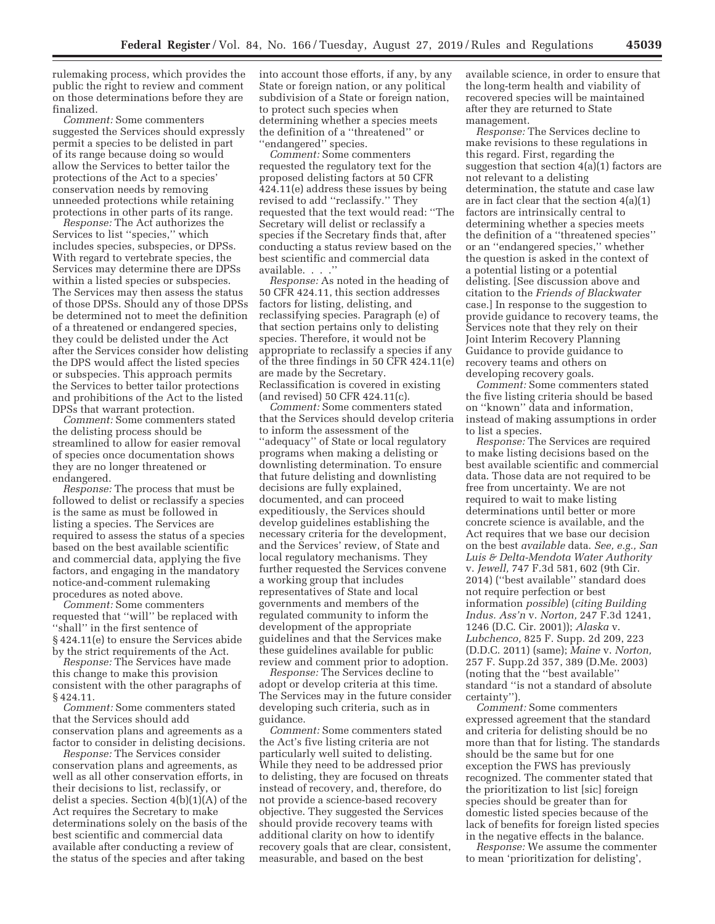rulemaking process, which provides the public the right to review and comment on those determinations before they are finalized.

*Comment:* Some commenters suggested the Services should expressly permit a species to be delisted in part of its range because doing so would allow the Services to better tailor the protections of the Act to a species' conservation needs by removing unneeded protections while retaining protections in other parts of its range.

*Response:* The Act authorizes the Services to list ''species,'' which includes species, subspecies, or DPSs. With regard to vertebrate species, the Services may determine there are DPSs within a listed species or subspecies. The Services may then assess the status of those DPSs. Should any of those DPSs be determined not to meet the definition of a threatened or endangered species, they could be delisted under the Act after the Services consider how delisting the DPS would affect the listed species or subspecies. This approach permits the Services to better tailor protections and prohibitions of the Act to the listed DPSs that warrant protection.

*Comment:* Some commenters stated the delisting process should be streamlined to allow for easier removal of species once documentation shows they are no longer threatened or endangered.

*Response:* The process that must be followed to delist or reclassify a species is the same as must be followed in listing a species. The Services are required to assess the status of a species based on the best available scientific and commercial data, applying the five factors, and engaging in the mandatory notice-and-comment rulemaking procedures as noted above.

*Comment:* Some commenters requested that ''will'' be replaced with ''shall'' in the first sentence of § 424.11(e) to ensure the Services abide by the strict requirements of the Act.

*Response:* The Services have made this change to make this provision consistent with the other paragraphs of § 424.11.

*Comment:* Some commenters stated that the Services should add conservation plans and agreements as a factor to consider in delisting decisions.

*Response:* The Services consider conservation plans and agreements, as well as all other conservation efforts, in their decisions to list, reclassify, or delist a species. Section  $4(b)(1)(A)$  of the Act requires the Secretary to make determinations solely on the basis of the best scientific and commercial data available after conducting a review of the status of the species and after taking

into account those efforts, if any, by any State or foreign nation, or any political subdivision of a State or foreign nation, to protect such species when determining whether a species meets the definition of a ''threatened'' or ''endangered'' species.

*Comment:* Some commenters requested the regulatory text for the proposed delisting factors at 50 CFR 424.11(e) address these issues by being revised to add ''reclassify.'' They requested that the text would read: ''The Secretary will delist or reclassify a species if the Secretary finds that, after conducting a status review based on the best scientific and commercial data available. . . .''

*Response:* As noted in the heading of 50 CFR 424.11, this section addresses factors for listing, delisting, and reclassifying species. Paragraph (e) of that section pertains only to delisting species. Therefore, it would not be appropriate to reclassify a species if any of the three findings in 50 CFR 424.11(e) are made by the Secretary. Reclassification is covered in existing (and revised) 50 CFR 424.11(c).

*Comment:* Some commenters stated that the Services should develop criteria to inform the assessment of the ''adequacy'' of State or local regulatory programs when making a delisting or downlisting determination. To ensure that future delisting and downlisting decisions are fully explained, documented, and can proceed expeditiously, the Services should develop guidelines establishing the necessary criteria for the development, and the Services' review, of State and local regulatory mechanisms. They further requested the Services convene a working group that includes representatives of State and local governments and members of the regulated community to inform the development of the appropriate guidelines and that the Services make these guidelines available for public review and comment prior to adoption.

*Response:* The Services decline to adopt or develop criteria at this time. The Services may in the future consider developing such criteria, such as in guidance.

*Comment:* Some commenters stated the Act's five listing criteria are not particularly well suited to delisting. While they need to be addressed prior to delisting, they are focused on threats instead of recovery, and, therefore, do not provide a science-based recovery objective. They suggested the Services should provide recovery teams with additional clarity on how to identify recovery goals that are clear, consistent, measurable, and based on the best

available science, in order to ensure that the long-term health and viability of recovered species will be maintained after they are returned to State management.

*Response:* The Services decline to make revisions to these regulations in this regard. First, regarding the suggestion that section 4(a)(1) factors are not relevant to a delisting determination, the statute and case law are in fact clear that the section 4(a)(1) factors are intrinsically central to determining whether a species meets the definition of a ''threatened species'' or an ''endangered species,'' whether the question is asked in the context of a potential listing or a potential delisting. [See discussion above and citation to the *Friends of Blackwater*  case.] In response to the suggestion to provide guidance to recovery teams, the Services note that they rely on their Joint Interim Recovery Planning Guidance to provide guidance to recovery teams and others on developing recovery goals.

*Comment:* Some commenters stated the five listing criteria should be based on ''known'' data and information, instead of making assumptions in order to list a species.

*Response:* The Services are required to make listing decisions based on the best available scientific and commercial data. Those data are not required to be free from uncertainty. We are not required to wait to make listing determinations until better or more concrete science is available, and the Act requires that we base our decision on the best *available* data. *See, e.g., San Luis & Delta-Mendota Water Authority*  v. *Jewell,* 747 F.3d 581, 602 (9th Cir. 2014) (''best available'' standard does not require perfection or best information *possible*) (*citing Building Indus. Ass'n* v. *Norton,* 247 F.3d 1241, 1246 (D.C. Cir. 2001)); *Alaska* v. *Lubchenco,* 825 F. Supp. 2d 209, 223 (D.D.C. 2011) (same); *Maine* v. *Norton,*  257 F. Supp.2d 357, 389 (D.Me. 2003) (noting that the ''best available'' standard ''is not a standard of absolute certainty'').

*Comment:* Some commenters expressed agreement that the standard and criteria for delisting should be no more than that for listing. The standards should be the same but for one exception the FWS has previously recognized. The commenter stated that the prioritization to list [sic] foreign species should be greater than for domestic listed species because of the lack of benefits for foreign listed species in the negative effects in the balance.

*Response:* We assume the commenter to mean 'prioritization for delisting',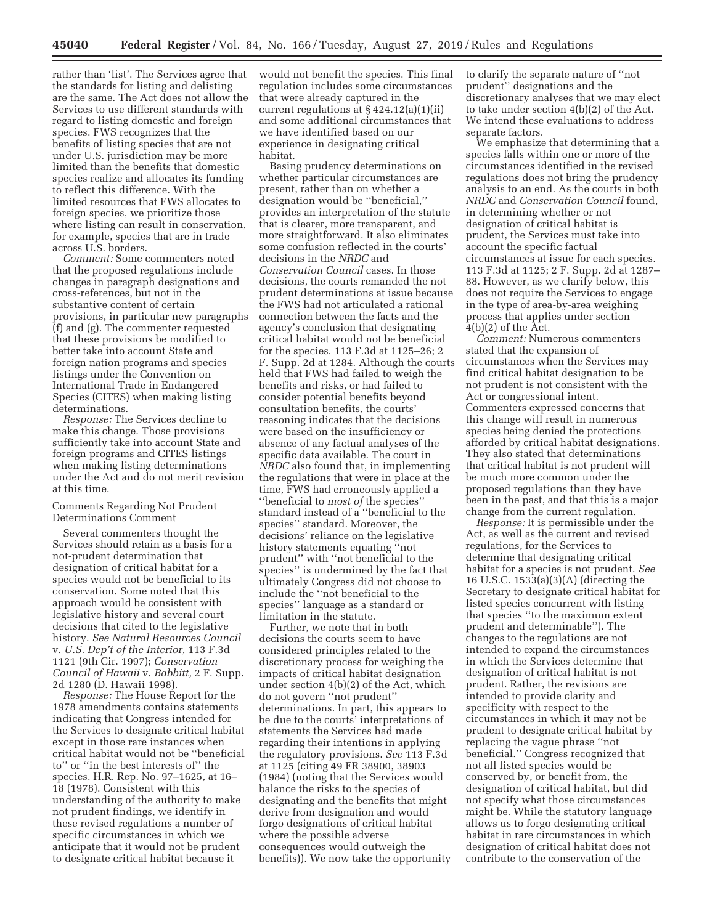rather than 'list'. The Services agree that the standards for listing and delisting are the same. The Act does not allow the Services to use different standards with regard to listing domestic and foreign species. FWS recognizes that the benefits of listing species that are not under U.S. jurisdiction may be more limited than the benefits that domestic species realize and allocates its funding to reflect this difference. With the limited resources that FWS allocates to foreign species, we prioritize those where listing can result in conservation, for example, species that are in trade across U.S. borders.

*Comment:* Some commenters noted that the proposed regulations include changes in paragraph designations and cross-references, but not in the substantive content of certain provisions, in particular new paragraphs (f) and (g). The commenter requested that these provisions be modified to better take into account State and foreign nation programs and species listings under the Convention on International Trade in Endangered Species (CITES) when making listing determinations.

*Response:* The Services decline to make this change. Those provisions sufficiently take into account State and foreign programs and CITES listings when making listing determinations under the Act and do not merit revision at this time.

# Comments Regarding Not Prudent Determinations Comment

Several commenters thought the Services should retain as a basis for a not-prudent determination that designation of critical habitat for a species would not be beneficial to its conservation. Some noted that this approach would be consistent with legislative history and several court decisions that cited to the legislative history. *See Natural Resources Council*  v. *U.S. Dep't of the Interior,* 113 F.3d 1121 (9th Cir. 1997); *Conservation Council of Hawaii* v. *Babbitt,* 2 F. Supp. 2d 1280 (D. Hawaii 1998).

*Response:* The House Report for the 1978 amendments contains statements indicating that Congress intended for the Services to designate critical habitat except in those rare instances when critical habitat would not be ''beneficial to'' or ''in the best interests of'' the species. H.R. Rep. No. 97–1625, at 16– 18 (1978). Consistent with this understanding of the authority to make not prudent findings, we identify in these revised regulations a number of specific circumstances in which we anticipate that it would not be prudent to designate critical habitat because it

would not benefit the species. This final regulation includes some circumstances that were already captured in the current regulations at § 424.12(a)(1)(ii) and some additional circumstances that we have identified based on our experience in designating critical habitat.

Basing prudency determinations on whether particular circumstances are present, rather than on whether a designation would be ''beneficial,'' provides an interpretation of the statute that is clearer, more transparent, and more straightforward. It also eliminates some confusion reflected in the courts' decisions in the *NRDC* and *Conservation Council* cases. In those decisions, the courts remanded the not prudent determinations at issue because the FWS had not articulated a rational connection between the facts and the agency's conclusion that designating critical habitat would not be beneficial for the species. 113 F.3d at 1125–26; 2 F. Supp. 2d at 1284. Although the courts held that FWS had failed to weigh the benefits and risks, or had failed to consider potential benefits beyond consultation benefits, the courts' reasoning indicates that the decisions were based on the insufficiency or absence of any factual analyses of the specific data available. The court in *NRDC* also found that, in implementing the regulations that were in place at the time, FWS had erroneously applied a ''beneficial to *most of* the species'' standard instead of a ''beneficial to the species'' standard. Moreover, the decisions' reliance on the legislative history statements equating ''not prudent'' with ''not beneficial to the species'' is undermined by the fact that ultimately Congress did not choose to include the ''not beneficial to the species'' language as a standard or limitation in the statute.

Further, we note that in both decisions the courts seem to have considered principles related to the discretionary process for weighing the impacts of critical habitat designation under section 4(b)(2) of the Act, which do not govern ''not prudent'' determinations. In part, this appears to be due to the courts' interpretations of statements the Services had made regarding their intentions in applying the regulatory provisions. *See* 113 F.3d at 1125 (citing 49 FR 38900, 38903 (1984) (noting that the Services would balance the risks to the species of designating and the benefits that might derive from designation and would forgo designations of critical habitat where the possible adverse consequences would outweigh the benefits)). We now take the opportunity to clarify the separate nature of ''not prudent'' designations and the discretionary analyses that we may elect to take under section 4(b)(2) of the Act. We intend these evaluations to address separate factors.

We emphasize that determining that a species falls within one or more of the circumstances identified in the revised regulations does not bring the prudency analysis to an end. As the courts in both *NRDC* and *Conservation Council* found, in determining whether or not designation of critical habitat is prudent, the Services must take into account the specific factual circumstances at issue for each species. 113 F.3d at 1125; 2 F. Supp. 2d at 1287– 88. However, as we clarify below, this does not require the Services to engage in the type of area-by-area weighing process that applies under section  $4(b)(2)$  of the Act.

*Comment:* Numerous commenters stated that the expansion of circumstances when the Services may find critical habitat designation to be not prudent is not consistent with the Act or congressional intent. Commenters expressed concerns that this change will result in numerous species being denied the protections afforded by critical habitat designations. They also stated that determinations that critical habitat is not prudent will be much more common under the proposed regulations than they have been in the past, and that this is a major change from the current regulation.

*Response:* It is permissible under the Act, as well as the current and revised regulations, for the Services to determine that designating critical habitat for a species is not prudent. *See*  16 U.S.C. 1533(a)(3)(A) (directing the Secretary to designate critical habitat for listed species concurrent with listing that species ''to the maximum extent prudent and determinable''). The changes to the regulations are not intended to expand the circumstances in which the Services determine that designation of critical habitat is not prudent. Rather, the revisions are intended to provide clarity and specificity with respect to the circumstances in which it may not be prudent to designate critical habitat by replacing the vague phrase ''not beneficial.'' Congress recognized that not all listed species would be conserved by, or benefit from, the designation of critical habitat, but did not specify what those circumstances might be. While the statutory language allows us to forgo designating critical habitat in rare circumstances in which designation of critical habitat does not contribute to the conservation of the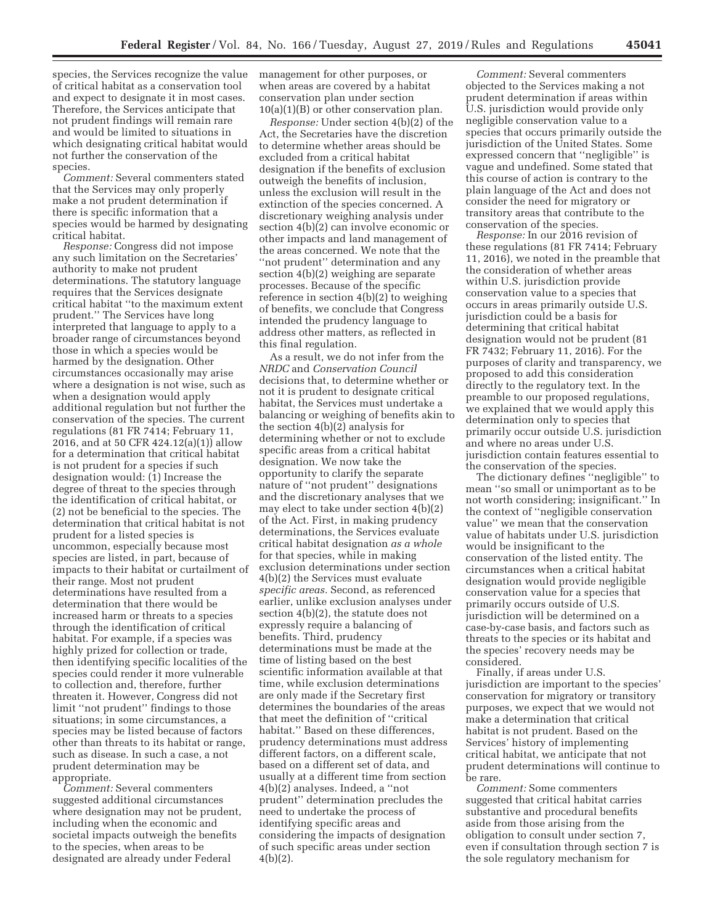species, the Services recognize the value of critical habitat as a conservation tool and expect to designate it in most cases. Therefore, the Services anticipate that not prudent findings will remain rare and would be limited to situations in which designating critical habitat would not further the conservation of the species.

*Comment:* Several commenters stated that the Services may only properly make a not prudent determination if there is specific information that a species would be harmed by designating critical habitat.

*Response:* Congress did not impose any such limitation on the Secretaries' authority to make not prudent determinations. The statutory language requires that the Services designate critical habitat ''to the maximum extent prudent.'' The Services have long interpreted that language to apply to a broader range of circumstances beyond those in which a species would be harmed by the designation. Other circumstances occasionally may arise where a designation is not wise, such as when a designation would apply additional regulation but not further the conservation of the species. The current regulations (81 FR 7414; February 11, 2016, and at 50 CFR 424.12(a)(1)) allow for a determination that critical habitat is not prudent for a species if such designation would:  $(i)$  Increase the degree of threat to the species through the identification of critical habitat, or (2) not be beneficial to the species. The determination that critical habitat is not prudent for a listed species is uncommon, especially because most species are listed, in part, because of impacts to their habitat or curtailment of their range. Most not prudent determinations have resulted from a determination that there would be increased harm or threats to a species through the identification of critical habitat. For example, if a species was highly prized for collection or trade, then identifying specific localities of the species could render it more vulnerable to collection and, therefore, further threaten it. However, Congress did not limit ''not prudent'' findings to those situations; in some circumstances, a species may be listed because of factors other than threats to its habitat or range, such as disease. In such a case, a not prudent determination may be appropriate.

*Comment:* Several commenters suggested additional circumstances where designation may not be prudent, including when the economic and societal impacts outweigh the benefits to the species, when areas to be designated are already under Federal

management for other purposes, or when areas are covered by a habitat conservation plan under section  $10(a)(1)(B)$  or other conservation plan.

*Response:* Under section 4(b)(2) of the Act, the Secretaries have the discretion to determine whether areas should be excluded from a critical habitat designation if the benefits of exclusion outweigh the benefits of inclusion, unless the exclusion will result in the extinction of the species concerned. A discretionary weighing analysis under section 4(b)(2) can involve economic or other impacts and land management of the areas concerned. We note that the "not prudent" determination and any section 4(b)(2) weighing are separate processes. Because of the specific reference in section 4(b)(2) to weighing of benefits, we conclude that Congress intended the prudency language to address other matters, as reflected in this final regulation.

As a result, we do not infer from the *NRDC* and *Conservation Council*  decisions that, to determine whether or not it is prudent to designate critical habitat, the Services must undertake a balancing or weighing of benefits akin to the section 4(b)(2) analysis for determining whether or not to exclude specific areas from a critical habitat designation. We now take the opportunity to clarify the separate nature of ''not prudent'' designations and the discretionary analyses that we may elect to take under section 4(b)(2) of the Act. First, in making prudency determinations, the Services evaluate critical habitat designation *as a whole*  for that species, while in making exclusion determinations under section 4(b)(2) the Services must evaluate *specific areas.* Second, as referenced earlier, unlike exclusion analyses under section 4(b)(2), the statute does not expressly require a balancing of benefits. Third, prudency determinations must be made at the time of listing based on the best scientific information available at that time, while exclusion determinations are only made if the Secretary first determines the boundaries of the areas that meet the definition of ''critical habitat.'' Based on these differences, prudency determinations must address different factors, on a different scale, based on a different set of data, and usually at a different time from section 4(b)(2) analyses. Indeed, a ''not prudent'' determination precludes the need to undertake the process of identifying specific areas and considering the impacts of designation of such specific areas under section 4(b)(2).

*Comment:* Several commenters objected to the Services making a not prudent determination if areas within U.S. jurisdiction would provide only negligible conservation value to a species that occurs primarily outside the jurisdiction of the United States. Some expressed concern that ''negligible'' is vague and undefined. Some stated that this course of action is contrary to the plain language of the Act and does not consider the need for migratory or transitory areas that contribute to the conservation of the species.

*Response:* In our 2016 revision of these regulations (81 FR 7414; February 11, 2016), we noted in the preamble that the consideration of whether areas within U.S. jurisdiction provide conservation value to a species that occurs in areas primarily outside U.S. jurisdiction could be a basis for determining that critical habitat designation would not be prudent (81 FR 7432; February 11, 2016). For the purposes of clarity and transparency, we proposed to add this consideration directly to the regulatory text. In the preamble to our proposed regulations, we explained that we would apply this determination only to species that primarily occur outside U.S. jurisdiction and where no areas under U.S. jurisdiction contain features essential to the conservation of the species.

The dictionary defines ''negligible'' to mean ''so small or unimportant as to be not worth considering; insignificant.'' In the context of ''negligible conservation value'' we mean that the conservation value of habitats under U.S. jurisdiction would be insignificant to the conservation of the listed entity. The circumstances when a critical habitat designation would provide negligible conservation value for a species that primarily occurs outside of U.S. jurisdiction will be determined on a case-by-case basis, and factors such as threats to the species or its habitat and the species' recovery needs may be considered.

Finally, if areas under U.S. jurisdiction are important to the species' conservation for migratory or transitory purposes, we expect that we would not make a determination that critical habitat is not prudent. Based on the Services' history of implementing critical habitat, we anticipate that not prudent determinations will continue to be rare.

*Comment:* Some commenters suggested that critical habitat carries substantive and procedural benefits aside from those arising from the obligation to consult under section 7, even if consultation through section 7 is the sole regulatory mechanism for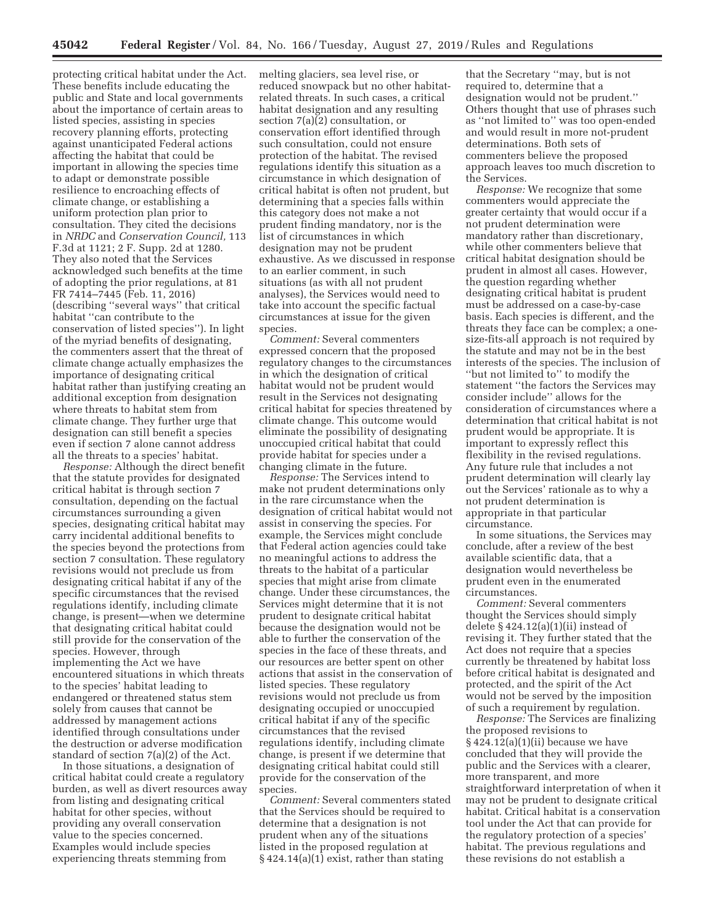protecting critical habitat under the Act. These benefits include educating the public and State and local governments about the importance of certain areas to listed species, assisting in species recovery planning efforts, protecting against unanticipated Federal actions affecting the habitat that could be important in allowing the species time to adapt or demonstrate possible resilience to encroaching effects of climate change, or establishing a uniform protection plan prior to consultation. They cited the decisions in *NRDC* and *Conservation Council,* 113 F.3d at 1121; 2 F. Supp. 2d at 1280. They also noted that the Services acknowledged such benefits at the time of adopting the prior regulations, at 81 FR 7414–7445 (Feb. 11, 2016) (describing ''several ways'' that critical habitat ''can contribute to the conservation of listed species''). In light of the myriad benefits of designating, the commenters assert that the threat of climate change actually emphasizes the importance of designating critical habitat rather than justifying creating an additional exception from designation where threats to habitat stem from climate change. They further urge that designation can still benefit a species even if section 7 alone cannot address all the threats to a species' habitat.

*Response:* Although the direct benefit that the statute provides for designated critical habitat is through section 7 consultation, depending on the factual circumstances surrounding a given species, designating critical habitat may carry incidental additional benefits to the species beyond the protections from section 7 consultation. These regulatory revisions would not preclude us from designating critical habitat if any of the specific circumstances that the revised regulations identify, including climate change, is present—when we determine that designating critical habitat could still provide for the conservation of the species. However, through implementing the Act we have encountered situations in which threats to the species' habitat leading to endangered or threatened status stem solely from causes that cannot be addressed by management actions identified through consultations under the destruction or adverse modification standard of section 7(a)(2) of the Act.

In those situations, a designation of critical habitat could create a regulatory burden, as well as divert resources away from listing and designating critical habitat for other species, without providing any overall conservation value to the species concerned. Examples would include species experiencing threats stemming from

melting glaciers, sea level rise, or reduced snowpack but no other habitatrelated threats. In such cases, a critical habitat designation and any resulting section 7(a)(2) consultation, or conservation effort identified through such consultation, could not ensure protection of the habitat. The revised regulations identify this situation as a circumstance in which designation of critical habitat is often not prudent, but determining that a species falls within this category does not make a not prudent finding mandatory, nor is the list of circumstances in which designation may not be prudent exhaustive. As we discussed in response to an earlier comment, in such situations (as with all not prudent analyses), the Services would need to take into account the specific factual circumstances at issue for the given species.

*Comment:* Several commenters expressed concern that the proposed regulatory changes to the circumstances in which the designation of critical habitat would not be prudent would result in the Services not designating critical habitat for species threatened by climate change. This outcome would eliminate the possibility of designating unoccupied critical habitat that could provide habitat for species under a changing climate in the future.

*Response:* The Services intend to make not prudent determinations only in the rare circumstance when the designation of critical habitat would not assist in conserving the species. For example, the Services might conclude that Federal action agencies could take no meaningful actions to address the threats to the habitat of a particular species that might arise from climate change. Under these circumstances, the Services might determine that it is not prudent to designate critical habitat because the designation would not be able to further the conservation of the species in the face of these threats, and our resources are better spent on other actions that assist in the conservation of listed species. These regulatory revisions would not preclude us from designating occupied or unoccupied critical habitat if any of the specific circumstances that the revised regulations identify, including climate change, is present if we determine that designating critical habitat could still provide for the conservation of the species.

*Comment:* Several commenters stated that the Services should be required to determine that a designation is not prudent when any of the situations listed in the proposed regulation at § 424.14(a)(1) exist, rather than stating

that the Secretary ''may, but is not required to, determine that a designation would not be prudent.'' Others thought that use of phrases such as ''not limited to'' was too open-ended and would result in more not-prudent determinations. Both sets of commenters believe the proposed approach leaves too much discretion to the Services.

*Response:* We recognize that some commenters would appreciate the greater certainty that would occur if a not prudent determination were mandatory rather than discretionary, while other commenters believe that critical habitat designation should be prudent in almost all cases. However, the question regarding whether designating critical habitat is prudent must be addressed on a case-by-case basis. Each species is different, and the threats they face can be complex; a onesize-fits-all approach is not required by the statute and may not be in the best interests of the species. The inclusion of ''but not limited to'' to modify the statement ''the factors the Services may consider include'' allows for the consideration of circumstances where a determination that critical habitat is not prudent would be appropriate. It is important to expressly reflect this flexibility in the revised regulations. Any future rule that includes a not prudent determination will clearly lay out the Services' rationale as to why a not prudent determination is appropriate in that particular circumstance.

In some situations, the Services may conclude, after a review of the best available scientific data, that a designation would nevertheless be prudent even in the enumerated circumstances.

*Comment:* Several commenters thought the Services should simply delete  $§ 424.12(a)(1)(ii)$  instead of revising it. They further stated that the Act does not require that a species currently be threatened by habitat loss before critical habitat is designated and protected, and the spirit of the Act would not be served by the imposition of such a requirement by regulation.

*Response:* The Services are finalizing the proposed revisions to  $§$  424.12(a)(1)(ii) because we have concluded that they will provide the public and the Services with a clearer, more transparent, and more straightforward interpretation of when it may not be prudent to designate critical habitat. Critical habitat is a conservation tool under the Act that can provide for the regulatory protection of a species' habitat. The previous regulations and these revisions do not establish a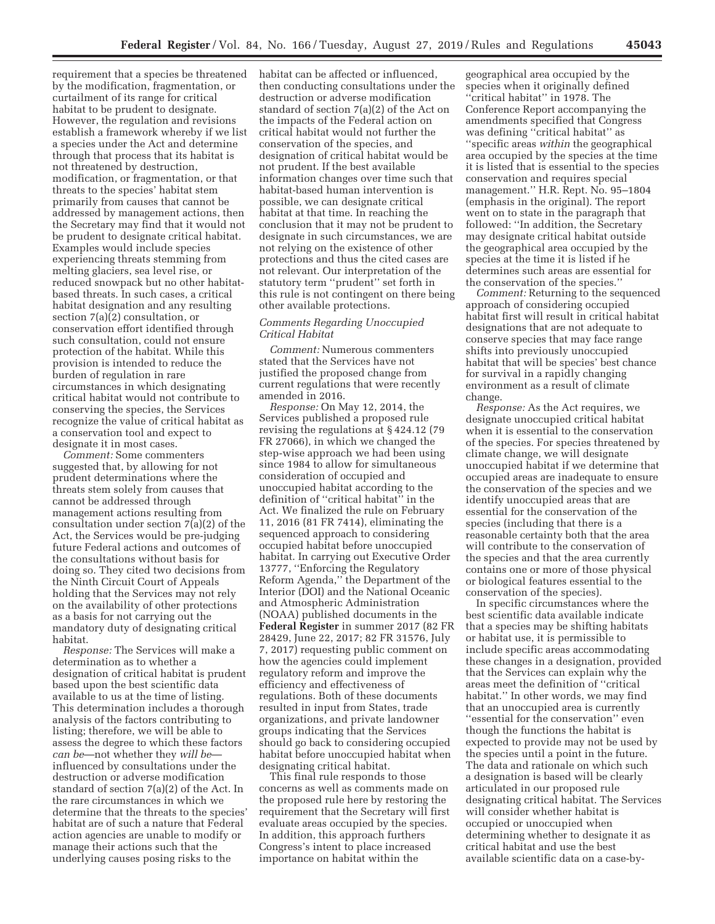requirement that a species be threatened by the modification, fragmentation, or curtailment of its range for critical habitat to be prudent to designate. However, the regulation and revisions establish a framework whereby if we list a species under the Act and determine through that process that its habitat is not threatened by destruction, modification, or fragmentation, or that threats to the species' habitat stem primarily from causes that cannot be addressed by management actions, then the Secretary may find that it would not be prudent to designate critical habitat. Examples would include species experiencing threats stemming from melting glaciers, sea level rise, or reduced snowpack but no other habitatbased threats. In such cases, a critical habitat designation and any resulting section 7(a)(2) consultation, or conservation effort identified through such consultation, could not ensure protection of the habitat. While this provision is intended to reduce the burden of regulation in rare circumstances in which designating critical habitat would not contribute to conserving the species, the Services recognize the value of critical habitat as a conservation tool and expect to designate it in most cases.

*Comment:* Some commenters suggested that, by allowing for not prudent determinations where the threats stem solely from causes that cannot be addressed through management actions resulting from consultation under section 7(a)(2) of the Act, the Services would be pre-judging future Federal actions and outcomes of the consultations without basis for doing so. They cited two decisions from the Ninth Circuit Court of Appeals holding that the Services may not rely on the availability of other protections as a basis for not carrying out the mandatory duty of designating critical habitat.

*Response:* The Services will make a determination as to whether a designation of critical habitat is prudent based upon the best scientific data available to us at the time of listing. This determination includes a thorough analysis of the factors contributing to listing; therefore, we will be able to assess the degree to which these factors *can be*—not whether they *will be* influenced by consultations under the destruction or adverse modification standard of section 7(a)(2) of the Act. In the rare circumstances in which we determine that the threats to the species' habitat are of such a nature that Federal action agencies are unable to modify or manage their actions such that the underlying causes posing risks to the

habitat can be affected or influenced, then conducting consultations under the destruction or adverse modification standard of section 7(a)(2) of the Act on the impacts of the Federal action on critical habitat would not further the conservation of the species, and designation of critical habitat would be not prudent. If the best available information changes over time such that habitat-based human intervention is possible, we can designate critical habitat at that time. In reaching the conclusion that it may not be prudent to designate in such circumstances, we are not relying on the existence of other protections and thus the cited cases are not relevant. Our interpretation of the statutory term ''prudent'' set forth in this rule is not contingent on there being other available protections.

# *Comments Regarding Unoccupied Critical Habitat*

*Comment:* Numerous commenters stated that the Services have not justified the proposed change from current regulations that were recently amended in 2016.

*Response:* On May 12, 2014, the Services published a proposed rule revising the regulations at § 424.12 (79 FR 27066), in which we changed the step-wise approach we had been using since 1984 to allow for simultaneous consideration of occupied and unoccupied habitat according to the definition of ''critical habitat'' in the Act. We finalized the rule on February 11, 2016 (81 FR 7414), eliminating the sequenced approach to considering occupied habitat before unoccupied habitat. In carrying out Executive Order 13777, ''Enforcing the Regulatory Reform Agenda,'' the Department of the Interior (DOI) and the National Oceanic and Atmospheric Administration (NOAA) published documents in the **Federal Register** in summer 2017 (82 FR 28429, June 22, 2017; 82 FR 31576, July 7, 2017) requesting public comment on how the agencies could implement regulatory reform and improve the efficiency and effectiveness of regulations. Both of these documents resulted in input from States, trade organizations, and private landowner groups indicating that the Services should go back to considering occupied habitat before unoccupied habitat when designating critical habitat.

This final rule responds to those concerns as well as comments made on the proposed rule here by restoring the requirement that the Secretary will first evaluate areas occupied by the species. In addition, this approach furthers Congress's intent to place increased importance on habitat within the

geographical area occupied by the species when it originally defined ''critical habitat'' in 1978. The Conference Report accompanying the amendments specified that Congress was defining ''critical habitat'' as ''specific areas *within* the geographical area occupied by the species at the time it is listed that is essential to the species conservation and requires special management.'' H.R. Rept. No. 95–1804 (emphasis in the original). The report went on to state in the paragraph that followed: ''In addition, the Secretary may designate critical habitat outside the geographical area occupied by the species at the time it is listed if he determines such areas are essential for the conservation of the species.''

*Comment:* Returning to the sequenced approach of considering occupied habitat first will result in critical habitat designations that are not adequate to conserve species that may face range shifts into previously unoccupied habitat that will be species' best chance for survival in a rapidly changing environment as a result of climate change.

*Response:* As the Act requires, we designate unoccupied critical habitat when it is essential to the conservation of the species. For species threatened by climate change, we will designate unoccupied habitat if we determine that occupied areas are inadequate to ensure the conservation of the species and we identify unoccupied areas that are essential for the conservation of the species (including that there is a reasonable certainty both that the area will contribute to the conservation of the species and that the area currently contains one or more of those physical or biological features essential to the conservation of the species).

In specific circumstances where the best scientific data available indicate that a species may be shifting habitats or habitat use, it is permissible to include specific areas accommodating these changes in a designation, provided that the Services can explain why the areas meet the definition of ''critical habitat.'' In other words, we may find that an unoccupied area is currently ''essential for the conservation'' even though the functions the habitat is expected to provide may not be used by the species until a point in the future. The data and rationale on which such a designation is based will be clearly articulated in our proposed rule designating critical habitat. The Services will consider whether habitat is occupied or unoccupied when determining whether to designate it as critical habitat and use the best available scientific data on a case-by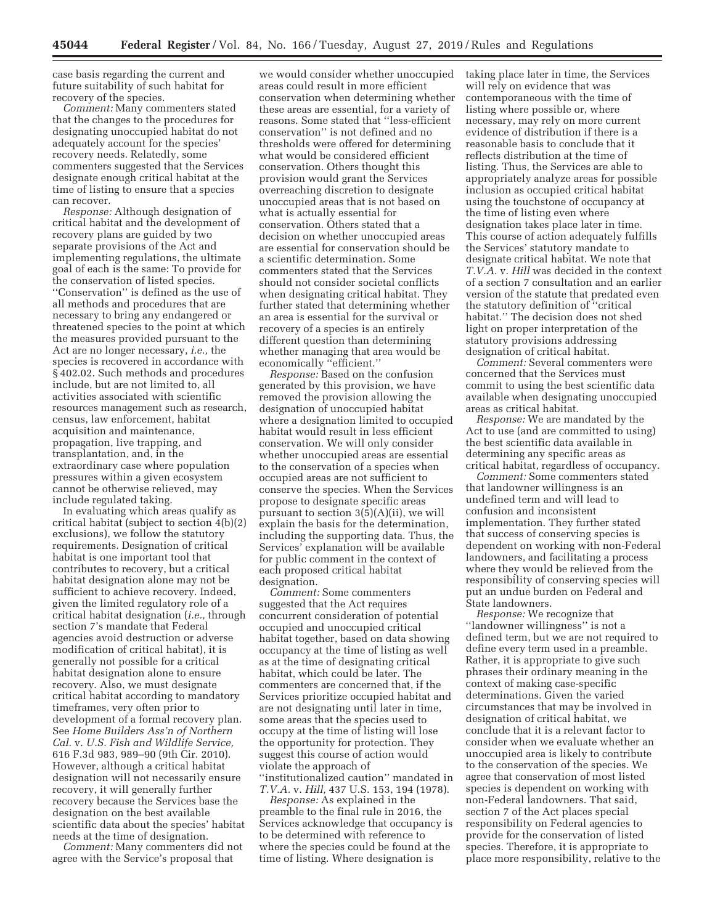case basis regarding the current and future suitability of such habitat for recovery of the species.

*Comment:* Many commenters stated that the changes to the procedures for designating unoccupied habitat do not adequately account for the species' recovery needs. Relatedly, some commenters suggested that the Services designate enough critical habitat at the time of listing to ensure that a species can recover.

*Response:* Although designation of critical habitat and the development of recovery plans are guided by two separate provisions of the Act and implementing regulations, the ultimate goal of each is the same: To provide for the conservation of listed species. ''Conservation'' is defined as the use of all methods and procedures that are necessary to bring any endangered or threatened species to the point at which the measures provided pursuant to the Act are no longer necessary, *i.e.,* the species is recovered in accordance with § 402.02. Such methods and procedures include, but are not limited to, all activities associated with scientific resources management such as research, census, law enforcement, habitat acquisition and maintenance, propagation, live trapping, and transplantation, and, in the extraordinary case where population pressures within a given ecosystem cannot be otherwise relieved, may include regulated taking.

In evaluating which areas qualify as critical habitat (subject to section 4(b)(2) exclusions), we follow the statutory requirements. Designation of critical habitat is one important tool that contributes to recovery, but a critical habitat designation alone may not be sufficient to achieve recovery. Indeed, given the limited regulatory role of a critical habitat designation (*i.e.,* through section 7's mandate that Federal agencies avoid destruction or adverse modification of critical habitat), it is generally not possible for a critical habitat designation alone to ensure recovery. Also, we must designate critical habitat according to mandatory timeframes, very often prior to development of a formal recovery plan. See *Home Builders Ass'n of Northern Cal.* v. *U.S. Fish and Wildlife Service,*  616 F.3d 983, 989–90 (9th Cir. 2010). However, although a critical habitat designation will not necessarily ensure recovery, it will generally further recovery because the Services base the designation on the best available scientific data about the species' habitat needs at the time of designation.

*Comment:* Many commenters did not agree with the Service's proposal that

we would consider whether unoccupied areas could result in more efficient conservation when determining whether these areas are essential, for a variety of reasons. Some stated that ''less-efficient conservation'' is not defined and no thresholds were offered for determining what would be considered efficient conservation. Others thought this provision would grant the Services overreaching discretion to designate unoccupied areas that is not based on what is actually essential for conservation. Others stated that a decision on whether unoccupied areas are essential for conservation should be a scientific determination. Some commenters stated that the Services should not consider societal conflicts when designating critical habitat. They further stated that determining whether an area is essential for the survival or recovery of a species is an entirely different question than determining whether managing that area would be economically ''efficient.''

*Response:* Based on the confusion generated by this provision, we have removed the provision allowing the designation of unoccupied habitat where a designation limited to occupied habitat would result in less efficient conservation. We will only consider whether unoccupied areas are essential to the conservation of a species when occupied areas are not sufficient to conserve the species. When the Services propose to designate specific areas pursuant to section 3(5)(A)(ii), we will explain the basis for the determination, including the supporting data. Thus, the Services' explanation will be available for public comment in the context of each proposed critical habitat designation.

*Comment:* Some commenters suggested that the Act requires concurrent consideration of potential occupied and unoccupied critical habitat together, based on data showing occupancy at the time of listing as well as at the time of designating critical habitat, which could be later. The commenters are concerned that, if the Services prioritize occupied habitat and are not designating until later in time, some areas that the species used to occupy at the time of listing will lose the opportunity for protection. They suggest this course of action would violate the approach of ''institutionalized caution'' mandated in *T.V.A.* v. *Hill,* 437 U.S. 153, 194 (1978).

*Response:* As explained in the preamble to the final rule in 2016, the Services acknowledge that occupancy is to be determined with reference to where the species could be found at the time of listing. Where designation is

taking place later in time, the Services will rely on evidence that was contemporaneous with the time of listing where possible or, where necessary, may rely on more current evidence of distribution if there is a reasonable basis to conclude that it reflects distribution at the time of listing. Thus, the Services are able to appropriately analyze areas for possible inclusion as occupied critical habitat using the touchstone of occupancy at the time of listing even where designation takes place later in time. This course of action adequately fulfills the Services' statutory mandate to designate critical habitat. We note that *T.V.A.* v. *Hill* was decided in the context of a section 7 consultation and an earlier version of the statute that predated even the statutory definition of ''critical habitat.'' The decision does not shed light on proper interpretation of the statutory provisions addressing designation of critical habitat.

*Comment:* Several commenters were concerned that the Services must commit to using the best scientific data available when designating unoccupied areas as critical habitat.

*Response:* We are mandated by the Act to use (and are committed to using) the best scientific data available in determining any specific areas as critical habitat, regardless of occupancy.

*Comment:* Some commenters stated that landowner willingness is an undefined term and will lead to confusion and inconsistent implementation. They further stated that success of conserving species is dependent on working with non-Federal landowners, and facilitating a process where they would be relieved from the responsibility of conserving species will put an undue burden on Federal and State landowners.

*Response:* We recognize that ''landowner willingness'' is not a defined term, but we are not required to define every term used in a preamble. Rather, it is appropriate to give such phrases their ordinary meaning in the context of making case-specific determinations. Given the varied circumstances that may be involved in designation of critical habitat, we conclude that it is a relevant factor to consider when we evaluate whether an unoccupied area is likely to contribute to the conservation of the species. We agree that conservation of most listed species is dependent on working with non-Federal landowners. That said, section 7 of the Act places special responsibility on Federal agencies to provide for the conservation of listed species. Therefore, it is appropriate to place more responsibility, relative to the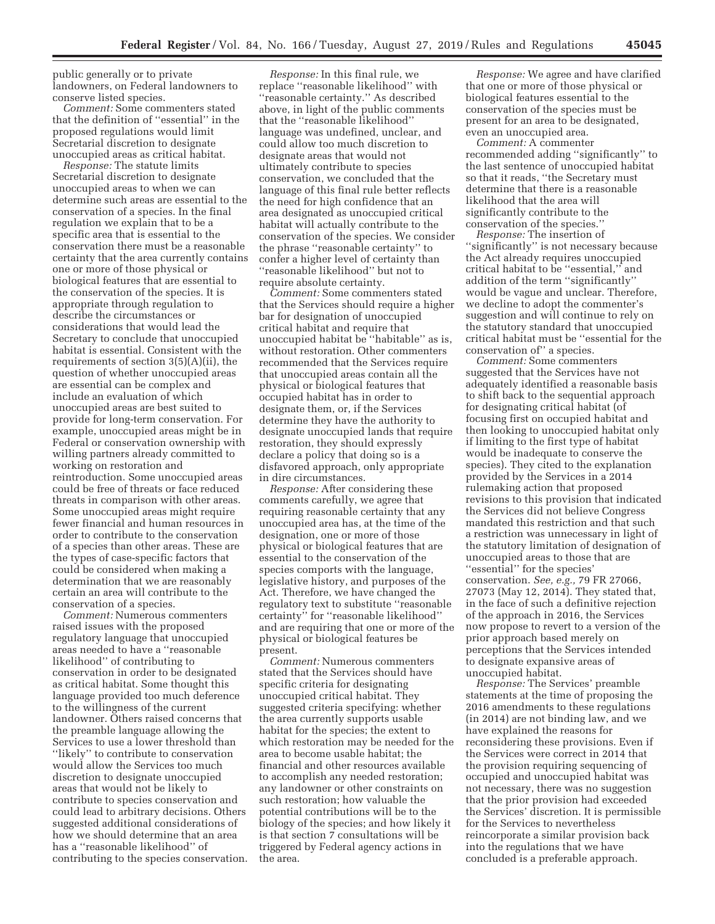public generally or to private landowners, on Federal landowners to conserve listed species.

*Comment:* Some commenters stated that the definition of ''essential'' in the proposed regulations would limit Secretarial discretion to designate unoccupied areas as critical habitat.

*Response:* The statute limits Secretarial discretion to designate unoccupied areas to when we can determine such areas are essential to the conservation of a species. In the final regulation we explain that to be a specific area that is essential to the conservation there must be a reasonable certainty that the area currently contains one or more of those physical or biological features that are essential to the conservation of the species. It is appropriate through regulation to describe the circumstances or considerations that would lead the Secretary to conclude that unoccupied habitat is essential. Consistent with the requirements of section 3(5)(A)(ii), the question of whether unoccupied areas are essential can be complex and include an evaluation of which unoccupied areas are best suited to provide for long-term conservation. For example, unoccupied areas might be in Federal or conservation ownership with willing partners already committed to working on restoration and reintroduction. Some unoccupied areas could be free of threats or face reduced threats in comparison with other areas. Some unoccupied areas might require fewer financial and human resources in order to contribute to the conservation of a species than other areas. These are the types of case-specific factors that could be considered when making a determination that we are reasonably certain an area will contribute to the conservation of a species.

*Comment:* Numerous commenters raised issues with the proposed regulatory language that unoccupied areas needed to have a ''reasonable likelihood'' of contributing to conservation in order to be designated as critical habitat. Some thought this language provided too much deference to the willingness of the current landowner. Others raised concerns that the preamble language allowing the Services to use a lower threshold than "likely" to contribute to conservation would allow the Services too much discretion to designate unoccupied areas that would not be likely to contribute to species conservation and could lead to arbitrary decisions. Others suggested additional considerations of how we should determine that an area has a ''reasonable likelihood'' of contributing to the species conservation.

*Response:* In this final rule, we replace ''reasonable likelihood'' with ''reasonable certainty.'' As described above, in light of the public comments that the ''reasonable likelihood'' language was undefined, unclear, and could allow too much discretion to designate areas that would not ultimately contribute to species conservation, we concluded that the language of this final rule better reflects the need for high confidence that an area designated as unoccupied critical habitat will actually contribute to the conservation of the species. We consider the phrase ''reasonable certainty'' to confer a higher level of certainty than ''reasonable likelihood'' but not to require absolute certainty.

*Comment:* Some commenters stated that the Services should require a higher bar for designation of unoccupied critical habitat and require that unoccupied habitat be ''habitable'' as is, without restoration. Other commenters recommended that the Services require that unoccupied areas contain all the physical or biological features that occupied habitat has in order to designate them, or, if the Services determine they have the authority to designate unoccupied lands that require restoration, they should expressly declare a policy that doing so is a disfavored approach, only appropriate in dire circumstances.

*Response:* After considering these comments carefully, we agree that requiring reasonable certainty that any unoccupied area has, at the time of the designation, one or more of those physical or biological features that are essential to the conservation of the species comports with the language, legislative history, and purposes of the Act. Therefore, we have changed the regulatory text to substitute ''reasonable certainty'' for ''reasonable likelihood'' and are requiring that one or more of the physical or biological features be present.

*Comment:* Numerous commenters stated that the Services should have specific criteria for designating unoccupied critical habitat. They suggested criteria specifying: whether the area currently supports usable habitat for the species; the extent to which restoration may be needed for the area to become usable habitat; the financial and other resources available to accomplish any needed restoration; any landowner or other constraints on such restoration; how valuable the potential contributions will be to the biology of the species; and how likely it is that section 7 consultations will be triggered by Federal agency actions in the area.

*Response:* We agree and have clarified that one or more of those physical or biological features essential to the conservation of the species must be present for an area to be designated, even an unoccupied area.

*Comment:* A commenter recommended adding ''significantly'' to the last sentence of unoccupied habitat so that it reads, ''the Secretary must determine that there is a reasonable likelihood that the area will significantly contribute to the conservation of the species.''

*Response:* The insertion of ''significantly'' is not necessary because the Act already requires unoccupied critical habitat to be ''essential,'' and addition of the term ''significantly'' would be vague and unclear. Therefore, we decline to adopt the commenter's suggestion and will continue to rely on the statutory standard that unoccupied critical habitat must be ''essential for the conservation of'' a species.

*Comment:* Some commenters suggested that the Services have not adequately identified a reasonable basis to shift back to the sequential approach for designating critical habitat (of focusing first on occupied habitat and then looking to unoccupied habitat only if limiting to the first type of habitat would be inadequate to conserve the species). They cited to the explanation provided by the Services in a 2014 rulemaking action that proposed revisions to this provision that indicated the Services did not believe Congress mandated this restriction and that such a restriction was unnecessary in light of the statutory limitation of designation of unoccupied areas to those that are ''essential'' for the species' conservation. *See, e.g.,* 79 FR 27066, 27073 (May 12, 2014). They stated that, in the face of such a definitive rejection of the approach in 2016, the Services now propose to revert to a version of the prior approach based merely on perceptions that the Services intended to designate expansive areas of unoccupied habitat.

*Response:* The Services' preamble statements at the time of proposing the 2016 amendments to these regulations (in 2014) are not binding law, and we have explained the reasons for reconsidering these provisions. Even if the Services were correct in 2014 that the provision requiring sequencing of occupied and unoccupied habitat was not necessary, there was no suggestion that the prior provision had exceeded the Services' discretion. It is permissible for the Services to nevertheless reincorporate a similar provision back into the regulations that we have concluded is a preferable approach.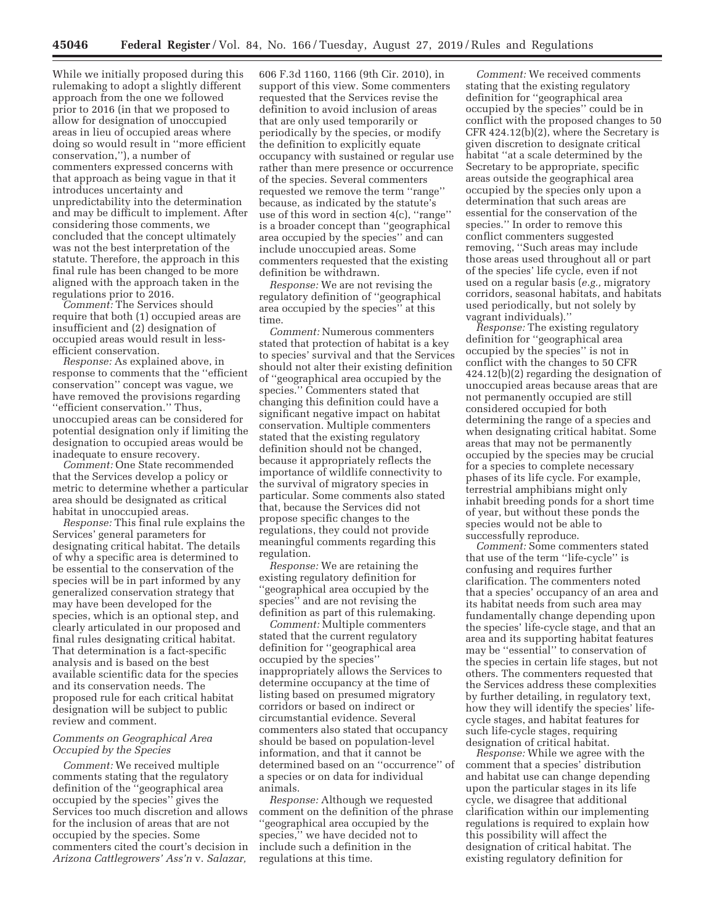While we initially proposed during this rulemaking to adopt a slightly different approach from the one we followed prior to 2016 (in that we proposed to allow for designation of unoccupied areas in lieu of occupied areas where doing so would result in ''more efficient conservation,''), a number of commenters expressed concerns with that approach as being vague in that it introduces uncertainty and unpredictability into the determination and may be difficult to implement. After considering those comments, we concluded that the concept ultimately was not the best interpretation of the statute. Therefore, the approach in this final rule has been changed to be more aligned with the approach taken in the regulations prior to 2016.

*Comment:* The Services should require that both (1) occupied areas are insufficient and (2) designation of occupied areas would result in lessefficient conservation.

*Response:* As explained above, in response to comments that the ''efficient conservation'' concept was vague, we have removed the provisions regarding ''efficient conservation.'' Thus, unoccupied areas can be considered for potential designation only if limiting the designation to occupied areas would be inadequate to ensure recovery.

*Comment:* One State recommended that the Services develop a policy or metric to determine whether a particular area should be designated as critical habitat in unoccupied areas.

*Response:* This final rule explains the Services' general parameters for designating critical habitat. The details of why a specific area is determined to be essential to the conservation of the species will be in part informed by any generalized conservation strategy that may have been developed for the species, which is an optional step, and clearly articulated in our proposed and final rules designating critical habitat. That determination is a fact-specific analysis and is based on the best available scientific data for the species and its conservation needs. The proposed rule for each critical habitat designation will be subject to public review and comment.

### *Comments on Geographical Area Occupied by the Species*

*Comment:* We received multiple comments stating that the regulatory definition of the ''geographical area occupied by the species'' gives the Services too much discretion and allows for the inclusion of areas that are not occupied by the species. Some commenters cited the court's decision in *Arizona Cattlegrowers' Ass'n* v. *Salazar,* 

606 F.3d 1160, 1166 (9th Cir. 2010), in support of this view. Some commenters requested that the Services revise the definition to avoid inclusion of areas that are only used temporarily or periodically by the species, or modify the definition to explicitly equate occupancy with sustained or regular use rather than mere presence or occurrence of the species. Several commenters requested we remove the term ''range'' because, as indicated by the statute's use of this word in section 4(c), ''range'' is a broader concept than ''geographical area occupied by the species'' and can include unoccupied areas. Some commenters requested that the existing definition be withdrawn.

*Response:* We are not revising the regulatory definition of ''geographical area occupied by the species'' at this time.

*Comment:* Numerous commenters stated that protection of habitat is a key to species' survival and that the Services should not alter their existing definition of ''geographical area occupied by the species.'' Commenters stated that changing this definition could have a significant negative impact on habitat conservation. Multiple commenters stated that the existing regulatory definition should not be changed, because it appropriately reflects the importance of wildlife connectivity to the survival of migratory species in particular. Some comments also stated that, because the Services did not propose specific changes to the regulations, they could not provide meaningful comments regarding this regulation.

*Response:* We are retaining the existing regulatory definition for ''geographical area occupied by the species'' and are not revising the definition as part of this rulemaking.

*Comment:* Multiple commenters stated that the current regulatory definition for ''geographical area occupied by the species'' inappropriately allows the Services to determine occupancy at the time of listing based on presumed migratory corridors or based on indirect or circumstantial evidence. Several commenters also stated that occupancy should be based on population-level information, and that it cannot be determined based on an ''occurrence'' of a species or on data for individual animals.

*Response:* Although we requested comment on the definition of the phrase ''geographical area occupied by the species,'' we have decided not to include such a definition in the regulations at this time.

*Comment:* We received comments stating that the existing regulatory definition for ''geographical area occupied by the species'' could be in conflict with the proposed changes to 50 CFR 424.12(b)(2), where the Secretary is given discretion to designate critical habitat ''at a scale determined by the Secretary to be appropriate, specific areas outside the geographical area occupied by the species only upon a determination that such areas are essential for the conservation of the species.'' In order to remove this conflict commenters suggested removing, ''Such areas may include those areas used throughout all or part of the species' life cycle, even if not used on a regular basis (*e.g.,* migratory corridors, seasonal habitats, and habitats used periodically, but not solely by vagrant individuals).''

*Response:* The existing regulatory definition for ''geographical area occupied by the species'' is not in conflict with the changes to 50 CFR 424.12(b)(2) regarding the designation of unoccupied areas because areas that are not permanently occupied are still considered occupied for both determining the range of a species and when designating critical habitat. Some areas that may not be permanently occupied by the species may be crucial for a species to complete necessary phases of its life cycle. For example, terrestrial amphibians might only inhabit breeding ponds for a short time of year, but without these ponds the species would not be able to successfully reproduce.

*Comment:* Some commenters stated that use of the term ''life-cycle'' is confusing and requires further clarification. The commenters noted that a species' occupancy of an area and its habitat needs from such area may fundamentally change depending upon the species' life-cycle stage, and that an area and its supporting habitat features may be ''essential'' to conservation of the species in certain life stages, but not others. The commenters requested that the Services address these complexities by further detailing, in regulatory text, how they will identify the species' lifecycle stages, and habitat features for such life-cycle stages, requiring designation of critical habitat.

*Response:* While we agree with the comment that a species' distribution and habitat use can change depending upon the particular stages in its life cycle, we disagree that additional clarification within our implementing regulations is required to explain how this possibility will affect the designation of critical habitat. The existing regulatory definition for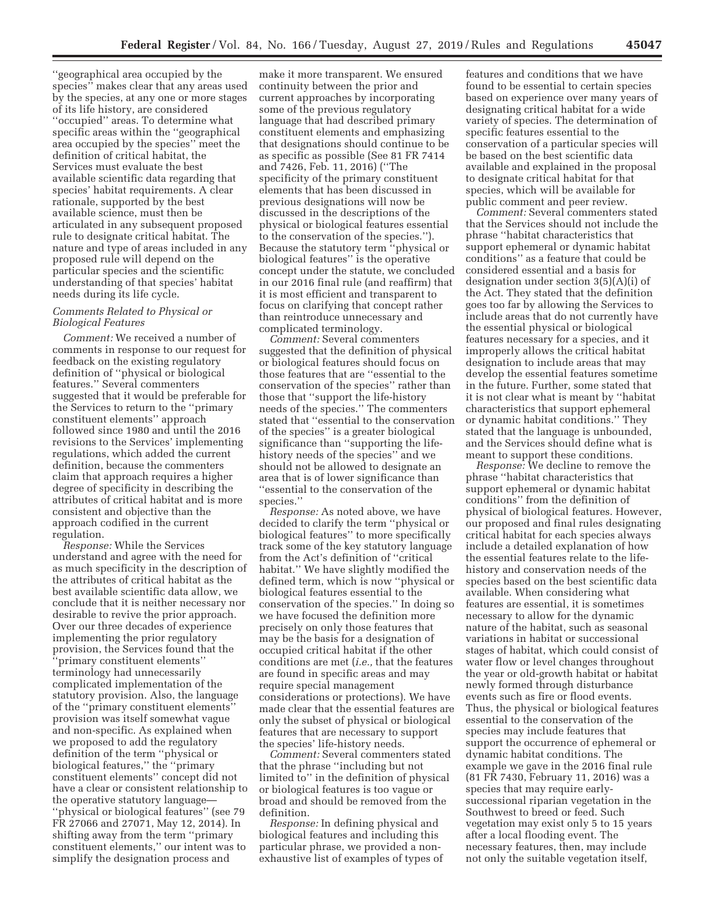''geographical area occupied by the species'' makes clear that any areas used by the species, at any one or more stages of its life history, are considered ''occupied'' areas. To determine what specific areas within the ''geographical area occupied by the species'' meet the definition of critical habitat, the Services must evaluate the best available scientific data regarding that species' habitat requirements. A clear rationale, supported by the best available science, must then be articulated in any subsequent proposed rule to designate critical habitat. The nature and type of areas included in any proposed rule will depend on the particular species and the scientific understanding of that species' habitat needs during its life cycle.

# *Comments Related to Physical or Biological Features*

*Comment:* We received a number of comments in response to our request for feedback on the existing regulatory definition of ''physical or biological features.'' Several commenters suggested that it would be preferable for the Services to return to the ''primary constituent elements'' approach followed since 1980 and until the 2016 revisions to the Services' implementing regulations, which added the current definition, because the commenters claim that approach requires a higher degree of specificity in describing the attributes of critical habitat and is more consistent and objective than the approach codified in the current regulation.

*Response:* While the Services understand and agree with the need for as much specificity in the description of the attributes of critical habitat as the best available scientific data allow, we conclude that it is neither necessary nor desirable to revive the prior approach. Over our three decades of experience implementing the prior regulatory provision, the Services found that the ''primary constituent elements'' terminology had unnecessarily complicated implementation of the statutory provision. Also, the language of the ''primary constituent elements'' provision was itself somewhat vague and non-specific. As explained when we proposed to add the regulatory definition of the term ''physical or biological features,'' the ''primary constituent elements'' concept did not have a clear or consistent relationship to the operative statutory language— ''physical or biological features'' (see 79 FR 27066 and 27071, May 12, 2014). In shifting away from the term ''primary constituent elements,'' our intent was to simplify the designation process and

make it more transparent. We ensured continuity between the prior and current approaches by incorporating some of the previous regulatory language that had described primary constituent elements and emphasizing that designations should continue to be as specific as possible (See 81 FR 7414 and 7426, Feb. 11, 2016) (''The specificity of the primary constituent elements that has been discussed in previous designations will now be discussed in the descriptions of the physical or biological features essential to the conservation of the species.''). Because the statutory term ''physical or biological features'' is the operative concept under the statute, we concluded in our 2016 final rule (and reaffirm) that it is most efficient and transparent to focus on clarifying that concept rather than reintroduce unnecessary and complicated terminology.

*Comment:* Several commenters suggested that the definition of physical or biological features should focus on those features that are ''essential to the conservation of the species'' rather than those that ''support the life-history needs of the species.'' The commenters stated that ''essential to the conservation of the species'' is a greater biological significance than ''supporting the lifehistory needs of the species'' and we should not be allowed to designate an area that is of lower significance than ''essential to the conservation of the species.''

*Response:* As noted above, we have decided to clarify the term ''physical or biological features'' to more specifically track some of the key statutory language from the Act's definition of ''critical habitat.'' We have slightly modified the defined term, which is now ''physical or biological features essential to the conservation of the species.'' In doing so we have focused the definition more precisely on only those features that may be the basis for a designation of occupied critical habitat if the other conditions are met (*i.e.,* that the features are found in specific areas and may require special management considerations or protections). We have made clear that the essential features are only the subset of physical or biological features that are necessary to support the species' life-history needs.

*Comment:* Several commenters stated that the phrase ''including but not limited to'' in the definition of physical or biological features is too vague or broad and should be removed from the definition.

*Response:* In defining physical and biological features and including this particular phrase, we provided a nonexhaustive list of examples of types of

features and conditions that we have found to be essential to certain species based on experience over many years of designating critical habitat for a wide variety of species. The determination of specific features essential to the conservation of a particular species will be based on the best scientific data available and explained in the proposal to designate critical habitat for that species, which will be available for public comment and peer review.

*Comment:* Several commenters stated that the Services should not include the phrase ''habitat characteristics that support ephemeral or dynamic habitat conditions'' as a feature that could be considered essential and a basis for designation under section 3(5)(A)(i) of the Act. They stated that the definition goes too far by allowing the Services to include areas that do not currently have the essential physical or biological features necessary for a species, and it improperly allows the critical habitat designation to include areas that may develop the essential features sometime in the future. Further, some stated that it is not clear what is meant by ''habitat characteristics that support ephemeral or dynamic habitat conditions.'' They stated that the language is unbounded, and the Services should define what is meant to support these conditions.

*Response:* We decline to remove the phrase ''habitat characteristics that support ephemeral or dynamic habitat conditions'' from the definition of physical of biological features. However, our proposed and final rules designating critical habitat for each species always include a detailed explanation of how the essential features relate to the lifehistory and conservation needs of the species based on the best scientific data available. When considering what features are essential, it is sometimes necessary to allow for the dynamic nature of the habitat, such as seasonal variations in habitat or successional stages of habitat, which could consist of water flow or level changes throughout the year or old-growth habitat or habitat newly formed through disturbance events such as fire or flood events. Thus, the physical or biological features essential to the conservation of the species may include features that support the occurrence of ephemeral or dynamic habitat conditions. The example we gave in the 2016 final rule (81 FR 7430, February 11, 2016) was a species that may require earlysuccessional riparian vegetation in the Southwest to breed or feed. Such vegetation may exist only 5 to 15 years after a local flooding event. The necessary features, then, may include not only the suitable vegetation itself,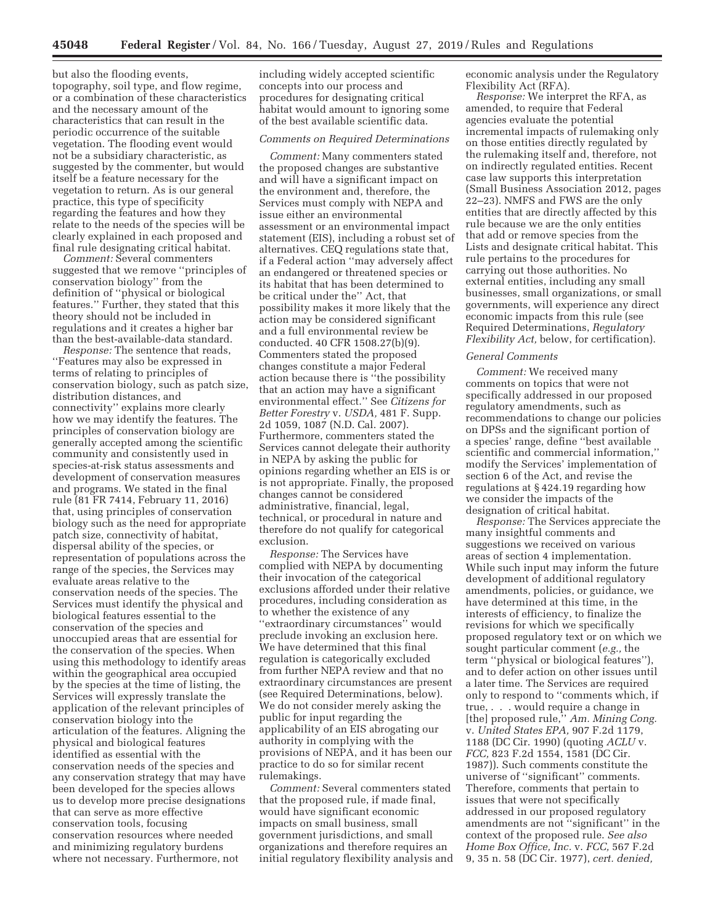but also the flooding events, topography, soil type, and flow regime, or a combination of these characteristics and the necessary amount of the characteristics that can result in the periodic occurrence of the suitable vegetation. The flooding event would not be a subsidiary characteristic, as suggested by the commenter, but would itself be a feature necessary for the vegetation to return. As is our general practice, this type of specificity regarding the features and how they relate to the needs of the species will be clearly explained in each proposed and final rule designating critical habitat.

*Comment:* Several commenters suggested that we remove ''principles of conservation biology'' from the definition of ''physical or biological features.'' Further, they stated that this theory should not be included in regulations and it creates a higher bar than the best-available-data standard.

*Response:* The sentence that reads, ''Features may also be expressed in terms of relating to principles of conservation biology, such as patch size, distribution distances, and connectivity'' explains more clearly how we may identify the features. The principles of conservation biology are generally accepted among the scientific community and consistently used in species-at-risk status assessments and development of conservation measures and programs. We stated in the final rule (81 FR 7414, February 11, 2016) that, using principles of conservation biology such as the need for appropriate patch size, connectivity of habitat, dispersal ability of the species, or representation of populations across the range of the species, the Services may evaluate areas relative to the conservation needs of the species. The Services must identify the physical and biological features essential to the conservation of the species and unoccupied areas that are essential for the conservation of the species. When using this methodology to identify areas within the geographical area occupied by the species at the time of listing, the Services will expressly translate the application of the relevant principles of conservation biology into the articulation of the features. Aligning the physical and biological features identified as essential with the conservation needs of the species and any conservation strategy that may have been developed for the species allows us to develop more precise designations that can serve as more effective conservation tools, focusing conservation resources where needed and minimizing regulatory burdens where not necessary. Furthermore, not

including widely accepted scientific concepts into our process and procedures for designating critical habitat would amount to ignoring some of the best available scientific data.

# *Comments on Required Determinations*

*Comment:* Many commenters stated the proposed changes are substantive and will have a significant impact on the environment and, therefore, the Services must comply with NEPA and issue either an environmental assessment or an environmental impact statement (EIS), including a robust set of alternatives. CEQ regulations state that, if a Federal action ''may adversely affect an endangered or threatened species or its habitat that has been determined to be critical under the'' Act, that possibility makes it more likely that the action may be considered significant and a full environmental review be conducted. 40 CFR 1508.27(b)(9). Commenters stated the proposed changes constitute a major Federal action because there is ''the possibility that an action may have a significant environmental effect.'' See *Citizens for Better Forestry* v. *USDA,* 481 F. Supp. 2d 1059, 1087 (N.D. Cal. 2007). Furthermore, commenters stated the Services cannot delegate their authority in NEPA by asking the public for opinions regarding whether an EIS is or is not appropriate. Finally, the proposed changes cannot be considered administrative, financial, legal, technical, or procedural in nature and therefore do not qualify for categorical exclusion.

*Response:* The Services have complied with NEPA by documenting their invocation of the categorical exclusions afforded under their relative procedures, including consideration as to whether the existence of any ''extraordinary circumstances'' would preclude invoking an exclusion here. We have determined that this final regulation is categorically excluded from further NEPA review and that no extraordinary circumstances are present (see Required Determinations, below). We do not consider merely asking the public for input regarding the applicability of an EIS abrogating our authority in complying with the provisions of NEPA, and it has been our practice to do so for similar recent rulemakings.

*Comment:* Several commenters stated that the proposed rule, if made final, would have significant economic impacts on small business, small government jurisdictions, and small organizations and therefore requires an initial regulatory flexibility analysis and economic analysis under the Regulatory Flexibility Act (RFA).

*Response:* We interpret the RFA, as amended, to require that Federal agencies evaluate the potential incremental impacts of rulemaking only on those entities directly regulated by the rulemaking itself and, therefore, not on indirectly regulated entities. Recent case law supports this interpretation (Small Business Association 2012, pages 22–23). NMFS and FWS are the only entities that are directly affected by this rule because we are the only entities that add or remove species from the Lists and designate critical habitat. This rule pertains to the procedures for carrying out those authorities. No external entities, including any small businesses, small organizations, or small governments, will experience any direct economic impacts from this rule (see Required Determinations, *Regulatory Flexibility Act,* below, for certification).

#### *General Comments*

*Comment:* We received many comments on topics that were not specifically addressed in our proposed regulatory amendments, such as recommendations to change our policies on DPSs and the significant portion of a species' range, define ''best available scientific and commercial information,'' modify the Services' implementation of section 6 of the Act, and revise the regulations at § 424.19 regarding how we consider the impacts of the designation of critical habitat.

*Response:* The Services appreciate the many insightful comments and suggestions we received on various areas of section 4 implementation. While such input may inform the future development of additional regulatory amendments, policies, or guidance, we have determined at this time, in the interests of efficiency, to finalize the revisions for which we specifically proposed regulatory text or on which we sought particular comment (*e.g.,* the term ''physical or biological features''), and to defer action on other issues until a later time. The Services are required only to respond to ''comments which, if true, . . . would require a change in [the] proposed rule,'' *Am. Mining Cong.*  v. *United States EPA,* 907 F.2d 1179, 1188 (DC Cir. 1990) (quoting *ACLU* v. *FCC,* 823 F.2d 1554, 1581 (DC Cir. 1987)). Such comments constitute the universe of ''significant'' comments. Therefore, comments that pertain to issues that were not specifically addressed in our proposed regulatory amendments are not ''significant'' in the context of the proposed rule. *See also Home Box Office, Inc.* v. *FCC,* 567 F.2d 9, 35 n. 58 (DC Cir. 1977), *cert. denied,*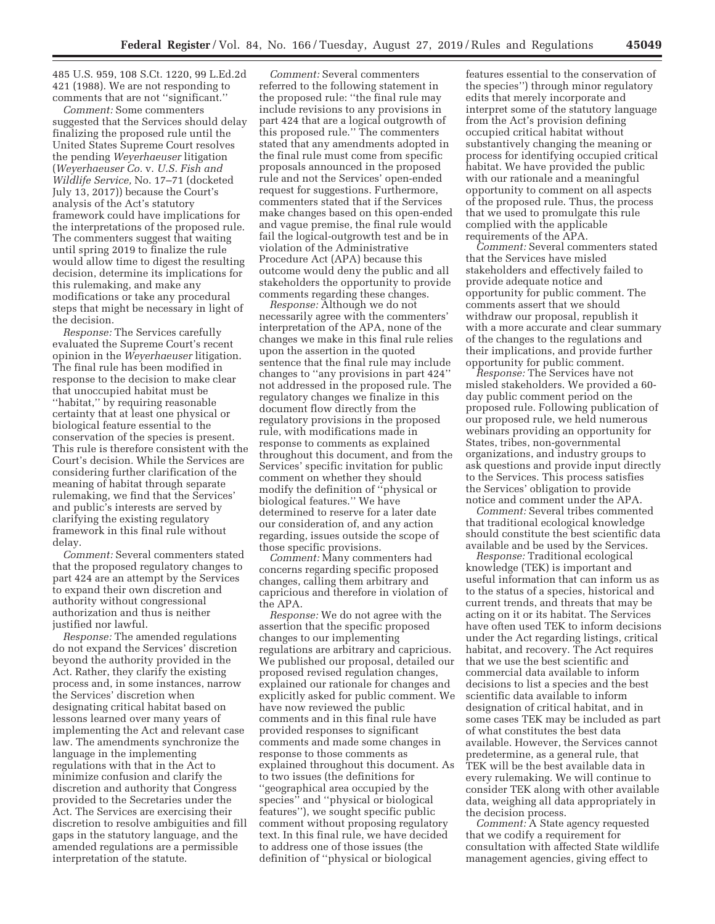485 U.S. 959, 108 S.Ct. 1220, 99 L.Ed.2d 421 (1988). We are not responding to comments that are not ''significant.''

*Comment:* Some commenters suggested that the Services should delay finalizing the proposed rule until the United States Supreme Court resolves the pending *Weyerhaeuser* litigation (*Weyerhaeuser Co.* v. *U.S. Fish and Wildlife Service,* No. 17–71 (docketed July 13, 2017)) because the Court's analysis of the Act's statutory framework could have implications for the interpretations of the proposed rule. The commenters suggest that waiting until spring 2019 to finalize the rule would allow time to digest the resulting decision, determine its implications for this rulemaking, and make any modifications or take any procedural steps that might be necessary in light of the decision.

*Response:* The Services carefully evaluated the Supreme Court's recent opinion in the *Weyerhaeuser* litigation. The final rule has been modified in response to the decision to make clear that unoccupied habitat must be ''habitat,'' by requiring reasonable certainty that at least one physical or biological feature essential to the conservation of the species is present. This rule is therefore consistent with the Court's decision. While the Services are considering further clarification of the meaning of habitat through separate rulemaking, we find that the Services' and public's interests are served by clarifying the existing regulatory framework in this final rule without delay.

*Comment:* Several commenters stated that the proposed regulatory changes to part 424 are an attempt by the Services to expand their own discretion and authority without congressional authorization and thus is neither justified nor lawful.

*Response:* The amended regulations do not expand the Services' discretion beyond the authority provided in the Act. Rather, they clarify the existing process and, in some instances, narrow the Services' discretion when designating critical habitat based on lessons learned over many years of implementing the Act and relevant case law. The amendments synchronize the language in the implementing regulations with that in the Act to minimize confusion and clarify the discretion and authority that Congress provided to the Secretaries under the Act. The Services are exercising their discretion to resolve ambiguities and fill gaps in the statutory language, and the amended regulations are a permissible interpretation of the statute.

*Comment:* Several commenters referred to the following statement in the proposed rule: ''the final rule may include revisions to any provisions in part 424 that are a logical outgrowth of this proposed rule.'' The commenters stated that any amendments adopted in the final rule must come from specific proposals announced in the proposed rule and not the Services' open-ended request for suggestions. Furthermore, commenters stated that if the Services make changes based on this open-ended and vague premise, the final rule would fail the logical-outgrowth test and be in violation of the Administrative Procedure Act (APA) because this outcome would deny the public and all stakeholders the opportunity to provide comments regarding these changes.

*Response:* Although we do not necessarily agree with the commenters' interpretation of the APA, none of the changes we make in this final rule relies upon the assertion in the quoted sentence that the final rule may include changes to ''any provisions in part 424'' not addressed in the proposed rule. The regulatory changes we finalize in this document flow directly from the regulatory provisions in the proposed rule, with modifications made in response to comments as explained throughout this document, and from the Services' specific invitation for public comment on whether they should modify the definition of ''physical or biological features.'' We have determined to reserve for a later date our consideration of, and any action regarding, issues outside the scope of those specific provisions.

*Comment:* Many commenters had concerns regarding specific proposed changes, calling them arbitrary and capricious and therefore in violation of the APA.

*Response:* We do not agree with the assertion that the specific proposed changes to our implementing regulations are arbitrary and capricious. We published our proposal, detailed our proposed revised regulation changes, explained our rationale for changes and explicitly asked for public comment. We have now reviewed the public comments and in this final rule have provided responses to significant comments and made some changes in response to those comments as explained throughout this document. As to two issues (the definitions for ''geographical area occupied by the species'' and ''physical or biological features''), we sought specific public comment without proposing regulatory text. In this final rule, we have decided to address one of those issues (the definition of ''physical or biological

features essential to the conservation of the species'') through minor regulatory edits that merely incorporate and interpret some of the statutory language from the Act's provision defining occupied critical habitat without substantively changing the meaning or process for identifying occupied critical habitat. We have provided the public with our rationale and a meaningful opportunity to comment on all aspects of the proposed rule. Thus, the process that we used to promulgate this rule complied with the applicable requirements of the APA.

*Comment:* Several commenters stated that the Services have misled stakeholders and effectively failed to provide adequate notice and opportunity for public comment. The comments assert that we should withdraw our proposal, republish it with a more accurate and clear summary of the changes to the regulations and their implications, and provide further opportunity for public comment.

*Response:* The Services have not misled stakeholders. We provided a 60 day public comment period on the proposed rule. Following publication of our proposed rule, we held numerous webinars providing an opportunity for States, tribes, non-governmental organizations, and industry groups to ask questions and provide input directly to the Services. This process satisfies the Services' obligation to provide notice and comment under the APA.

*Comment:* Several tribes commented that traditional ecological knowledge should constitute the best scientific data available and be used by the Services.

*Response:* Traditional ecological knowledge (TEK) is important and useful information that can inform us as to the status of a species, historical and current trends, and threats that may be acting on it or its habitat. The Services have often used TEK to inform decisions under the Act regarding listings, critical habitat, and recovery. The Act requires that we use the best scientific and commercial data available to inform decisions to list a species and the best scientific data available to inform designation of critical habitat, and in some cases TEK may be included as part of what constitutes the best data available. However, the Services cannot predetermine, as a general rule, that TEK will be the best available data in every rulemaking. We will continue to consider TEK along with other available data, weighing all data appropriately in the decision process.

*Comment:* A State agency requested that we codify a requirement for consultation with affected State wildlife management agencies, giving effect to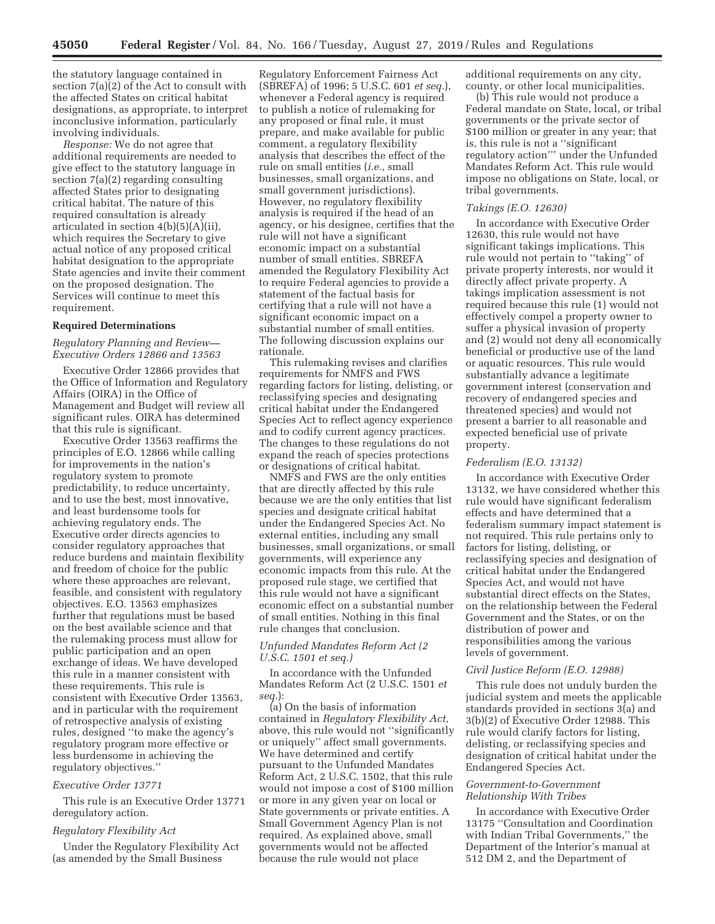the statutory language contained in section 7(a)(2) of the Act to consult with the affected States on critical habitat designations, as appropriate, to interpret inconclusive information, particularly involving individuals.

*Response:* We do not agree that additional requirements are needed to give effect to the statutory language in section 7(a)(2) regarding consulting affected States prior to designating critical habitat. The nature of this required consultation is already articulated in section 4(b)(5)(A)(ii), which requires the Secretary to give actual notice of any proposed critical habitat designation to the appropriate State agencies and invite their comment on the proposed designation. The Services will continue to meet this requirement.

#### **Required Determinations**

*Regulatory Planning and Review— Executive Orders 12866 and 13563* 

Executive Order 12866 provides that the Office of Information and Regulatory Affairs (OIRA) in the Office of Management and Budget will review all significant rules. OIRA has determined that this rule is significant.

Executive Order 13563 reaffirms the principles of E.O. 12866 while calling for improvements in the nation's regulatory system to promote predictability, to reduce uncertainty, and to use the best, most innovative, and least burdensome tools for achieving regulatory ends. The Executive order directs agencies to consider regulatory approaches that reduce burdens and maintain flexibility and freedom of choice for the public where these approaches are relevant, feasible, and consistent with regulatory objectives. E.O. 13563 emphasizes further that regulations must be based on the best available science and that the rulemaking process must allow for public participation and an open exchange of ideas. We have developed this rule in a manner consistent with these requirements. This rule is consistent with Executive Order 13563, and in particular with the requirement of retrospective analysis of existing rules, designed ''to make the agency's regulatory program more effective or less burdensome in achieving the regulatory objectives.''

### *Executive Order 13771*

This rule is an Executive Order 13771 deregulatory action.

#### *Regulatory Flexibility Act*

Under the Regulatory Flexibility Act (as amended by the Small Business

Regulatory Enforcement Fairness Act (SBREFA) of 1996; 5 U.S.C. 601 *et seq.*), whenever a Federal agency is required to publish a notice of rulemaking for any proposed or final rule, it must prepare, and make available for public comment, a regulatory flexibility analysis that describes the effect of the rule on small entities (*i.e.,* small businesses, small organizations, and small government jurisdictions). However, no regulatory flexibility analysis is required if the head of an agency, or his designee, certifies that the rule will not have a significant economic impact on a substantial number of small entities. SBREFA amended the Regulatory Flexibility Act to require Federal agencies to provide a statement of the factual basis for certifying that a rule will not have a significant economic impact on a substantial number of small entities. The following discussion explains our rationale.

This rulemaking revises and clarifies requirements for NMFS and FWS regarding factors for listing, delisting, or reclassifying species and designating critical habitat under the Endangered Species Act to reflect agency experience and to codify current agency practices. The changes to these regulations do not expand the reach of species protections or designations of critical habitat.

NMFS and FWS are the only entities that are directly affected by this rule because we are the only entities that list species and designate critical habitat under the Endangered Species Act. No external entities, including any small businesses, small organizations, or small governments, will experience any economic impacts from this rule. At the proposed rule stage, we certified that this rule would not have a significant economic effect on a substantial number of small entities. Nothing in this final rule changes that conclusion.

# *Unfunded Mandates Reform Act (2 U.S.C. 1501 et seq.)*

In accordance with the Unfunded Mandates Reform Act (2 U.S.C. 1501 *et seq.*):

(a) On the basis of information contained in *Regulatory Flexibility Act,*  above, this rule would not ''significantly or uniquely'' affect small governments. We have determined and certify pursuant to the Unfunded Mandates Reform Act, 2 U.S.C. 1502, that this rule would not impose a cost of \$100 million or more in any given year on local or State governments or private entities. A Small Government Agency Plan is not required. As explained above, small governments would not be affected because the rule would not place

additional requirements on any city, county, or other local municipalities.

(b) This rule would not produce a Federal mandate on State, local, or tribal governments or the private sector of \$100 million or greater in any year; that is, this rule is not a ''significant regulatory action''' under the Unfunded Mandates Reform Act. This rule would impose no obligations on State, local, or tribal governments.

#### *Takings (E.O. 12630)*

In accordance with Executive Order 12630, this rule would not have significant takings implications. This rule would not pertain to ''taking'' of private property interests, nor would it directly affect private property. A takings implication assessment is not required because this rule (1) would not effectively compel a property owner to suffer a physical invasion of property and (2) would not deny all economically beneficial or productive use of the land or aquatic resources. This rule would substantially advance a legitimate government interest (conservation and recovery of endangered species and threatened species) and would not present a barrier to all reasonable and expected beneficial use of private property.

# *Federalism (E.O. 13132)*

In accordance with Executive Order 13132, we have considered whether this rule would have significant federalism effects and have determined that a federalism summary impact statement is not required. This rule pertains only to factors for listing, delisting, or reclassifying species and designation of critical habitat under the Endangered Species Act, and would not have substantial direct effects on the States, on the relationship between the Federal Government and the States, or on the distribution of power and responsibilities among the various levels of government.

#### *Civil Justice Reform (E.O. 12988)*

This rule does not unduly burden the judicial system and meets the applicable standards provided in sections 3(a) and 3(b)(2) of Executive Order 12988. This rule would clarify factors for listing, delisting, or reclassifying species and designation of critical habitat under the Endangered Species Act.

### *Government-to-Government Relationship With Tribes*

In accordance with Executive Order 13175 ''Consultation and Coordination with Indian Tribal Governments,'' the Department of the Interior's manual at 512 DM 2, and the Department of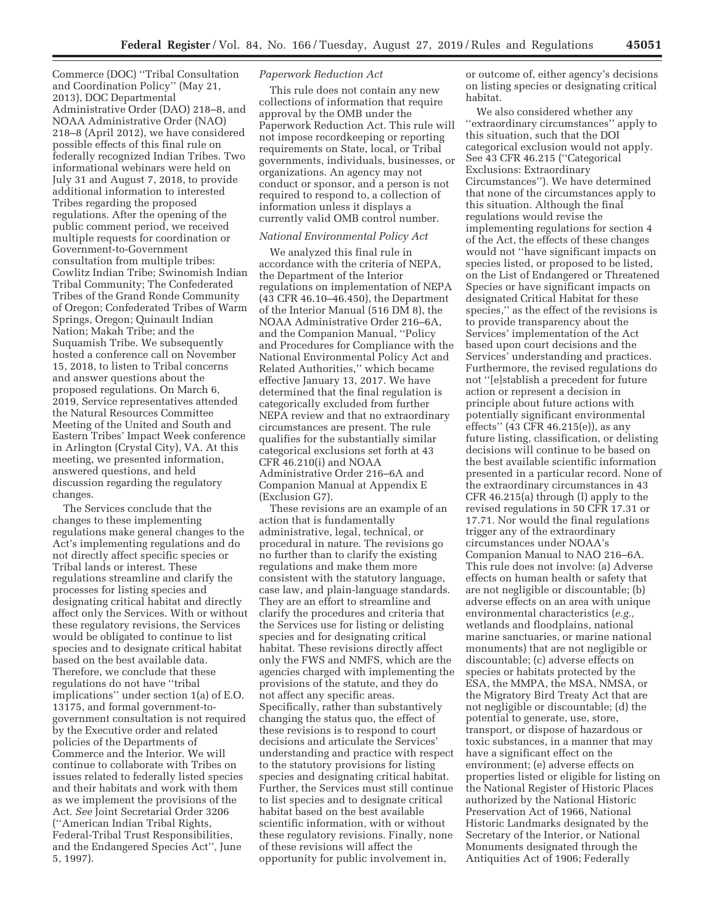Commerce (DOC) ''Tribal Consultation and Coordination Policy'' (May 21, 2013), DOC Departmental Administrative Order (DAO) 218–8, and NOAA Administrative Order (NAO) 218–8 (April 2012), we have considered possible effects of this final rule on federally recognized Indian Tribes. Two informational webinars were held on July 31 and August 7, 2018, to provide additional information to interested Tribes regarding the proposed regulations. After the opening of the public comment period, we received multiple requests for coordination or Government-to-Government consultation from multiple tribes: Cowlitz Indian Tribe; Swinomish Indian Tribal Community; The Confederated Tribes of the Grand Ronde Community of Oregon; Confederated Tribes of Warm Springs, Oregon; Quinault Indian Nation; Makah Tribe; and the Suquamish Tribe. We subsequently hosted a conference call on November 15, 2018, to listen to Tribal concerns and answer questions about the proposed regulations. On March 6, 2019, Service representatives attended the Natural Resources Committee Meeting of the United and South and Eastern Tribes' Impact Week conference in Arlington (Crystal City), VA. At this meeting, we presented information, answered questions, and held discussion regarding the regulatory changes.

The Services conclude that the changes to these implementing regulations make general changes to the Act's implementing regulations and do not directly affect specific species or Tribal lands or interest. These regulations streamline and clarify the processes for listing species and designating critical habitat and directly affect only the Services. With or without these regulatory revisions, the Services would be obligated to continue to list species and to designate critical habitat based on the best available data. Therefore, we conclude that these regulations do not have ''tribal implications'' under section 1(a) of E.O. 13175, and formal government-togovernment consultation is not required by the Executive order and related policies of the Departments of Commerce and the Interior. We will continue to collaborate with Tribes on issues related to federally listed species and their habitats and work with them as we implement the provisions of the Act. *See* Joint Secretarial Order 3206 (''American Indian Tribal Rights, Federal-Tribal Trust Responsibilities, and the Endangered Species Act'', June 5, 1997).

# *Paperwork Reduction Act*

This rule does not contain any new collections of information that require approval by the OMB under the Paperwork Reduction Act. This rule will not impose recordkeeping or reporting requirements on State, local, or Tribal governments, individuals, businesses, or organizations. An agency may not conduct or sponsor, and a person is not required to respond to, a collection of information unless it displays a currently valid OMB control number.

### *National Environmental Policy Act*

We analyzed this final rule in accordance with the criteria of NEPA, the Department of the Interior regulations on implementation of NEPA (43 CFR 46.10–46.450), the Department of the Interior Manual (516 DM 8), the NOAA Administrative Order 216–6A, and the Companion Manual, ''Policy and Procedures for Compliance with the National Environmental Policy Act and Related Authorities,'' which became effective January 13, 2017. We have determined that the final regulation is categorically excluded from further NEPA review and that no extraordinary circumstances are present. The rule qualifies for the substantially similar categorical exclusions set forth at 43 CFR 46.210(i) and NOAA Administrative Order 216–6A and Companion Manual at Appendix E (Exclusion G7).

These revisions are an example of an action that is fundamentally administrative, legal, technical, or procedural in nature. The revisions go no further than to clarify the existing regulations and make them more consistent with the statutory language, case law, and plain-language standards. They are an effort to streamline and clarify the procedures and criteria that the Services use for listing or delisting species and for designating critical habitat. These revisions directly affect only the FWS and NMFS, which are the agencies charged with implementing the provisions of the statute, and they do not affect any specific areas. Specifically, rather than substantively changing the status quo, the effect of these revisions is to respond to court decisions and articulate the Services' understanding and practice with respect to the statutory provisions for listing species and designating critical habitat. Further, the Services must still continue to list species and to designate critical habitat based on the best available scientific information, with or without these regulatory revisions. Finally, none of these revisions will affect the opportunity for public involvement in,

or outcome of, either agency's decisions on listing species or designating critical habitat.

We also considered whether any ''extraordinary circumstances'' apply to this situation, such that the DOI categorical exclusion would not apply. See 43 CFR 46.215 (''Categorical Exclusions: Extraordinary Circumstances''). We have determined that none of the circumstances apply to this situation. Although the final regulations would revise the implementing regulations for section 4 of the Act, the effects of these changes would not ''have significant impacts on species listed, or proposed to be listed, on the List of Endangered or Threatened Species or have significant impacts on designated Critical Habitat for these species,'' as the effect of the revisions is to provide transparency about the Services' implementation of the Act based upon court decisions and the Services' understanding and practices. Furthermore, the revised regulations do not ''[e]stablish a precedent for future action or represent a decision in principle about future actions with potentially significant environmental effects'' (43 CFR 46.215(e)), as any future listing, classification, or delisting decisions will continue to be based on the best available scientific information presented in a particular record. None of the extraordinary circumstances in 43 CFR 46.215(a) through (l) apply to the revised regulations in 50 CFR 17.31 or 17.71. Nor would the final regulations trigger any of the extraordinary circumstances under NOAA's Companion Manual to NAO 216–6A. This rule does not involve: (a) Adverse effects on human health or safety that are not negligible or discountable; (b) adverse effects on an area with unique environmental characteristics (*e.g.,*  wetlands and floodplains, national marine sanctuaries, or marine national monuments) that are not negligible or discountable; (c) adverse effects on species or habitats protected by the ESA, the MMPA, the MSA, NMSA, or the Migratory Bird Treaty Act that are not negligible or discountable; (d) the potential to generate, use, store, transport, or dispose of hazardous or toxic substances, in a manner that may have a significant effect on the environment; (e) adverse effects on properties listed or eligible for listing on the National Register of Historic Places authorized by the National Historic Preservation Act of 1966, National Historic Landmarks designated by the Secretary of the Interior, or National Monuments designated through the Antiquities Act of 1906; Federally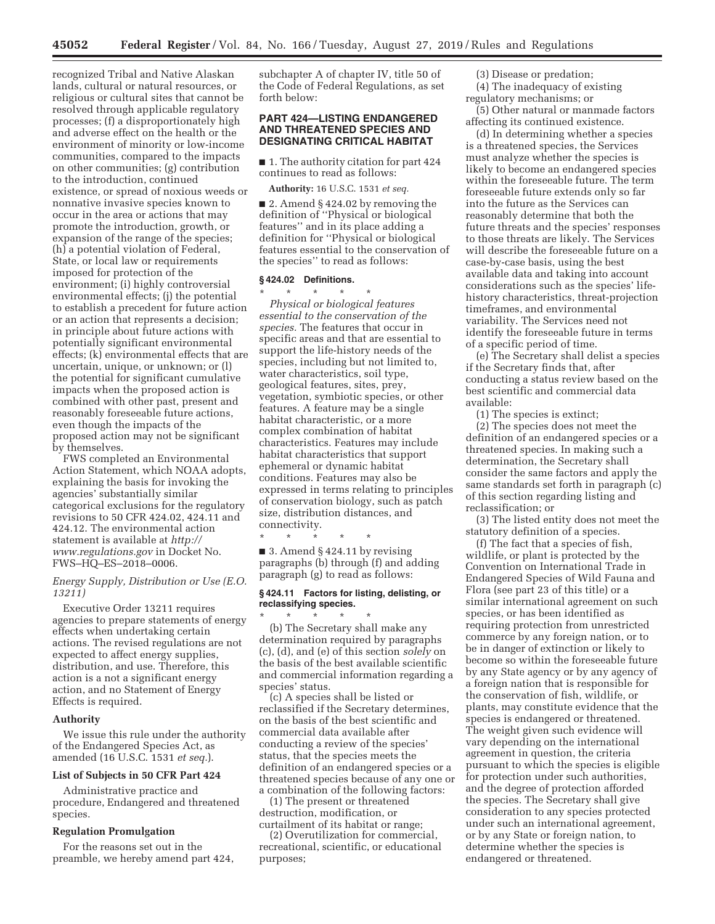recognized Tribal and Native Alaskan lands, cultural or natural resources, or religious or cultural sites that cannot be resolved through applicable regulatory processes; (f) a disproportionately high and adverse effect on the health or the environment of minority or low-income communities, compared to the impacts on other communities; (g) contribution to the introduction, continued existence, or spread of noxious weeds or nonnative invasive species known to occur in the area or actions that may promote the introduction, growth, or expansion of the range of the species; (h) a potential violation of Federal, State, or local law or requirements imposed for protection of the environment; (i) highly controversial environmental effects; (j) the potential to establish a precedent for future action or an action that represents a decision; in principle about future actions with potentially significant environmental effects; (k) environmental effects that are uncertain, unique, or unknown; or (l) the potential for significant cumulative impacts when the proposed action is combined with other past, present and reasonably foreseeable future actions, even though the impacts of the proposed action may not be significant by themselves.

FWS completed an Environmental Action Statement, which NOAA adopts, explaining the basis for invoking the agencies' substantially similar categorical exclusions for the regulatory revisions to 50 CFR 424.02, 424.11 and 424.12. The environmental action statement is available at *http:// www.regulations.gov* in Docket No. FWS–HQ–ES–2018–0006.

### *Energy Supply, Distribution or Use (E.O. 13211)*

Executive Order 13211 requires agencies to prepare statements of energy effects when undertaking certain actions. The revised regulations are not expected to affect energy supplies, distribution, and use. Therefore, this action is a not a significant energy action, and no Statement of Energy Effects is required.

#### **Authority**

We issue this rule under the authority of the Endangered Species Act, as amended (16 U.S.C. 1531 *et seq.*).

#### **List of Subjects in 50 CFR Part 424**

Administrative practice and procedure, Endangered and threatened species.

### **Regulation Promulgation**

For the reasons set out in the preamble, we hereby amend part 424, subchapter A of chapter IV, title 50 of the Code of Federal Regulations, as set forth below:

# **PART 424—LISTING ENDANGERED AND THREATENED SPECIES AND DESIGNATING CRITICAL HABITAT**

■ 1. The authority citation for part 424 continues to read as follows:

**Authority:** 16 U.S.C. 1531 *et seq.* 

■ 2. Amend § 424.02 by removing the definition of ''Physical or biological features'' and in its place adding a definition for ''Physical or biological features essential to the conservation of the species'' to read as follows:

# **§ 424.02 Definitions.**

\* \* \* \* \* *Physical or biological features essential to the conservation of the species.* The features that occur in specific areas and that are essential to support the life-history needs of the species, including but not limited to, water characteristics, soil type, geological features, sites, prey, vegetation, symbiotic species, or other features. A feature may be a single habitat characteristic, or a more complex combination of habitat characteristics. Features may include habitat characteristics that support ephemeral or dynamic habitat conditions. Features may also be expressed in terms relating to principles of conservation biology, such as patch size, distribution distances, and connectivity.

\* \* \* \* \*  $\blacksquare$  3. Amend § 424.11 by revising paragraphs (b) through (f) and adding paragraph (g) to read as follows:

### **§ 424.11 Factors for listing, delisting, or reclassifying species.**

\* \* \* \* \* (b) The Secretary shall make any determination required by paragraphs (c), (d), and (e) of this section *solely* on the basis of the best available scientific and commercial information regarding a species' status.

(c) A species shall be listed or reclassified if the Secretary determines, on the basis of the best scientific and commercial data available after conducting a review of the species' status, that the species meets the definition of an endangered species or a threatened species because of any one or a combination of the following factors:

(1) The present or threatened destruction, modification, or curtailment of its habitat or range;

(2) Overutilization for commercial, recreational, scientific, or educational purposes;

(3) Disease or predation;

(4) The inadequacy of existing regulatory mechanisms; or

(5) Other natural or manmade factors affecting its continued existence.

(d) In determining whether a species is a threatened species, the Services must analyze whether the species is likely to become an endangered species within the foreseeable future. The term foreseeable future extends only so far into the future as the Services can reasonably determine that both the future threats and the species' responses to those threats are likely. The Services will describe the foreseeable future on a case-by-case basis, using the best available data and taking into account considerations such as the species' lifehistory characteristics, threat-projection timeframes, and environmental variability. The Services need not identify the foreseeable future in terms of a specific period of time.

(e) The Secretary shall delist a species if the Secretary finds that, after conducting a status review based on the best scientific and commercial data available:

(1) The species is extinct;

(2) The species does not meet the definition of an endangered species or a threatened species. In making such a determination, the Secretary shall consider the same factors and apply the same standards set forth in paragraph (c) of this section regarding listing and reclassification; or

(3) The listed entity does not meet the statutory definition of a species.

(f) The fact that a species of fish, wildlife, or plant is protected by the Convention on International Trade in Endangered Species of Wild Fauna and Flora (see part 23 of this title) or a similar international agreement on such species, or has been identified as requiring protection from unrestricted commerce by any foreign nation, or to be in danger of extinction or likely to become so within the foreseeable future by any State agency or by any agency of a foreign nation that is responsible for the conservation of fish, wildlife, or plants, may constitute evidence that the species is endangered or threatened. The weight given such evidence will vary depending on the international agreement in question, the criteria pursuant to which the species is eligible for protection under such authorities, and the degree of protection afforded the species. The Secretary shall give consideration to any species protected under such an international agreement, or by any State or foreign nation, to determine whether the species is endangered or threatened.